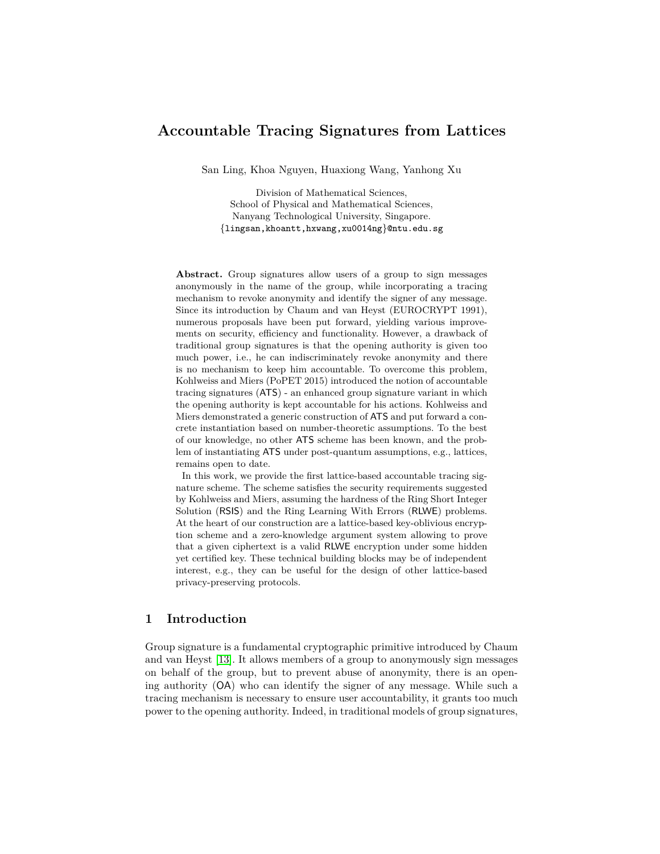# **Accountable Tracing Signatures from Lattices**

San Ling, Khoa Nguyen, Huaxiong Wang, Yanhong Xu

Division of Mathematical Sciences, School of Physical and Mathematical Sciences, Nanyang Technological University, Singapore. {lingsan,khoantt,hxwang,xu0014ng}@ntu.edu.sg

**Abstract.** Group signatures allow users of a group to sign messages anonymously in the name of the group, while incorporating a tracing mechanism to revoke anonymity and identify the signer of any message. Since its introduction by Chaum and van Heyst (EUROCRYPT 1991), numerous proposals have been put forward, yielding various improvements on security, efficiency and functionality. However, a drawback of traditional group signatures is that the opening authority is given too much power, i.e., he can indiscriminately revoke anonymity and there is no mechanism to keep him accountable. To overcome this problem, Kohlweiss and Miers (PoPET 2015) introduced the notion of accountable tracing signatures (ATS) - an enhanced group signature variant in which the opening authority is kept accountable for his actions. Kohlweiss and Miers demonstrated a generic construction of ATS and put forward a concrete instantiation based on number-theoretic assumptions. To the best of our knowledge, no other ATS scheme has been known, and the problem of instantiating ATS under post-quantum assumptions, e.g., lattices, remains open to date.

In this work, we provide the first lattice-based accountable tracing signature scheme. The scheme satisfies the security requirements suggested by Kohlweiss and Miers, assuming the hardness of the Ring Short Integer Solution (RSIS) and the Ring Learning With Errors (RLWE) problems. At the heart of our construction are a lattice-based key-oblivious encryption scheme and a zero-knowledge argument system allowing to prove that a given ciphertext is a valid RLWE encryption under some hidden yet certified key. These technical building blocks may be of independent interest, e.g., they can be useful for the design of other lattice-based privacy-preserving protocols.

# **1 Introduction**

Group signature is a fundamental cryptographic primitive introduced by Chaum and van Heyst [\[13\]](#page-41-0). It allows members of a group to anonymously sign messages on behalf of the group, but to prevent abuse of anonymity, there is an opening authority (OA) who can identify the signer of any message. While such a tracing mechanism is necessary to ensure user accountability, it grants too much power to the opening authority. Indeed, in traditional models of group signatures,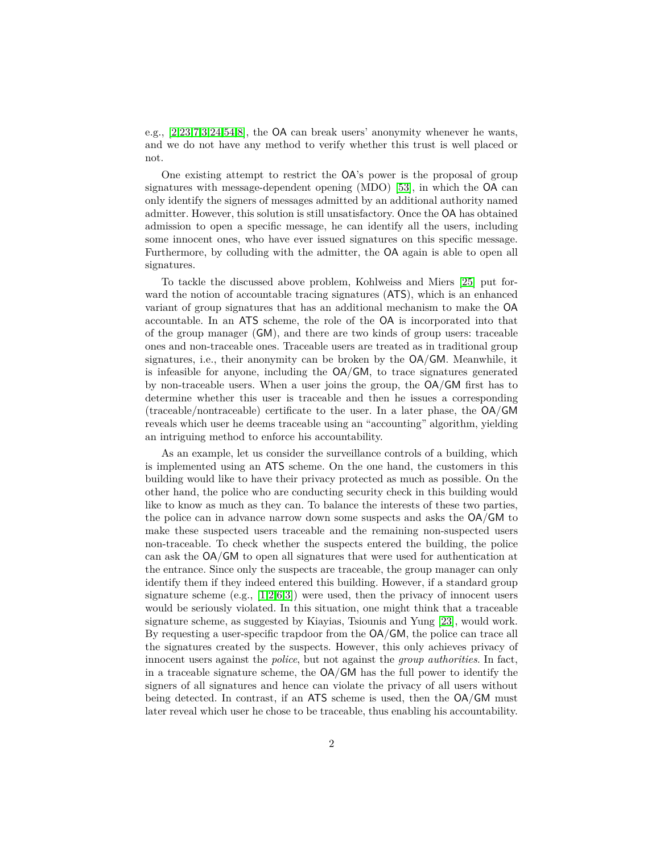e.g., [\[2,](#page-41-1)[23,](#page-42-0)[7,](#page-41-2)[3](#page-41-3)[,24,](#page-42-1)[54,](#page-43-0)[8\]](#page-41-4), the OA can break users' anonymity whenever he wants, and we do not have any method to verify whether this trust is well placed or not.

One existing attempt to restrict the OA's power is the proposal of group signatures with message-dependent opening (MDO) [\[53\]](#page-43-1), in which the OA can only identify the signers of messages admitted by an additional authority named admitter. However, this solution is still unsatisfactory. Once the OA has obtained admission to open a specific message, he can identify all the users, including some innocent ones, who have ever issued signatures on this specific message. Furthermore, by colluding with the admitter, the OA again is able to open all signatures.

To tackle the discussed above problem, Kohlweiss and Miers [\[25\]](#page-42-2) put forward the notion of accountable tracing signatures (ATS), which is an enhanced variant of group signatures that has an additional mechanism to make the OA accountable. In an ATS scheme, the role of the OA is incorporated into that of the group manager (GM), and there are two kinds of group users: traceable ones and non-traceable ones. Traceable users are treated as in traditional group signatures, i.e., their anonymity can be broken by the OA/GM. Meanwhile, it is infeasible for anyone, including the OA/GM, to trace signatures generated by non-traceable users. When a user joins the group, the OA/GM first has to determine whether this user is traceable and then he issues a corresponding (traceable/nontraceable) certificate to the user. In a later phase, the OA/GM reveals which user he deems traceable using an "accounting" algorithm, yielding an intriguing method to enforce his accountability.

As an example, let us consider the surveillance controls of a building, which is implemented using an ATS scheme. On the one hand, the customers in this building would like to have their privacy protected as much as possible. On the other hand, the police who are conducting security check in this building would like to know as much as they can. To balance the interests of these two parties, the police can in advance narrow down some suspects and asks the OA/GM to make these suspected users traceable and the remaining non-suspected users non-traceable. To check whether the suspects entered the building, the police can ask the OA/GM to open all signatures that were used for authentication at the entrance. Since only the suspects are traceable, the group manager can only identify them if they indeed entered this building. However, if a standard group signature scheme (e.g.,  $[1,2,6,3]$  $[1,2,6,3]$  $[1,2,6,3]$  $[1,2,6,3]$ ) were used, then the privacy of innocent users would be seriously violated. In this situation, one might think that a traceable signature scheme, as suggested by Kiayias, Tsiounis and Yung [\[23\]](#page-42-0), would work. By requesting a user-specific trapdoor from the OA/GM, the police can trace all the signatures created by the suspects. However, this only achieves privacy of innocent users against the *police*, but not against the *group authorities*. In fact, in a traceable signature scheme, the OA/GM has the full power to identify the signers of all signatures and hence can violate the privacy of all users without being detected. In contrast, if an ATS scheme is used, then the OA/GM must later reveal which user he chose to be traceable, thus enabling his accountability.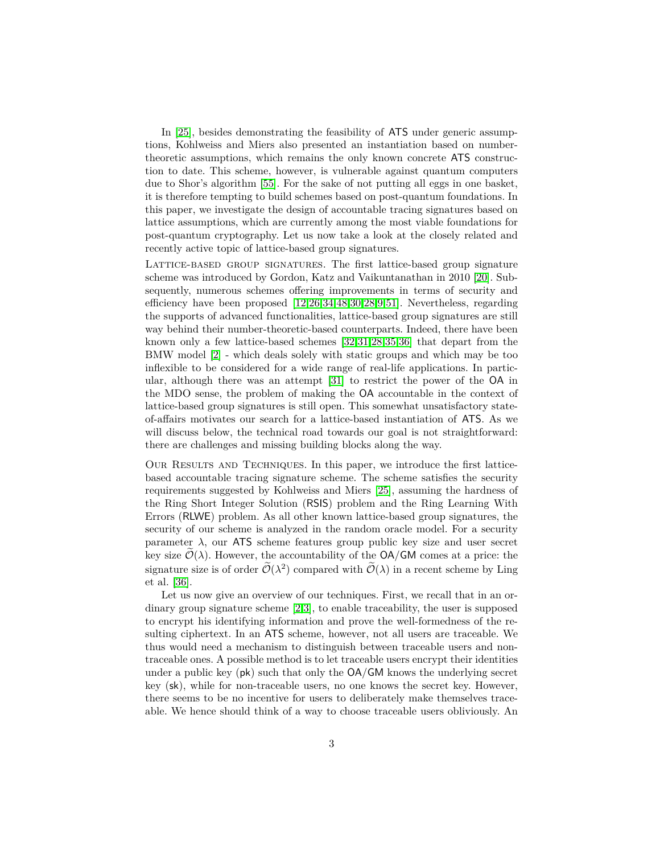In [\[25\]](#page-42-2), besides demonstrating the feasibility of ATS under generic assumptions, Kohlweiss and Miers also presented an instantiation based on numbertheoretic assumptions, which remains the only known concrete ATS construction to date. This scheme, however, is vulnerable against quantum computers due to Shor's algorithm [\[55\]](#page-43-2). For the sake of not putting all eggs in one basket, it is therefore tempting to build schemes based on post-quantum foundations. In this paper, we investigate the design of accountable tracing signatures based on lattice assumptions, which are currently among the most viable foundations for post-quantum cryptography. Let us now take a look at the closely related and recently active topic of lattice-based group signatures.

Lattice-based group signatures. The first lattice-based group signature scheme was introduced by Gordon, Katz and Vaikuntanathan in 2010 [\[20\]](#page-42-3). Subsequently, numerous schemes offering improvements in terms of security and efficiency have been proposed [\[12,](#page-41-7)[26,](#page-42-4)[34](#page-42-5)[,48,](#page-43-3)[30,](#page-42-6)[28,](#page-42-7)[9](#page-41-8)[,51\]](#page-43-4). Nevertheless, regarding the supports of advanced functionalities, lattice-based group signatures are still way behind their number-theoretic-based counterparts. Indeed, there have been known only a few lattice-based schemes [\[32,](#page-42-8)[31,](#page-42-9)[28,](#page-42-7)[35](#page-42-10)[,36\]](#page-42-11) that depart from the BMW model [\[2\]](#page-41-1) - which deals solely with static groups and which may be too inflexible to be considered for a wide range of real-life applications. In particular, although there was an attempt [\[31\]](#page-42-9) to restrict the power of the OA in the MDO sense, the problem of making the OA accountable in the context of lattice-based group signatures is still open. This somewhat unsatisfactory stateof-affairs motivates our search for a lattice-based instantiation of ATS. As we will discuss below, the technical road towards our goal is not straightforward: there are challenges and missing building blocks along the way.

OUR RESULTS AND TECHNIQUES. In this paper, we introduce the first latticebased accountable tracing signature scheme. The scheme satisfies the security requirements suggested by Kohlweiss and Miers [\[25\]](#page-42-2), assuming the hardness of the Ring Short Integer Solution (RSIS) problem and the Ring Learning With Errors (RLWE) problem. As all other known lattice-based group signatures, the security of our scheme is analyzed in the random oracle model. For a security parameter  $\lambda$ , our ATS scheme features group public key size and user secret key size  $\mathcal{O}(\lambda)$ . However, the accountability of the **OA/GM** comes at a price: the signature size is of order  $\tilde{\mathcal{O}}(\lambda^2)$  compared with  $\tilde{\mathcal{O}}(\lambda)$  in a recent scheme by Ling et al. [\[36\]](#page-42-11).

Let us now give an overview of our techniques. First, we recall that in an ordinary group signature scheme [\[2,](#page-41-1)[3\]](#page-41-3), to enable traceability, the user is supposed to encrypt his identifying information and prove the well-formedness of the resulting ciphertext. In an ATS scheme, however, not all users are traceable. We thus would need a mechanism to distinguish between traceable users and nontraceable ones. A possible method is to let traceable users encrypt their identities under a public key (pk) such that only the OA/GM knows the underlying secret key (sk), while for non-traceable users, no one knows the secret key. However, there seems to be no incentive for users to deliberately make themselves traceable. We hence should think of a way to choose traceable users obliviously. An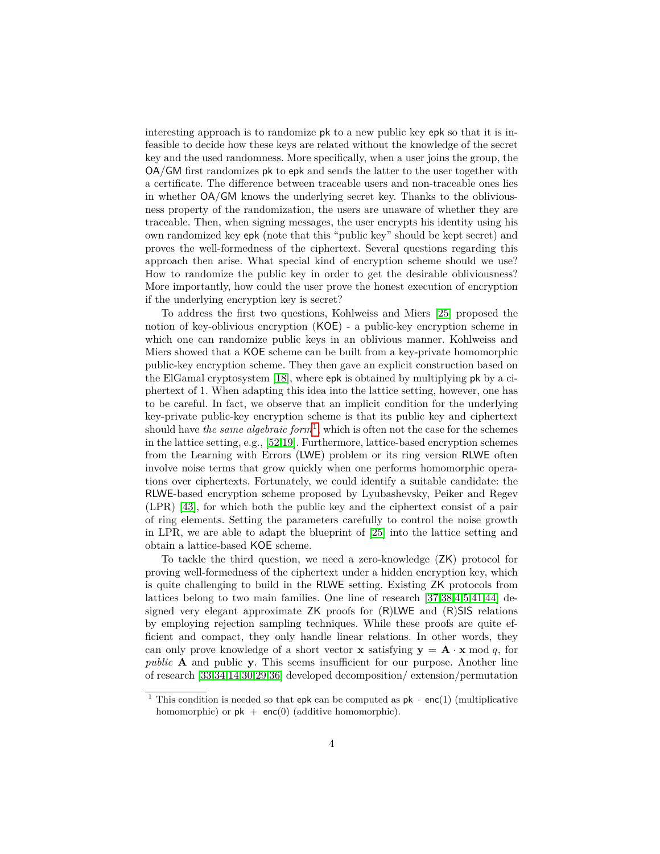interesting approach is to randomize pk to a new public key epk so that it is infeasible to decide how these keys are related without the knowledge of the secret key and the used randomness. More specifically, when a user joins the group, the OA/GM first randomizes pk to epk and sends the latter to the user together with a certificate. The difference between traceable users and non-traceable ones lies in whether OA/GM knows the underlying secret key. Thanks to the obliviousness property of the randomization, the users are unaware of whether they are traceable. Then, when signing messages, the user encrypts his identity using his own randomized key epk (note that this "public key" should be kept secret) and proves the well-formedness of the ciphertext. Several questions regarding this approach then arise. What special kind of encryption scheme should we use? How to randomize the public key in order to get the desirable obliviousness? More importantly, how could the user prove the honest execution of encryption if the underlying encryption key is secret?

To address the first two questions, Kohlweiss and Miers [\[25\]](#page-42-2) proposed the notion of key-oblivious encryption (KOE) - a public-key encryption scheme in which one can randomize public keys in an oblivious manner. Kohlweiss and Miers showed that a KOE scheme can be built from a key-private homomorphic public-key encryption scheme. They then gave an explicit construction based on the ElGamal cryptosystem [\[18\]](#page-41-9), where epk is obtained by multiplying pk by a ciphertext of 1. When adapting this idea into the lattice setting, however, one has to be careful. In fact, we observe that an implicit condition for the underlying key-private public-key encryption scheme is that its public key and ciphertext should have *the same algebraic form*<sup>[1](#page-3-0)</sup>, which is often not the case for the schemes in the lattice setting, e.g., [\[52,](#page-43-5)[19\]](#page-41-10). Furthermore, lattice-based encryption schemes from the Learning with Errors (LWE) problem or its ring version RLWE often involve noise terms that grow quickly when one performs homomorphic operations over ciphertexts. Fortunately, we could identify a suitable candidate: the RLWE-based encryption scheme proposed by Lyubashevsky, Peiker and Regev (LPR) [\[43\]](#page-43-6), for which both the public key and the ciphertext consist of a pair of ring elements. Setting the parameters carefully to control the noise growth in LPR, we are able to adapt the blueprint of [\[25\]](#page-42-2) into the lattice setting and obtain a lattice-based KOE scheme.

To tackle the third question, we need a zero-knowledge (ZK) protocol for proving well-formedness of the ciphertext under a hidden encryption key, which is quite challenging to build in the RLWE setting. Existing ZK protocols from lattices belong to two main families. One line of research [\[37,](#page-42-12)[38](#page-42-13)[,4,](#page-41-11)[5,](#page-41-12)[41,](#page-43-7)[44\]](#page-43-8) designed very elegant approximate ZK proofs for (R)LWE and (R)SIS relations by employing rejection sampling techniques. While these proofs are quite efficient and compact, they only handle linear relations. In other words, they can only prove knowledge of a short vector **x** satisfying  $y = A \cdot x \mod q$ , for *public* **A** and public **y**. This seems insufficient for our purpose. Another line of research [\[33](#page-42-14)[,34,](#page-42-5)[14,](#page-41-13)[30](#page-42-6)[,29,](#page-42-15)[36\]](#page-42-11) developed decomposition/ extension/permutation

<span id="page-3-0"></span><sup>&</sup>lt;sup>1</sup> This condition is needed so that epk can be computed as  $pk \cdot enc(1)$  (multiplicative homomorphic) or  $pk + enc(0)$  (additive homomorphic).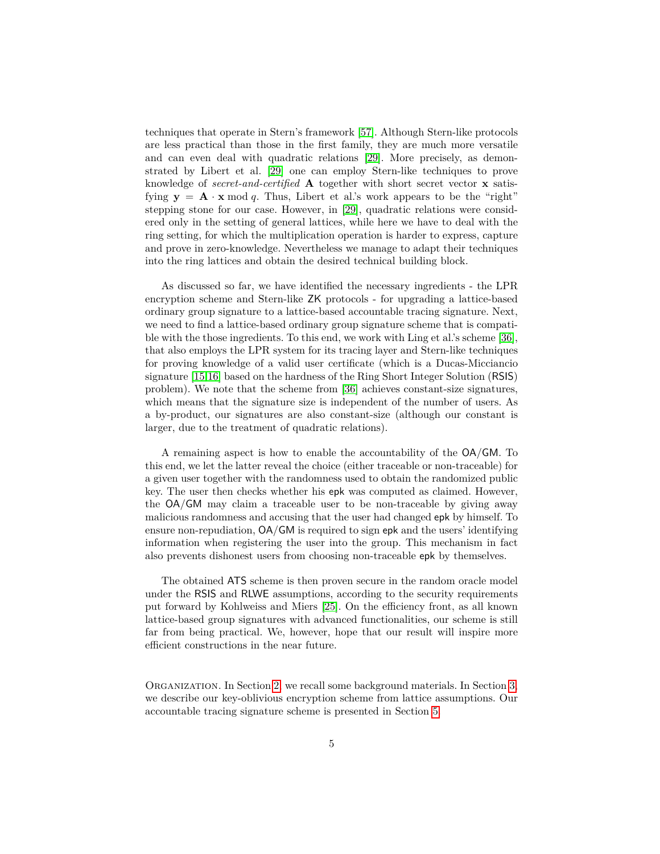techniques that operate in Stern's framework [\[57\]](#page-43-9). Although Stern-like protocols are less practical than those in the first family, they are much more versatile and can even deal with quadratic relations [\[29\]](#page-42-15). More precisely, as demonstrated by Libert et al. [\[29\]](#page-42-15) one can employ Stern-like techniques to prove knowledge of *secret-and-certified* **A** together with short secret vector **x** satisfying  $y = A \cdot x \mod q$ . Thus, Libert et al.'s work appears to be the "right" stepping stone for our case. However, in [\[29\]](#page-42-15), quadratic relations were considered only in the setting of general lattices, while here we have to deal with the ring setting, for which the multiplication operation is harder to express, capture and prove in zero-knowledge. Nevertheless we manage to adapt their techniques into the ring lattices and obtain the desired technical building block.

As discussed so far, we have identified the necessary ingredients - the LPR encryption scheme and Stern-like ZK protocols - for upgrading a lattice-based ordinary group signature to a lattice-based accountable tracing signature. Next, we need to find a lattice-based ordinary group signature scheme that is compatible with the those ingredients. To this end, we work with Ling et al.'s scheme [\[36\]](#page-42-11), that also employs the LPR system for its tracing layer and Stern-like techniques for proving knowledge of a valid user certificate (which is a Ducas-Micciancio signature [\[15,](#page-41-14)[16\]](#page-41-15) based on the hardness of the Ring Short Integer Solution (RSIS) problem). We note that the scheme from [\[36\]](#page-42-11) achieves constant-size signatures, which means that the signature size is independent of the number of users. As a by-product, our signatures are also constant-size (although our constant is larger, due to the treatment of quadratic relations).

A remaining aspect is how to enable the accountability of the OA/GM. To this end, we let the latter reveal the choice (either traceable or non-traceable) for a given user together with the randomness used to obtain the randomized public key. The user then checks whether his epk was computed as claimed. However, the OA/GM may claim a traceable user to be non-traceable by giving away malicious randomness and accusing that the user had changed epk by himself. To ensure non-repudiation, OA/GM is required to sign epk and the users' identifying information when registering the user into the group. This mechanism in fact also prevents dishonest users from choosing non-traceable epk by themselves.

The obtained ATS scheme is then proven secure in the random oracle model under the RSIS and RLWE assumptions, according to the security requirements put forward by Kohlweiss and Miers [\[25\]](#page-42-2). On the efficiency front, as all known lattice-based group signatures with advanced functionalities, our scheme is still far from being practical. We, however, hope that our result will inspire more efficient constructions in the near future.

Organization. In Section [2,](#page-5-0) we recall some background materials. In Section [3,](#page-19-0) we describe our key-oblivious encryption scheme from lattice assumptions. Our accountable tracing signature scheme is presented in Section [5.](#page-27-0)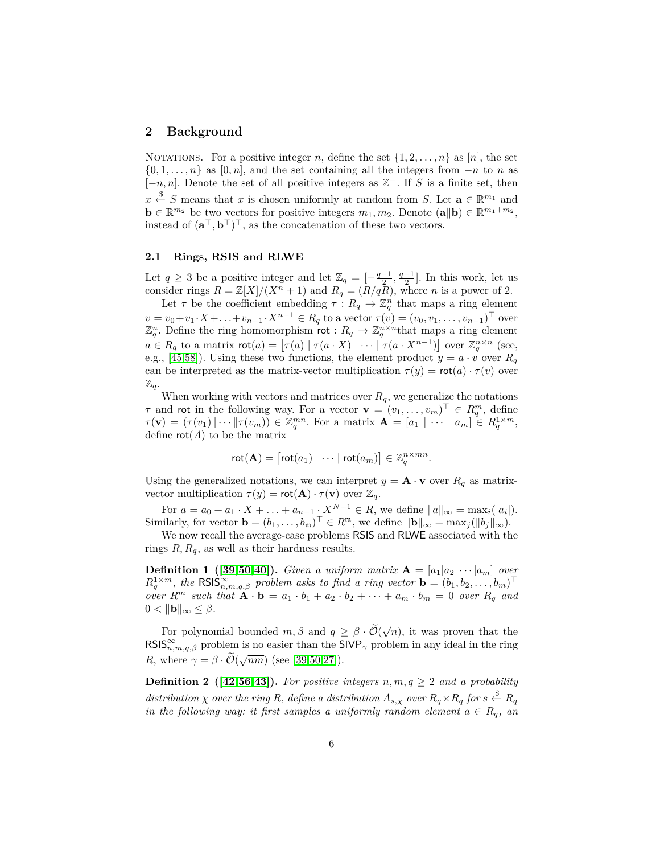# <span id="page-5-0"></span>**2 Background**

NOTATIONS. For a positive integer *n*, define the set  $\{1, 2, \ldots, n\}$  as [*n*], the set  $\{0, 1, \ldots, n\}$  as  $[0, n]$ , and the set containing all the integers from  $-n$  to *n* as  $[-n, n]$ . Denote the set of all positive integers as  $\mathbb{Z}^+$ . If *S* is a finite set, then *x*  $\overset{\$}{\leftarrow}$  *S* means that *x* is chosen uniformly at random from *S*. Let **a** ∈ R<sup>*m*<sub>1</sub></sub> and</sup>  $\mathbf{b} \in \mathbb{R}^{m_2}$  be two vectors for positive integers  $m_1, m_2$ . Denote  $(\mathbf{a} \|\mathbf{b}) \in \mathbb{R}^{m_1+m_2}$ , instead of  $(\mathbf{a}^\top, \mathbf{b}^\top)^\top$ , as the concatenation of these two vectors.

#### <span id="page-5-1"></span>**2.1 Rings, RSIS and RLWE**

Let  $q \geq 3$  be a positive integer and let  $\mathbb{Z}_q = \left[-\frac{q-1}{2}, \frac{q-1}{2}\right]$ . In this work, let us consider rings  $R = \mathbb{Z}[X]/(X^n + 1)$  and  $R_q = (R/q\overline{R})$ , where *n* is a power of 2.

Let  $\tau$  be the coefficient embedding  $\tau: R_q \to \mathbb{Z}_q^n$  that maps a ring element *v* = *v*<sub>0</sub> + *v*<sub>1</sub> · *X* + . . . + *v*<sub>*n*−1</sub> · *X*<sup>*n*−1</sup> ∈ *R*<sub>*q*</sub> to a vector  $τ(v) = (v_0, v_1, \ldots, v_{n-1})^\top$  over  $\mathbb{Z}_q^n$ . Define the ring homomorphism rot :  $R_q \to \mathbb{Z}_q^{n \times n}$  that maps a ring element  $a \in R_q$  to a matrix  $\text{rot}(a) = [\tau(a) | \tau(a \cdot X) | \cdots | \tau(a \cdot X^{n-1})]$  over  $\mathbb{Z}_q^{n \times n}$  (see, e.g., [\[45,](#page-43-10)[58\]](#page-43-11)). Using these two functions, the element product  $y = a \cdot v$  over  $R_q$ can be interpreted as the matrix-vector multiplication  $\tau(y) = \text{rot}(a) \cdot \tau(v)$  over  $\mathbb{Z}_q$ .

When working with vectors and matrices over  $R_q$ , we generalize the notations *τ* and rot in the following way. For a vector  $\mathbf{v} = (v_1, \ldots, v_m)^\top \in R_q^m$ , define  $\tau(\mathbf{v}) = (\tau(v_1) \| \cdots \| \tau(v_m)) \in \mathbb{Z}_q^{mn}$ . For a matrix  $\mathbf{A} = [a_1 | \cdots | a_m] \in R_q^{1 \times m}$ , define  $rot(A)$  to be the matrix

$$
\textsf{rot}(\mathbf{A}) = \big[\textsf{rot}(a_1) \mid \cdots \mid \textsf{rot}(a_m)\big] \in \mathbb{Z}_q^{n \times mn}.
$$

Using the generalized notations, we can interpret  $y = \mathbf{A} \cdot \mathbf{v}$  over  $R_q$  as matrixvector multiplication  $\tau(y) = \text{rot}(\mathbf{A}) \cdot \tau(\mathbf{v})$  over  $\mathbb{Z}_q$ .

For  $a = a_0 + a_1 \cdot X + \ldots + a_{n-1} \cdot X^{N-1} \in R$ , we define  $||a||_{\infty} = \max_i (|a_i|)$ . Similarly, for vector  $\mathbf{b} = (b_1, \ldots, b_m)^\top \in R^m$ , we define  $\|\mathbf{b}\|_{\infty} = \max_j (\|b_j\|_{\infty})$ .

We now recall the average-case problems RSIS and RLWE associated with the rings  $R, R_q$ , as well as their hardness results.

**Definition 1** ([\[39](#page-43-12)[,50,](#page-43-13)[40\]](#page-43-14)). Given a uniform matrix  $A = [a_1|a_2| \cdots | a_m]$  over  $R_q^{1 \times m}$ , the RSIS<sup>∞</sup><sub>n,m,q,β</sub> problem asks to find a ring vector **b** =  $(b_1, b_2, \ldots, b_m)^\top$ *over*  $R^m$  *such that*  $\mathbf{A} \cdot \mathbf{b} = a_1 \cdot b_1 + a_2 \cdot b_2 + \cdots + a_m \cdot b_m = 0$  *over*  $R_q$  *and*  $0 < ||\mathbf{b}||_{\infty} \leq \beta$ .

For polynomial bounded  $m, \beta$  and  $q \geq \beta \cdot \widetilde{\mathcal{O}}(\sqrt{n})$ , it was proven that the RSIS<sup>∞</sup><sub>*n,m,q,β*</sub> problem is no easier than the SIVP<sub>γ</sub> problem in any ideal in the ring *R*, where  $\gamma = \beta \cdot \tilde{\mathcal{O}}(\sqrt{nm})$  (see [\[39](#page-43-12)[,50](#page-43-13)[,27\]](#page-42-16)).

**Definition 2** ([\[42](#page-43-15)[,56,](#page-43-16)[43\]](#page-43-6)). For positive integers  $n, m, q \geq 2$  and a probability  $distribution \chi$  *over the ring R*, *define a distribution*  $A_{s,\chi}$  *over*  $R_q \times R_q$  *for*  $s \stackrel{\$}{\leftarrow} R_q$ *in the following way: it first samples a uniformly random element*  $a \in R_q$ *, an*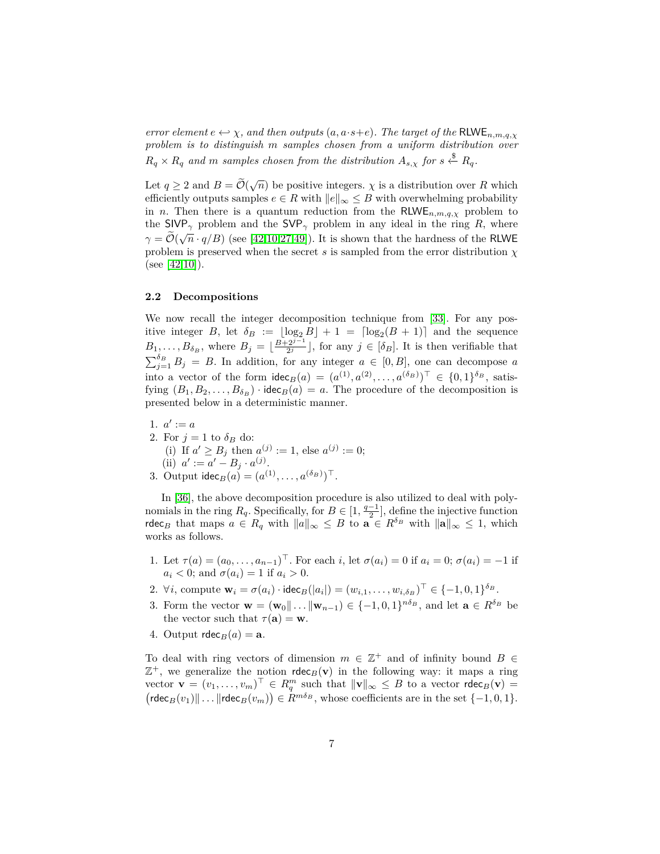*error element*  $e \leftrightarrow \chi$ *, and then outputs*  $(a, a \cdot s + e)$ *. The target of the* RLWE<sub>*n,m,q,x*</sub> *problem is to distinguish m samples chosen from a uniform distribution over*  $R_q \times R_q$  *and m samples chosen from the distribution*  $A_{s,\chi}$  *for*  $s \stackrel{\$}{\leftarrow} R_q$ *.* 

Let  $q \ge 2$  and  $B = \widetilde{\mathcal{O}}(\sqrt{n})$  be positive integers.  $\chi$  is a distribution over *R* which efficiently outputs samples  $e \in R$  with  $||e||_{\infty} \leq B$  with overwhelming probability in *n*. Then there is a quantum reduction from the  $RLWE_{n,m,q,\chi}$  problem to the SIVP<sub>γ</sub> problem and the SVP<sub>γ</sub> problem in any ideal in the ring *R*, where  $\widetilde{\phi}$  ( $\overline{C}$  / $\overline{D}$ ) ( $\overline{C}$  / $\overline{D}$ ) ( $\overline{C}$  / $\overline{D}$ ) ( $\overline{C}$  / $\overline{D}$ ) ( $\overline{C}$  / $\overline{D}$ ) ( $\overline{C}$  / $\overline{D}$ ) ( $\overline{$  $\gamma = \mathcal{O}(\sqrt{n} \cdot q/B)$  (see [\[42](#page-43-15)[,10](#page-41-16)[,27](#page-42-16)[,49\]](#page-43-17)). It is shown that the hardness of the RLWE problem is preserved when the secret *s* is sampled from the error distribution  $\chi$ (see [\[42](#page-43-15)[,10\]](#page-41-16)).

### <span id="page-6-0"></span>**2.2 Decompositions**

We now recall the integer decomposition technique from [\[33\]](#page-42-14). For any positive integer *B*, let  $\delta_B := \lfloor \log_2 B \rfloor + 1 = \lfloor \log_2(B+1) \rfloor$  and the sequence  $B_1, \ldots, B_{\delta_B}$ , where  $B_j = \lfloor \frac{B+2^{j-1}}{2^j} \rfloor$ , for any  $j \in [\delta_B]$ . It is then verifiable that  $\sum_{j=1}^{\delta_B} B_j = B$ . In addition, for any integer  $a \in [0, B]$ , one can decompose *a* into a vector of the form  $\text{idec}_B(a) = (a^{(1)}, a^{(2)}, \dots, a^{(\delta_B)})^{\top} \in \{0, 1\}^{\delta_B}$ , satisfying  $(B_1, B_2, \ldots, B_{\delta_B}) \cdot \text{idec}_B(a) = a$ . The procedure of the decomposition is presented below in a deterministic manner.

1.  $a' := a$ 2. For  $j = 1$  to  $\delta_B$  do: (i) If  $a' \geq B_j$  then  $a^{(j)} := 1$ , else  $a^{(j)} := 0$ ; (ii)  $a' := a' - B_j \cdot a^{(j)}$ . 3. Output  $\text{idec}_B(a) = (a^{(1)}, \dots, a^{(\delta_B)})^{\top}$ .

In [\[36\]](#page-42-11), the above decomposition procedure is also utilized to deal with polynomials in the ring  $R_q$ . Specifically, for  $B \in [1, \frac{q-1}{2}]$ , define the injective function rdec<sub>*B*</sub> that maps  $a \in R_q$  with  $||a||_{\infty} \leq B$  to  $\mathbf{a} \in R^{\delta_B}$  with  $||\mathbf{a}||_{\infty} \leq 1$ , which works as follows.

- 1. Let  $\tau(a) = (a_0, \ldots, a_{n-1})^\top$ . For each *i*, let  $\sigma(a_i) = 0$  if  $a_i = 0$ ;  $\sigma(a_i) = -1$  if  $a_i < 0$ ; and  $\sigma(a_i) = 1$  if  $a_i > 0$ .
- 2.  $\forall i$ , compute  $\mathbf{w}_i = \sigma(a_i) \cdot \text{idec}_B(|a_i|) = (w_{i,1}, \dots, w_{i, \delta_B})^\top \in \{-1, 0, 1\}^{\delta_B}.$
- 3. Form the vector  $\mathbf{w} = (\mathbf{w}_0 \| \dots \| \mathbf{w}_{n-1}) \in \{-1, 0, 1\}^{n \delta_B}$ , and let  $\mathbf{a} \in R^{\delta_B}$  be the vector such that  $\tau(\mathbf{a}) = \mathbf{w}$ .
- 4. Output  $\text{rdec}_B(a) = a$ .

To deal with ring vectors of dimension  $m \in \mathbb{Z}^+$  and of infinity bound  $B \in$  $\mathbb{Z}^+$ , we generalize the notion rdec<sub>*B*</sub>(**v**) in the following way: it maps a ring  $\text{vector } \mathbf{v} = (v_1, \dots, v_m)^\top \in R_q^m \text{ such that } \|\mathbf{v}\|_\infty \leq B \text{ to a vector } \mathsf{rdec}_B(\mathbf{v}) = \mathbf{v}$  $(\text{rdec}_B(v_1) \| \dots \| \text{rdec}_B(v_m)) \in R^{m\delta_B}$ , whose coefficients are in the set  $\{-1,0,1\}$ .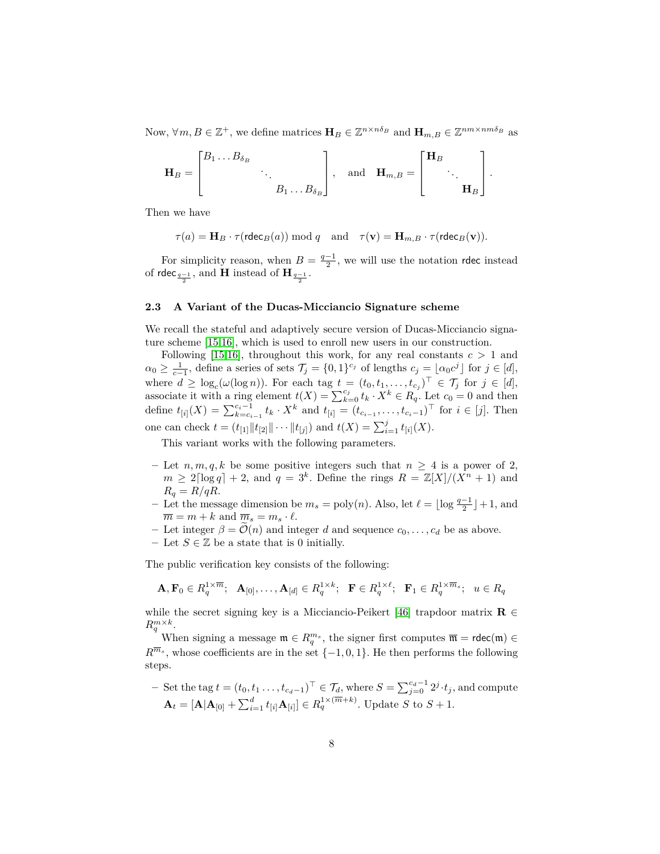Now,  $\forall m, B \in \mathbb{Z}^+$ , we define matrices  $\mathbf{H}_B \in \mathbb{Z}^{n \times n \delta_B}$  and  $\mathbf{H}_{m,B} \in \mathbb{Z}^{nm \times nm \delta_B}$  as

$$
\mathbf{H}_{B} = \begin{bmatrix} B_{1} \dots B_{\delta_{B}} & & \\ & \ddots & \\ & & B_{1} \dots B_{\delta_{B}} \end{bmatrix}, \text{ and } \mathbf{H}_{m,B} = \begin{bmatrix} \mathbf{H}_{B} & & \\ & \ddots & \\ & & \mathbf{H}_{B} \end{bmatrix}.
$$

Then we have

 $\tau(a) = \mathbf{H}_B \cdot \tau(\text{rdec}_B(a)) \bmod q$  and  $\tau(\mathbf{v}) = \mathbf{H}_{m,B} \cdot \tau(\text{rdec}_B(\mathbf{v}))$ .

For simplicity reason, when  $B = \frac{q-1}{2}$ , we will use the notation rdec instead of rdec  $\frac{q-1}{2}$ , and **H** instead of **H** $\frac{q-1}{2}$ .

#### <span id="page-7-0"></span>**2.3 A Variant of the Ducas-Micciancio Signature scheme**

We recall the stateful and adaptively secure version of Ducas-Micciancio signature scheme [\[15,](#page-41-14)[16\]](#page-41-15), which is used to enroll new users in our construction.

Following [\[15,](#page-41-14)[16\]](#page-41-15), throughout this work, for any real constants  $c > 1$  and  $\alpha_0 \ge \frac{1}{c-1}$ , define a series of sets  $\mathcal{T}_j = \{0,1\}^{c_j}$  of lengths  $c_j = \lfloor \alpha_0 c^j \rfloor$  for  $j \in [d]$ , where  $d \geq \log_c(\omega(\log n))$ . For each tag  $t = (t_0, t_1, \ldots, t_{c_j})^\top \in \mathcal{T}_j$  for  $j \in [d]$ , associate it with a ring element  $t(X) = \sum_{k=0}^{c_j} t_k \cdot X^k \in R_q$ . Let  $c_0 = 0$  and then define  $t_{[i]}(X) = \sum_{k=c_{i-1}}^{c_i-1} t_k \cdot X^k$  and  $t_{[i]} = (t_{c_{i-1}}, \ldots, t_{c_i-1})^{\top}$  for  $i \in [j]$ . Then one can check  $t = (t_{[1]} || t_{[2]} || \cdots || t_{[j]})$  and  $t(X) = \sum_{i=1}^{j} t_{[i]}(X)$ .

This variant works with the following parameters.

- $-$  Let  $n, m, q, k$  be some positive integers such that  $n \geq 4$  is a power of 2,  $m \geq 2\lceil \log q \rceil + 2$ , and  $q = 3<sup>k</sup>$ . Define the rings  $R = \mathbb{Z}[X]/(X^n + 1)$  and  $R_q = R/qR$ .
- $−$  Let the message dimension be  $m_s = \text{poly}(n)$ . Also, let  $\ell = \lfloor \log \frac{q-1}{2} \rfloor + 1$ , and  $\overline{m} = m + k$  and  $\overline{m}_s = m_s \cdot \ell$ .
- Let integer  $\beta = \tilde{\mathcal{O}}(n)$  and integer *d* and sequence  $c_0, \ldots, c_d$  be as above.
- **–** Let *S* ∈ Z be a state that is 0 initially.

The public verification key consists of the following:

$$
\mathbf{A},\mathbf{F}_0\in R_q^{1\times \overline{m}};\quad \mathbf{A}_{[0]},\ldots,\mathbf{A}_{[d]}\in R_q^{1\times k};\quad \mathbf{F}\in R_q^{1\times \ell};\quad \mathbf{F}_1\in R_q^{1\times \overline{m}_s};\quad u\in R_q
$$

while the secret signing key is a Micciancio-Peikert [\[46\]](#page-43-18) trapdoor matrix  $\mathbf{R} \in$  $R_q^{m \times k}$ .

When signing a message  $\mathfrak{m} \in R_q^{m_s}$ , the signer first computes  $\overline{\mathfrak{m}} = \text{rdec}(\mathfrak{m}) \in$  $R^{\overline{m}_s}$ , whose coefficients are in the set  $\{-1,0,1\}$ . He then performs the following steps.

- Set the tag 
$$
t = (t_0, t_1, \ldots, t_{c_d-1})^\top \in \mathcal{T}_d
$$
, where  $S = \sum_{j=0}^{c_d-1} 2^j \cdot t_j$ , and compute  $\mathbf{A}_t = [\mathbf{A} | \mathbf{A}_{[0]} + \sum_{i=1}^d t_{[i]} \mathbf{A}_{[i]}] \in R_q^{1 \times (\overline{m} + k)}$ . Update  $S$  to  $S + 1$ .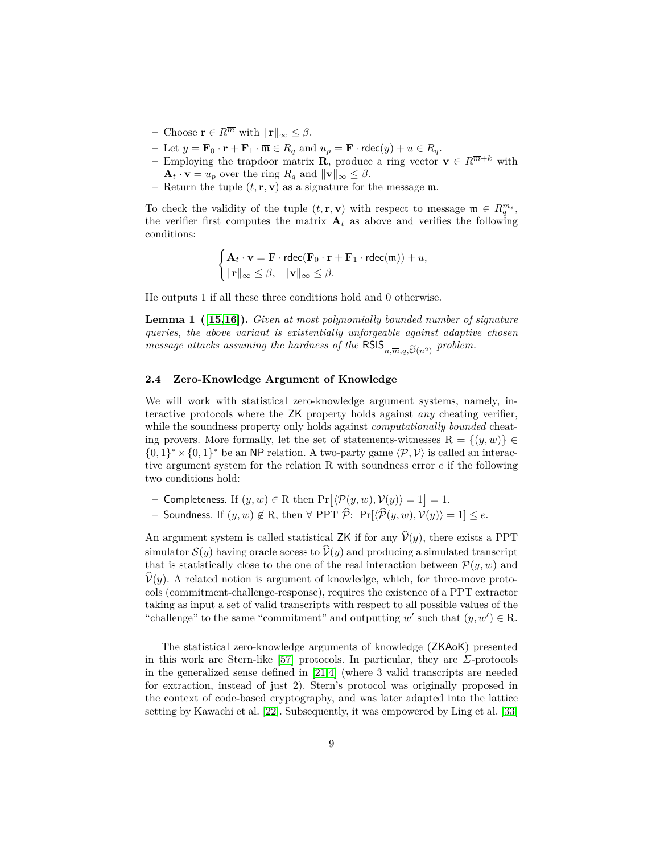- $-$  Choose **r** ∈ *R*<sup>*m*</sup> with  $||$ **r** $||_{\infty}$  ≤ *β*.
- $-$  Let  $y = \mathbf{F}_0 \cdot \mathbf{r} + \mathbf{F}_1 \cdot \overline{\mathfrak{m}} \in R_q$  and  $u_p = \mathbf{F} \cdot \text{rdec}(y) + u \in R_q$ .
- **–** Employing the trapdoor matrix **R**, produce a ring vector **v** ∈ *Rm*+*<sup>k</sup>* with  $\mathbf{A}_t \cdot \mathbf{v} = u_p$  over the ring  $R_q$  and  $\|\mathbf{v}\|_{\infty} \leq \beta$ .
- $-$  Return the tuple  $(t, \mathbf{r}, \mathbf{v})$  as a signature for the message m.

To check the validity of the tuple  $(t, \mathbf{r}, \mathbf{v})$  with respect to message  $\mathfrak{m} \in R_q^{m_s}$ , the verifier first computes the matrix  $A_t$  as above and verifies the following conditions:

$$
\begin{cases} \mathbf{A}_t \cdot \mathbf{v} = \mathbf{F} \cdot \text{rdec}(\mathbf{F}_0 \cdot \mathbf{r} + \mathbf{F}_1 \cdot \text{rdec}(\mathfrak{m})) + u, \\ \|\mathbf{r}\|_{\infty} \leq \beta, \ \ \|\mathbf{v}\|_{\infty} \leq \beta. \end{cases}
$$

He outputs 1 if all these three conditions hold and 0 otherwise.

**Lemma 1 ([\[15](#page-41-14)[,16\]](#page-41-15)).** *Given at most polynomially bounded number of signature queries, the above variant is existentially unforgeable against adaptive chosen*  $m$ *essage attacks assuming the hardness of the*  $\text{RSSI}_{n,\overline{m},q,\widetilde{\mathcal{O}}(n^2)}$  problem.

### <span id="page-8-0"></span>**2.4 Zero-Knowledge Argument of Knowledge**

We will work with statistical zero-knowledge argument systems, namely, interactive protocols where the ZK property holds against *any* cheating verifier, while the soundness property only holds against *computationally bounded* cheating provers. More formally, let the set of statements-witnesses  $R = \{(y, w)\}\in$  $\{0,1\}^* \times \{0,1\}^*$  be an NP relation. A two-party game  $\langle \mathcal{P}, \mathcal{V} \rangle$  is called an interactive argument system for the relation R with soundness error *e* if the following two conditions hold:

- $-$  Completeness. If  $(y, w) \in \mathbb{R}$  then  $\Pr[\langle \mathcal{P}(y, w), \mathcal{V}(y) \rangle = 1] = 1$ .
- $-$  Soundness. If  $(y, w) \notin \mathbb{R}$ , then ∀ PPT  $\widehat{P}$ : Pr $[\langle \widehat{P}(y, w), V(y) \rangle = 1] \le e$ .

An argument system is called statistical ZK if for any  $\hat{V}(y)$ , there exists a PPT simulator  $\mathcal{S}(y)$  having oracle access to  $\widehat{\mathcal{V}}(y)$  and producing a simulated transcript that is statistically close to the one of the real interaction between  $\mathcal{P}(y, w)$  and  $\mathcal{V}(y)$ . A related notion is argument of knowledge, which, for three-move protocols (commitment-challenge-response), requires the existence of a PPT extractor taking as input a set of valid transcripts with respect to all possible values of the "challenge" to the same "commitment" and outputting  $w'$  such that  $(y, w') \in \mathbb{R}$ .

The statistical zero-knowledge arguments of knowledge (ZKAoK) presented in this work are Stern-like [\[57\]](#page-43-9) protocols. In particular, they are  $\Sigma$ -protocols in the generalized sense defined in [\[21,](#page-42-17)[4\]](#page-41-11) (where 3 valid transcripts are needed for extraction, instead of just 2). Stern's protocol was originally proposed in the context of code-based cryptography, and was later adapted into the lattice setting by Kawachi et al. [\[22\]](#page-42-18). Subsequently, it was empowered by Ling et al. [\[33\]](#page-42-14)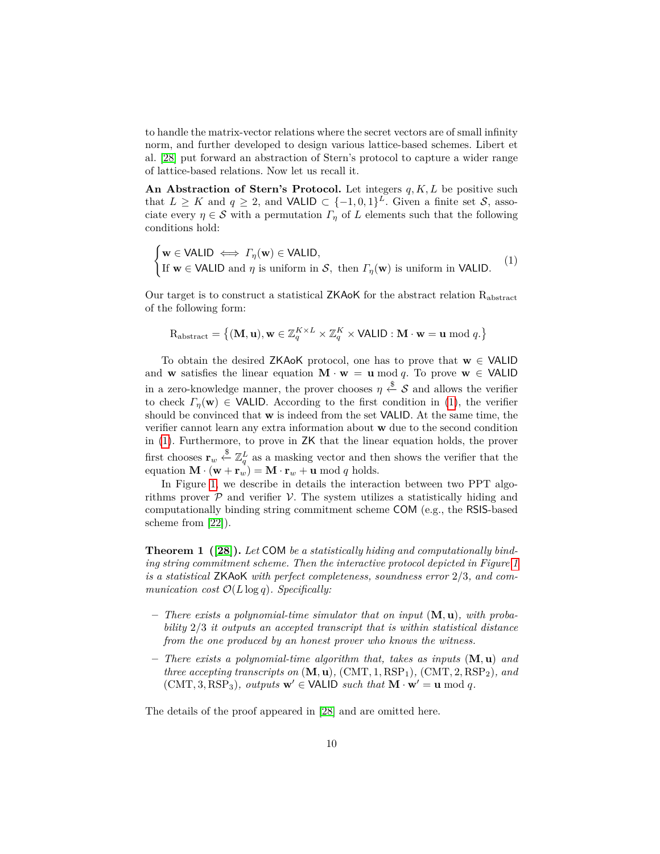to handle the matrix-vector relations where the secret vectors are of small infinity norm, and further developed to design various lattice-based schemes. Libert et al. [\[28\]](#page-42-7) put forward an abstraction of Stern's protocol to capture a wider range of lattice-based relations. Now let us recall it.

**An Abstraction of Stern's Protocol.** Let integers *q, K, L* be positive such that  $L \geq K$  and  $q \geq 2$ , and VALID  $\subset \{-1,0,1\}^L$ . Given a finite set S, associate every  $\eta \in \mathcal{S}$  with a permutation  $\Gamma_{\eta}$  of *L* elements such that the following conditions hold:

<span id="page-9-0"></span>
$$
\begin{cases} \mathbf{w} \in \text{VALID} \iff \Gamma_{\eta}(\mathbf{w}) \in \text{VALID}, \\ \text{If } \mathbf{w} \in \text{VALID} \text{ and } \eta \text{ is uniform in } \mathcal{S}, \text{ then } \Gamma_{\eta}(\mathbf{w}) \text{ is uniform in VALID.} \end{cases} (1)
$$

Our target is to construct a statistical ZKAoK for the abstract relation Rabstract of the following form:

$$
\mathrm{R}_{\mathrm{abstract}} = \left\{ (\mathbf{M}, \mathbf{u}), \mathbf{w} \in \mathbb{Z}_q^{K \times L} \times \mathbb{Z}_q^K \times \text{VALID} : \mathbf{M} \cdot \mathbf{w} = \mathbf{u} \bmod q. \right\}
$$

To obtain the desired ZKAoK protocol, one has to prove that **w** ∈ VALID and **w** satisfies the linear equation  $\mathbf{M} \cdot \mathbf{w} = \mathbf{u} \bmod q$ . To prove  $\mathbf{w} \in \mathsf{VALID}$ in a zero-knowledge manner, the prover chooses  $\eta \overset{\$}{\leftarrow} \mathcal{S}$  and allows the verifier to check  $\Gamma_n(\mathbf{w}) \in \text{VALID}$ . According to the first condition in [\(1\)](#page-9-0), the verifier should be convinced that **w** is indeed from the set VALID. At the same time, the verifier cannot learn any extra information about **w** due to the second condition in [\(1\)](#page-9-0). Furthermore, to prove in ZK that the linear equation holds, the prover first chooses  $\mathbf{r}_w \stackrel{\$}{\leftarrow} \mathbb{Z}_q^L$  as a masking vector and then shows the verifier that the equation  $\mathbf{M} \cdot (\mathbf{w} + \mathbf{r}_w) = \mathbf{M} \cdot \mathbf{r}_w + \mathbf{u} \mod q$  holds.

In Figure [1,](#page-10-0) we describe in details the interaction between two PPT algorithms prover  $P$  and verifier  $V$ . The system utilizes a statistically hiding and computationally binding string commitment scheme COM (e.g., the RSIS-based scheme from [\[22\]](#page-42-18)).

**Theorem 1 ([\[28\]](#page-42-7)).** *Let* COM *be a statistically hiding and computationally binding string commitment scheme. Then the interactive protocol depicted in Figure [1](#page-10-0) is a statistical* ZKAoK *with perfect completeness, soundness error* 2*/*3*, and communication cost*  $\mathcal{O}(L \log q)$ *. Specifically:* 

- **–** *There exists a polynomial-time simulator that on input* (**M***,* **u**)*, with probability* 2*/*3 *it outputs an accepted transcript that is within statistical distance from the one produced by an honest prover who knows the witness.*
- **–** *There exists a polynomial-time algorithm that, takes as inputs* (**M***,* **u**) *and three accepting transcripts on*  $(M, u)$ *,*  $(CMT, 1, RSP<sub>1</sub>)$ *,*  $(CMT, 2, RSP<sub>2</sub>)$ *, and*  $(CMT, 3, RSP_3)$ *, outputs*  $\mathbf{w}' \in \mathsf{VALID}$  *such that*  $\mathbf{M} \cdot \mathbf{w}' = \mathbf{u} \bmod q$ *.*

The details of the proof appeared in [\[28\]](#page-42-7) and are omitted here.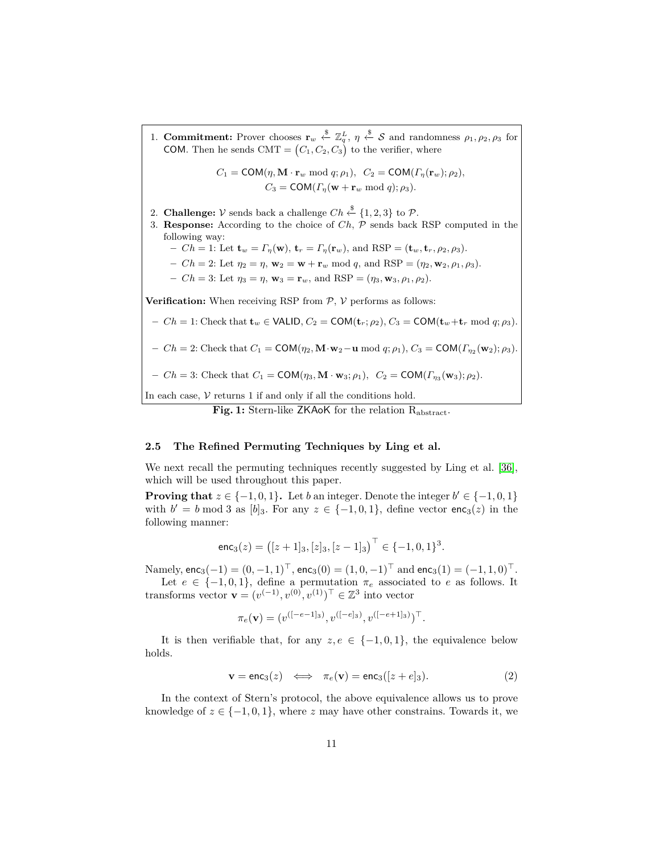1. **Commitment:** Prover chooses  $\mathbf{r}_w \stackrel{\$}{\leftarrow} \mathbb{Z}_q^L$ ,  $\eta \stackrel{\$}{\leftarrow} \mathcal{S}$  and randomness  $\rho_1, \rho_2, \rho_3$  for **COM.** Then he sends CMT =  $(C_1, C_2, C_3)$  to the verifier, where

> $C_1 = \text{COM}(\eta, \mathbf{M} \cdot \mathbf{r}_w \mod q; \rho_1), \ \ C_2 = \text{COM}(F_\eta(\mathbf{r}_w); \rho_2),$  $C_3 = \text{COM}(F_n(\mathbf{w} + \mathbf{r}_w \mod q); \rho_3).$

- 2. **Challenge:**  $\mathcal V$  sends back a challenge  $Ch \xleftarrow{\$} \{1,2,3\}$  to  $\mathcal P$ .
- 3. **Response:** According to the choice of *Ch*, P sends back RSP computed in the following way:
	- $-$  *Ch* = 1: Let  $\mathbf{t}_w = \Gamma_\eta(\mathbf{w}), \mathbf{t}_r = \Gamma_\eta(\mathbf{r}_w), \text{ and RSP} = (\mathbf{t}_w, \mathbf{t}_r, \rho_2, \rho_3).$
	- $Ch = 2$ : Let  $\eta_2 = \eta$ ,  $\mathbf{w}_2 = \mathbf{w} + \mathbf{r}_w \mod q$ , and RSP =  $(\eta_2, \mathbf{w}_2, \rho_1, \rho_3)$ .
	- $-$  *Ch* = 3: Let  $\eta_3 = \eta$ ,  $\mathbf{w}_3 = \mathbf{r}_w$ , and RSP =  $(\eta_3, \mathbf{w}_3, \rho_1, \rho_2)$ .

**Verification:** When receiving RSP from  $P$ ,  $V$  performs as follows:

**–** *Ch* = 1: Check that **t***<sup>w</sup>* ∈ VALID, *C*<sup>2</sup> = COM(**t***r*; *ρ*2), *C*<sup>3</sup> = COM(**t***<sup>w</sup>* +**t***<sup>r</sup>* mod *q*; *ρ*3).

 $-$  *Ch* = 2: Check that  $C_1$  = **COM**( $η_2$ , **M**·**w**<sub>2</sub>−**u** mod *q*; *ρ*<sub>1</sub>),  $C_3$  = **COM**( $\Gamma_{η_2}$ (**w**<sub>2</sub>); *ρ*<sub>3</sub>).

 $-Ch = 3$ : Check that  $C_1 = \text{COM}(\eta_3, \mathbf{M} \cdot \mathbf{w}_3; \rho_1), C_2 = \text{COM}(r_{\eta_3}(\mathbf{w}_3); \rho_2).$ 

In each case,  $V$  returns 1 if and only if all the conditions hold.

<span id="page-10-0"></span>Fig. 1: Stern-like ZKAoK for the relation R<sub>abstract</sub>.

#### <span id="page-10-2"></span>**2.5 The Refined Permuting Techniques by Ling et al.**

We next recall the permuting techniques recently suggested by Ling et al. [\[36\]](#page-42-11), which will be used throughout this paper.

**Proving that**  $z \in \{-1, 0, 1\}$ . Let *b* an integer. Denote the integer  $b' \in \{-1, 0, 1\}$ with  $b' = b \mod 3$  as  $[b]_3$ . For any  $z \in \{-1, 0, 1\}$ , define vector enc<sub>3</sub>(*z*) in the following manner:

$$
\mathsf{enc}_3(z) = ([z+1]_3, [z]_3, [z-1]_3)^\top \in \{-1, 0, 1\}^3.
$$

Namely,  $enc_3(-1) = (0, -1, 1)^\top$ ,  $enc_3(0) = (1, 0, -1)^\top$  and  $enc_3(1) = (-1, 1, 0)^\top$ .

Let  $e \in \{-1, 0, 1\}$ , define a permutation  $\pi_e$  associated to *e* as follows. It transforms vector  $\mathbf{v} = (v^{(-1)}, v^{(0)}, v^{(1)})^\top \in \mathbb{Z}^3$  into vector

$$
\pi_e(\mathbf{v}) = (v^{([-e-1]_3)}, v^{([-e]_3)}, v^{([-e+1]_3)})^\top.
$$

It is then verifiable that, for any  $z, e \in \{-1, 0, 1\}$ , the equivalence below holds.

<span id="page-10-1"></span>
$$
\mathbf{v} = \text{enc}_3(z) \iff \pi_e(\mathbf{v}) = \text{enc}_3([z+e]_3). \tag{2}
$$

In the context of Stern's protocol, the above equivalence allows us to prove knowledge of  $z \in \{-1, 0, 1\}$ , where  $z$  may have other constrains. Towards it, we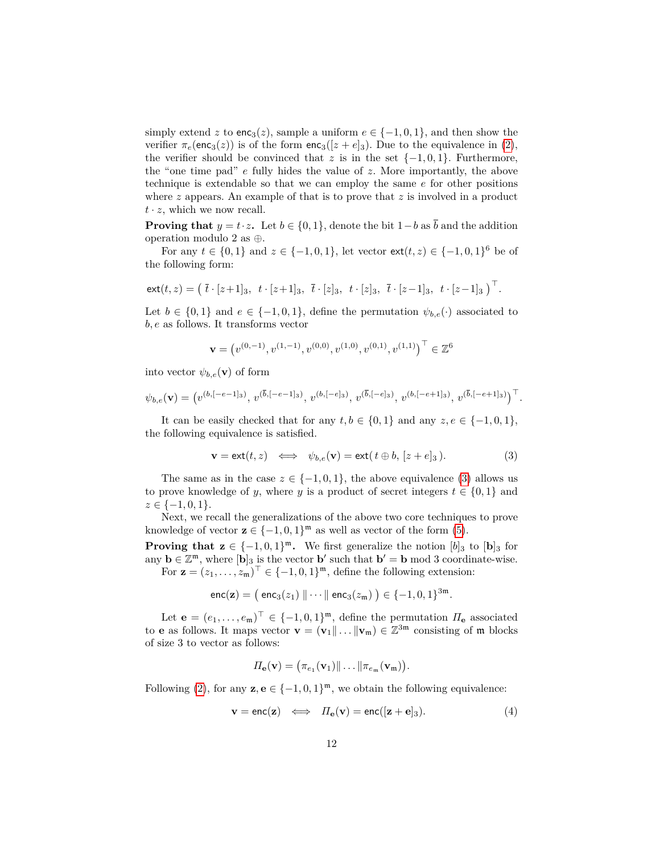simply extend *z* to enc<sub>3</sub>(*z*), sample a uniform  $e \in \{-1, 0, 1\}$ , and then show the verifier  $\pi_e(\mathsf{enc}_3(z))$  is of the form  $\mathsf{enc}_3([z + e]_3)$ . Due to the equivalence in [\(2\)](#page-10-1), the verifier should be convinced that *z* is in the set  $\{-1, 0, 1\}$ . Furthermore, the "one time pad" *e* fully hides the value of *z*. More importantly, the above technique is extendable so that we can employ the same *e* for other positions where *z* appears. An example of that is to prove that *z* is involved in a product  $t \cdot z$ , which we now recall.

**Proving that**  $y = t \cdot z$ . Let  $b \in \{0, 1\}$ , denote the bit  $1 - b$  as  $\overline{b}$  and the addition operation modulo 2 as ⊕.

For any  $t \in \{0, 1\}$  and  $z \in \{-1, 0, 1\}$ , let vector  $ext(t, z) \in \{-1, 0, 1\}^6$  be of the following form:

$$
\mathsf{ext}(t,z) = (\bar{t} \cdot [z+1]_3, t \cdot [z+1]_3, \bar{t} \cdot [z]_3, t \cdot [z]_3, \bar{t} \cdot [z-1]_3, t \cdot [z-1]_3)^\top.
$$

Let  $b \in \{0,1\}$  and  $e \in \{-1,0,1\}$ , define the permutation  $\psi_{b,e}(\cdot)$  associated to *b, e* as follows. It transforms vector

$$
\mathbf{v} = \left(v^{(0,-1)}, v^{(1,-1)}, v^{(0,0)}, v^{(1,0)}, v^{(0,1)}, v^{(1,1)}\right)^\top \in \mathbb{Z}^6
$$

into vector  $\psi_{b,e}(\mathbf{v})$  of form

$$
\psi_{b,e}(\mathbf{v}) = (v^{(b,[-e-1]_3)}, v^{(\overline{b},[-e-1]_3)}, v^{(b,[-e]_3)}, v^{(\overline{b},[-e]_3)}, v^{(b,[-e+1]_3)}, v^{(\overline{b},[-e+1]_3)})^\top.
$$

It can be easily checked that for any  $t, b \in \{0, 1\}$  and any  $z, e \in \{-1, 0, 1\}$ , the following equivalence is satisfied.

<span id="page-11-0"></span>
$$
\mathbf{v} = \text{ext}(t, z) \iff \psi_{b,e}(\mathbf{v}) = \text{ext}(t \oplus b, [z + e]_3). \tag{3}
$$

The same as in the case  $z \in \{-1, 0, 1\}$ , the above equivalence [\(3\)](#page-11-0) allows us to prove knowledge of *y*, where *y* is a product of secret integers  $t \in \{0, 1\}$  and *z* ∈ {−1*,* 0*,* 1}.

Next, we recall the generalizations of the above two core techniques to prove knowledge of vector  $\mathbf{z} \in \{-1, 0, 1\}^{\mathfrak{m}}$  as well as vector of the form [\(5\)](#page-12-0).

**Proving that**  $z \in \{-1, 0, 1\}^m$ **.** We first generalize the notion  $[b]_3$  to  $[b]_3$  for any  $\mathbf{b} \in \mathbb{Z}^m$ , where  $[\mathbf{b}]_3$  is the vector  $\mathbf{b}'$  such that  $\mathbf{b}' = \mathbf{b} \mod 3$  coordinate-wise. For  $\mathbf{z} = (z_1, \ldots, z_m)^\top \in \{-1, 0, 1\}^m$ , define the following extension:

$$
\mathsf{enc}(\mathbf{z}) = \big(\; \mathsf{enc}_3(z_1) \; \| \cdots \| \; \mathsf{enc}_3(z_m) \; \big) \in \{-1,0,1\}^{3\mathfrak{m}}.
$$

Let **e** =  $(e_1, \ldots, e_m)^\top \in \{-1, 0, 1\}^m$ , define the permutation  $\Pi_e$  associated to **e** as follows. It maps vector  $\mathbf{v} = (\mathbf{v}_1 \| \dots \| \mathbf{v}_m) \in \mathbb{Z}^{3m}$  consisting of m blocks of size 3 to vector as follows:

$$
\Pi_{\mathbf{e}}(\mathbf{v}) = (\pi_{e_1}(\mathbf{v}_1) \| \dots \| \pi_{e_m}(\mathbf{v}_m)).
$$

Following [\(2\)](#page-10-1), for any  $z, e \in \{-1, 0, 1\}^m$ , we obtain the following equivalence:

<span id="page-11-1"></span>
$$
\mathbf{v} = \text{enc}(\mathbf{z}) \iff \Pi_{\mathbf{e}}(\mathbf{v}) = \text{enc}([\mathbf{z} + \mathbf{e}]_3). \tag{4}
$$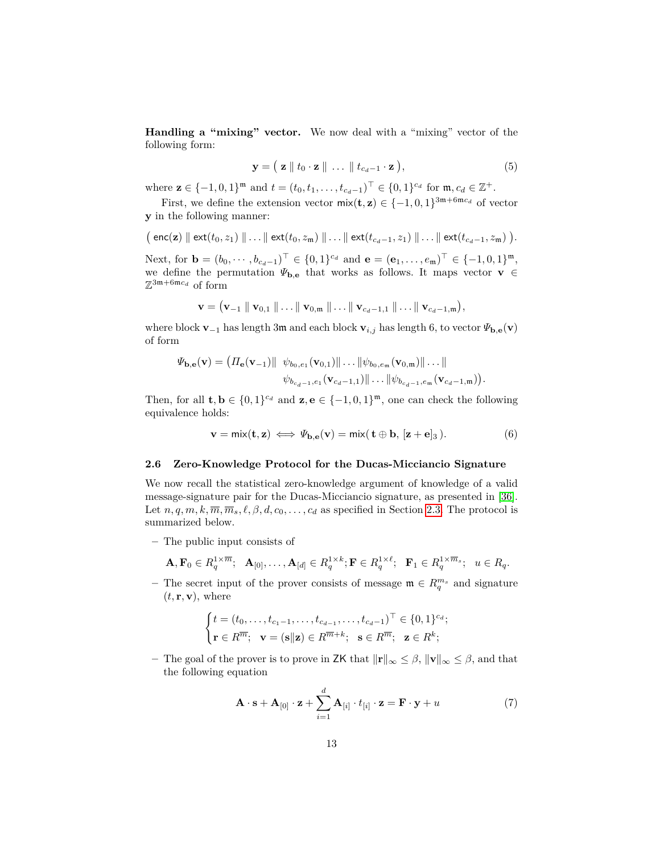**Handling a "mixing" vector.** We now deal with a "mixing" vector of the following form:

<span id="page-12-0"></span>
$$
\mathbf{y} = ( \mathbf{z} \parallel t_0 \cdot \mathbf{z} \parallel \ldots \parallel t_{c_d-1} \cdot \mathbf{z} ), \tag{5}
$$

where  $\mathbf{z} \in \{-1, 0, 1\}^{\mathfrak{m}}$  and  $t = (t_0, t_1, \ldots, t_{c_d-1})^{\top} \in \{0, 1\}^{c_d}$  for  $\mathfrak{m}, c_d \in \mathbb{Z}^+$ .

First, we define the extension vector  $\text{mix}(\mathbf{t}, \mathbf{z}) \in \{-1, 0, 1\}^{3m + 6mc_d}$  of vector **y** in the following manner:

$$
(\mathsf{enc}(\mathbf{z}) \parallel \mathsf{ext}(t_0,z_1) \parallel \ldots \parallel \mathsf{ext}(t_0,z_m) \parallel \ldots \parallel \mathsf{ext}(t_{c_d-1},z_1) \parallel \ldots \parallel \mathsf{ext}(t_{c_d-1},z_m) ).
$$

Next, for  $\mathbf{b} = (b_0, \dots, b_{c_d-1})^\top \in \{0, 1\}^{c_d}$  and  $\mathbf{e} = (\mathbf{e}_1, \dots, e_{\mathfrak{m}})^\top \in \{-1, 0, 1\}^{\mathfrak{m}},$ we define the permutation  $\Psi_{\mathbf{b},\mathbf{e}}$  that works as follows. It maps vector **v** ∈ Z <sup>3</sup>m+6m*c<sup>d</sup>* of form

$$
\mathbf{v} = (\mathbf{v}_{-1} \parallel \mathbf{v}_{0,1} \parallel \ldots \parallel \mathbf{v}_{0,m} \parallel \ldots \parallel \mathbf{v}_{c_d-1,1} \parallel \ldots \parallel \mathbf{v}_{c_d-1,m}),
$$

where block  $\mathbf{v}_{-1}$  has length 3m and each block  $\mathbf{v}_{i,j}$  has length 6, to vector  $\Psi_{\mathbf{b},\mathbf{e}}(\mathbf{v})$ of form

$$
\Psi_{\mathbf{b},\mathbf{e}}(\mathbf{v}) = (H_{\mathbf{e}}(\mathbf{v}_{-1}) \|\psi_{b_0,e_1}(\mathbf{v}_{0,1})\| \dots \|\psi_{b_0,e_m}(\mathbf{v}_{0,m})\| \dots\| \psi_{b_{c_d-1},e_1}(\mathbf{v}_{c_d-1,1}) \|\dots\| \psi_{b_{c_d-1},e_m}(\mathbf{v}_{c_d-1,m}) ).
$$

Then, for all  $\mathbf{t}, \mathbf{b} \in \{0, 1\}^{c_d}$  and  $\mathbf{z}, \mathbf{e} \in \{-1, 0, 1\}^{\mathfrak{m}}$ , one can check the following equivalence holds:

<span id="page-12-2"></span>
$$
\mathbf{v} = \text{mix}(\mathbf{t}, \mathbf{z}) \iff \Psi_{\mathbf{b}, \mathbf{e}}(\mathbf{v}) = \text{mix}(\mathbf{t} \oplus \mathbf{b}, [\mathbf{z} + \mathbf{e}]_3). \tag{6}
$$

#### <span id="page-12-3"></span>**2.6 Zero-Knowledge Protocol for the Ducas-Micciancio Signature**

We now recall the statistical zero-knowledge argument of knowledge of a valid message-signature pair for the Ducas-Micciancio signature, as presented in [\[36\]](#page-42-11). Let  $n, q, m, k, \overline{m}, \overline{m}_s, \ell, \beta, d, c_0, \ldots, c_d$  as specified in Section [2.3.](#page-7-0) The protocol is summarized below.

**–** The public input consists of

$$
\mathbf{A},\mathbf{F}_0\in R_q^{1\times \overline{m}};\quad \mathbf{A}_{[0]},\ldots,\mathbf{A}_{[d]}\in R_q^{1\times k};\mathbf{F}\in R_q^{1\times \ell};\quad \mathbf{F}_1\in R_q^{1\times \overline{m}_s};\quad u\in R_q.
$$

**−** The secret input of the prover consists of message  $\mathfrak{m} \in R_q^{m_s}$  and signature  $(t, \mathbf{r}, \mathbf{v})$ , where

$$
\begin{cases} t = (t_0, \dots, t_{c_1-1}, \dots, t_{c_{d-1}}, \dots, t_{c_d-1})^\top \in \{0, 1\}^{c_d}; \\ \mathbf{r} \in R^{\overline{m}}; \quad \mathbf{v} = (\mathbf{s} \|\mathbf{z}) \in R^{\overline{m}+k}; \quad \mathbf{s} \in R^{\overline{m}}; \quad \mathbf{z} \in R^k; \end{cases}
$$

**–** The goal of the prover is to prove in **ZK** that  $\|\mathbf{r}\|_{\infty} \leq \beta$ ,  $\|\mathbf{v}\|_{\infty} \leq \beta$ , and that the following equation

<span id="page-12-1"></span>
$$
\mathbf{A} \cdot \mathbf{s} + \mathbf{A}_{[0]} \cdot \mathbf{z} + \sum_{i=1}^{d} \mathbf{A}_{[i]} \cdot t_{[i]} \cdot \mathbf{z} = \mathbf{F} \cdot \mathbf{y} + u \tag{7}
$$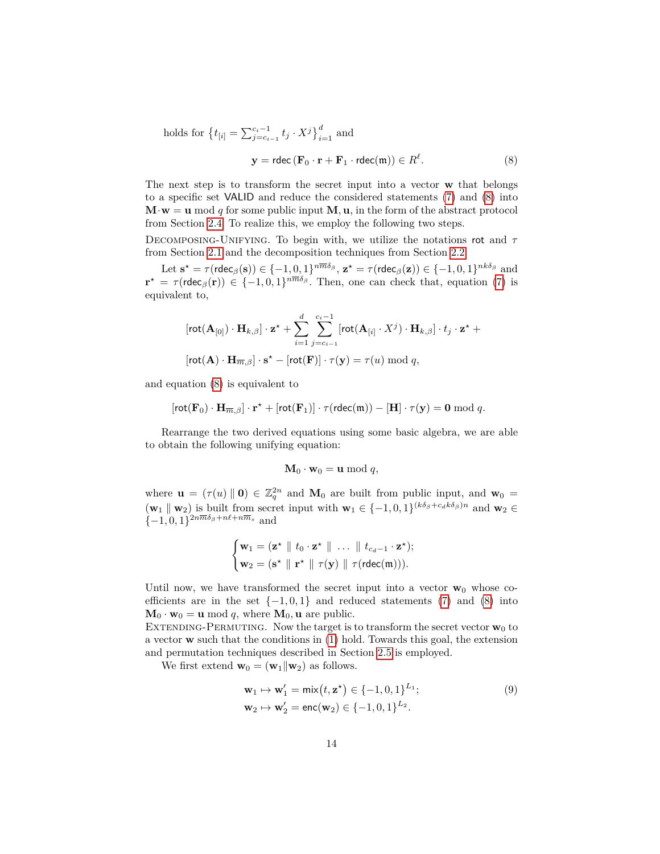holds for  $\{t_{[i]} = \sum_{j=c_{i-1}}^{c_i-1} t_j \cdot X^j\}_{i=1}^d$  and

<span id="page-13-0"></span>
$$
\mathbf{y} = \text{rdec} \left( \mathbf{F}_0 \cdot \mathbf{r} + \mathbf{F}_1 \cdot \text{rdec}(\mathfrak{m}) \right) \in R^{\ell}. \tag{8}
$$

The next step is to transform the secret input into a vector **w** that belongs to a specific set VALID and reduce the considered statements [\(7\)](#page-12-1) and [\(8\)](#page-13-0) into  $\mathbf{M} \cdot \mathbf{w} = \mathbf{u} \mod q$  for some public input  $\mathbf{M}$ ,  $\mathbf{u}$ , in the form of the abstract protocol from Section [2.4.](#page-8-0) To realize this, we employ the following two steps.

Decomposing-Unifying. To begin with, we utilize the notations rot and *τ* from Section [2.1](#page-5-1) and the decomposition techniques from Section [2.2.](#page-6-0)

Let  $\mathbf{s}^* = \tau(\text{rdec}_{\beta}(\mathbf{s})) \in \{-1,0,1\}^{n\overline{m}\delta_{\beta}}, \mathbf{z}^* = \tau(\text{rdec}_{\beta}(\mathbf{z})) \in \{-1,0,1\}^{nk\delta_{\beta}}$  and  ${\bf r}^* = \tau$ (rdec<sub>*β*</sub>(**r**))  $\in$  {-1,0,1} $n^{\overline{m}\delta}$ *β*. Then, one can check that, equation [\(7\)](#page-12-1) is equivalent to,

$$
[\text{rot}(\mathbf{A}_{[0]})\cdot\mathbf{H}_{k,\beta}]\cdot\mathbf{z}^{\star} + \sum_{i=1}^{d}\sum_{j=c_{i-1}}^{c_{i}-1}[\text{rot}(\mathbf{A}_{[i]}\cdot X^{j})\cdot\mathbf{H}_{k,\beta}]\cdot t_{j}\cdot\mathbf{z}^{\star} +
$$

$$
[\text{rot}(\mathbf{A})\cdot\mathbf{H}_{\overline{m},\beta}]\cdot\mathbf{s}^{\star} - [\text{rot}(\mathbf{F})]\cdot\boldsymbol{\tau}(\mathbf{y}) = \boldsymbol{\tau}(u) \bmod q,
$$

and equation [\(8\)](#page-13-0) is equivalent to

$$
[\mathsf{rot}(\mathbf F_0) \cdot \mathbf H_{\overline{m},\beta}] \cdot \mathbf r^\star + [\mathsf{rot}(\mathbf F_1)] \cdot \tau (\mathsf{rdec}(\mathfrak m)) - [\mathbf H] \cdot \tau(\mathbf y) = \mathbf 0 \bmod q.
$$

Rearrange the two derived equations using some basic algebra, we are able to obtain the following unifying equation:

$$
\mathbf{M}_0 \cdot \mathbf{w}_0 = \mathbf{u} \bmod q,
$$

where  $\mathbf{u} = (\tau(u) \parallel \mathbf{0}) \in \mathbb{Z}_q^{2n}$  and  $\mathbf{M}_0$  are built from public input, and  $\mathbf{w}_0 =$  $(\mathbf{w}_1 \parallel \mathbf{w}_2)$  is built from secret input with  $\mathbf{w}_1 \in \{-1, 0, 1\}^{(k\delta_\beta + c_d k\delta_\beta)n}$  and  $\mathbf{w}_2 \in$  $\{-1,0,1\}^{2n\overline{m}\delta_{\beta}+n\ell+n\overline{m}_s}$  and

$$
\begin{cases}\n\mathbf{w}_1 = (\mathbf{z}^* \parallel t_0 \cdot \mathbf{z}^* \parallel \ldots \parallel t_{c_d-1} \cdot \mathbf{z}^*); \\
\mathbf{w}_2 = (\mathbf{s}^* \parallel \mathbf{r}^* \parallel \tau(\mathbf{y}) \parallel \tau(\text{rdec}(\mathfrak{m}))).\n\end{cases}
$$

Until now, we have transformed the secret input into a vector  $\mathbf{w}_0$  whose coefficients are in the set  $\{-1,0,1\}$  and reduced statements [\(7\)](#page-12-1) and [\(8\)](#page-13-0) into  $\mathbf{M}_0 \cdot \mathbf{w}_0 = \mathbf{u} \bmod q$ , where  $\mathbf{M}_0$ ,  $\mathbf{u}$  are public.

EXTENDING-PERMUTING. Now the target is to transform the secret vector  $\mathbf{w}_0$  to a vector **w** such that the conditions in [\(1\)](#page-9-0) hold. Towards this goal, the extension and permutation techniques described in Section [2.5](#page-10-2) is employed.

We first extend  $\mathbf{w}_0 = (\mathbf{w}_1 || \mathbf{w}_2)$  as follows.

<span id="page-13-1"></span>
$$
\mathbf{w}_1 \mapsto \mathbf{w}'_1 = \text{mix}(t, \mathbf{z}^*) \in \{-1, 0, 1\}^{L_1};
$$
  
\n
$$
\mathbf{w}_2 \mapsto \mathbf{w}'_2 = \text{enc}(\mathbf{w}_2) \in \{-1, 0, 1\}^{L_2}.
$$
\n(9)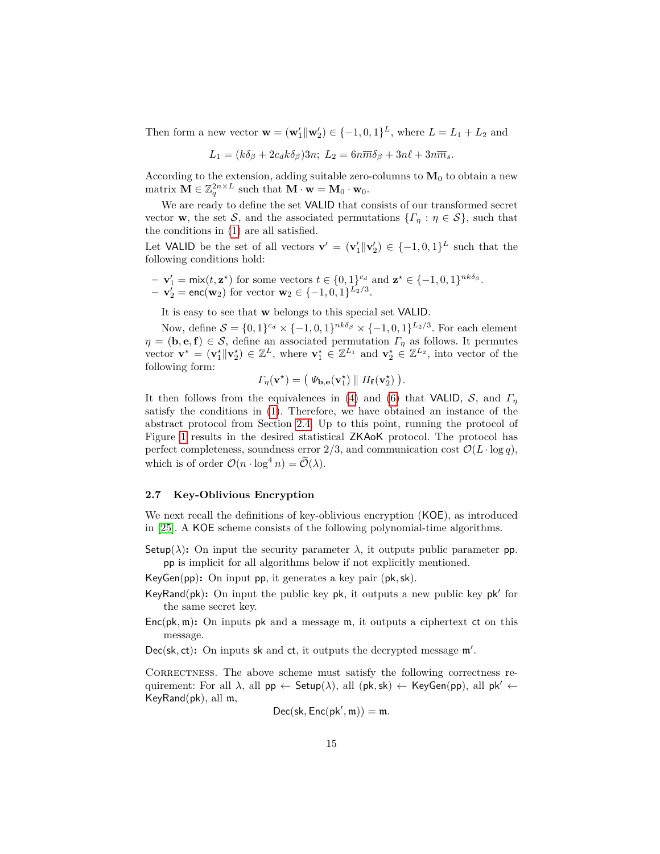Then form a new vector  $\mathbf{w} = (\mathbf{w}'_1 || \mathbf{w}'_2) \in \{-1, 0, 1\}^L$ , where  $L = L_1 + L_2$  and

$$
L_1 = (k\delta_\beta + 2c_d k\delta_\beta)3n; L_2 = 6n\overline{m}\delta_\beta + 3n\ell + 3n\overline{m}_s.
$$

According to the extension, adding suitable zero-columns to  $M_0$  to obtain a new matrix  $\mathbf{M} \in \mathbb{Z}_q^{2n \times L}$  such that  $\mathbf{M} \cdot \mathbf{w} = \mathbf{M}_0 \cdot \mathbf{w}_0$ .

We are ready to define the set VALID that consists of our transformed secret vector **w**, the set S, and the associated permutations  $\{ \Gamma_n : \eta \in S \}$ , such that the conditions in [\(1\)](#page-9-0) are all satisfied.

Let VALID be the set of all vectors  $\mathbf{v}' = (\mathbf{v}'_1 || \mathbf{v}'_2) \in \{-1, 0, 1\}^L$  such that the following conditions hold:

 $\mathbf{v}'_1 = \text{mix}(t, \mathbf{z}^*)$  for some vectors  $t \in \{0, 1\}^{c_d}$  and  $\mathbf{z}^* \in \{-1, 0, 1\}^{nk\delta_\beta}$ .  $-$  **v**<sub>2</sub> = enc(**w**<sub>2</sub>) for vector **w**<sub>2</sub>  $\in$  {-1*,* 0*,* 1}  $L_2/3$ .

It is easy to see that **w** belongs to this special set VALID.

Now, define  $S = \{0, 1\}^{c_d} \times \{-1, 0, 1\}^{nk\delta_\beta} \times \{-1, 0, 1\}^{L_2/3}$ . For each element  $\eta = (\mathbf{b}, \mathbf{e}, \mathbf{f}) \in \mathcal{S}$ , define an associated permutation  $\Gamma_{\eta}$  as follows. It permutes vector  $\mathbf{v}^* = (\mathbf{v}_1^* \| \mathbf{v}_2^*) \in \mathbb{Z}^L$ , where  $\mathbf{v}_1^* \in \mathbb{Z}^{L_1}$  and  $\mathbf{v}_2^* \in \mathbb{Z}^{L_2}$ , into vector of the following form:

$$
\Gamma_{\eta}(\mathbf{v}^{\star}) = (\Psi_{\mathbf{b},\mathbf{e}}(\mathbf{v}_{1}^{\star}) \parallel \varPi_{\mathbf{f}}(\mathbf{v}_{2}^{\star})).
$$

It then follows from the equivalences in [\(4\)](#page-11-1) and [\(6\)](#page-12-2) that VALID, S, and *Γ<sup>η</sup>* satisfy the conditions in [\(1\)](#page-9-0). Therefore, we have obtained an instance of the abstract protocol from Section [2.4.](#page-8-0) Up to this point, running the protocol of Figure [1](#page-10-0) results in the desired statistical ZKAoK protocol. The protocol has perfect completeness, soundness error  $2/3$ , and communication cost  $\mathcal{O}(L \cdot \log q)$ , which is of order  $\mathcal{O}(n \cdot \log^4 n) = \widetilde{\mathcal{O}}(\lambda)$ .

### <span id="page-14-0"></span>**2.7 Key-Oblivious Encryption**

We next recall the definitions of key-oblivious encryption (KOE), as introduced in [\[25\]](#page-42-2). A KOE scheme consists of the following polynomial-time algorithms.

- Setup( $\lambda$ ): On input the security parameter  $\lambda$ , it outputs public parameter pp. pp is implicit for all algorithms below if not explicitly mentioned.
- KeyGen(pp)**:** On input pp, it generates a key pair (pk*,*sk).
- KeyRand(pk): On input the public key pk, it outputs a new public key pk' for the same secret key.
- Enc(pk, m): On inputs pk and a message m, it outputs a ciphertext ct on this message.

 $Dec(st, ct)$ : On inputs sk and ct, it outputs the decrypted message  $m'$ .

Correctness. The above scheme must satisfy the following correctness requirement: For all  $\lambda$ , all  $pp \leftarrow$  Setup $(\lambda)$ , all  $(pk, sk) \leftarrow$  KeyGen(pp), all  $pk' \leftarrow$ KeyRand(pk), all m,

$$
\mathsf{Dec}(\mathsf{sk}, \mathsf{Enc}(\mathsf{pk}', \mathfrak{m})) = \mathfrak{m}.
$$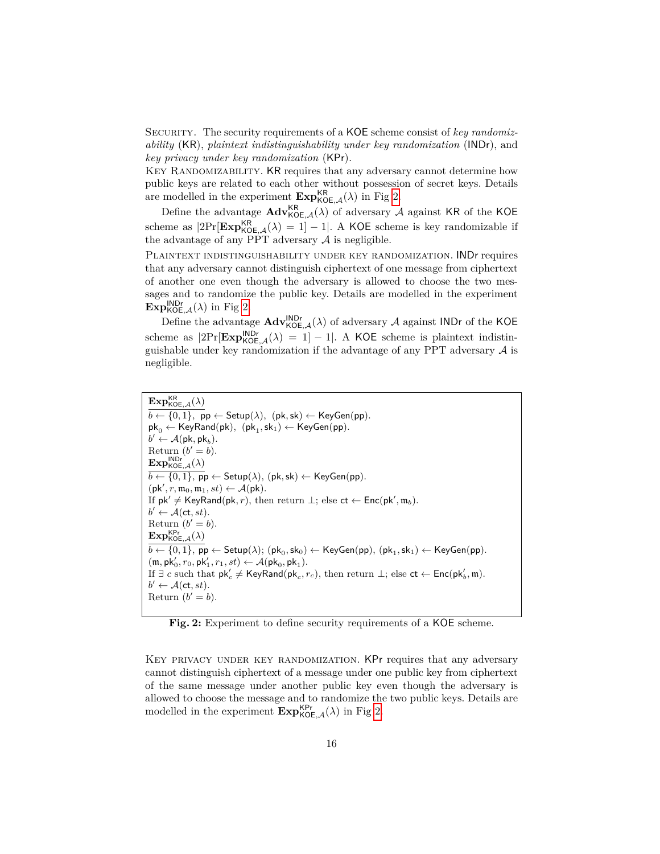Security. The security requirements of a KOE scheme consist of *key randomizability* (KR), *plaintext indistinguishability under key randomization* (INDr), and *key privacy under key randomization* (KPr).

KEY RANDOMIZABILITY. KR requires that any adversary cannot determine how public keys are related to each other without possession of secret keys. Details are modelled in the experiment  $\mathbf{Exp}_{\mathsf{KOE},\mathcal{A}}^{\mathsf{KR}}(\lambda)$  in Fig [2.](#page-15-0)

Define the advantage  $\text{Adv}_{\text{KOE},\mathcal{A}}^{\text{KR}}(\lambda)$  of adversary  $\mathcal A$  against KR of the KOE scheme as  $|2Pr[\mathbf{Exp}_{KOE,\mathcal{A}}^{KR}(\lambda) = 1] - 1|$ . A KOE scheme is key randomizable if the advantage of any PPT adversary  $A$  is negligible.

PLAINTEXT INDISTINGUISHABILITY UNDER KEY RANDOMIZATION. INDr requires that any adversary cannot distinguish ciphertext of one message from ciphertext of another one even though the adversary is allowed to choose the two messages and to randomize the public key. Details are modelled in the experiment  $\mathbf{Exp}_{\mathsf{KOE},\mathcal{A}}^{\mathsf{INDr}}(\lambda)$  in Fig [2.](#page-15-0)

Define the advantage  $\text{Adv}_{\mathsf{KOE},\mathcal{A}}^{\mathsf{INDr}}(\lambda)$  of adversary  $\mathcal A$  against **INDr** of the KOE scheme as  $|2Pr[\mathbf{Exp}_{KOE,\mathcal{A}}^{INDr}(\lambda) = 1] - 1|$ . A KOE scheme is plaintext indistinguishable under key randomization if the advantage of any PPT adversary  $A$  is negligible.

 $\mathbf{Exp}_{\mathsf{KOE},\mathcal{A}}^{\mathsf{KR}}(\lambda)$  $\overline{b \leftarrow \{0,1\}, \, \overline{p}p \leftarrow \mathsf{Setup}(\lambda), \, (\mathsf{pk},\mathsf{sk}) \leftarrow \mathsf{KeyGen}(\mathsf{pp}).$  $\mathsf{pk}_0 \leftarrow \mathsf{KeyRand}(\mathsf{pk}), \; (\mathsf{pk}_1, \mathsf{sk}_1) \leftarrow \mathsf{KeyGen}(\mathsf{pp}).$  $b' \leftarrow \mathcal{A}(\mathsf{pk}, \mathsf{pk}_b).$ Return  $(b' = b)$ .  $\mathbf{Exp}_{\mathsf{KOE},\mathcal{A}}^{\mathsf{INDr}}(\lambda)$  $\overline{b} \leftarrow \{0, 1\}$ ,  $\overline{pp} \leftarrow$  Setup $(\lambda)$ ,  $(\overline{pk}, \overline{sk}) \leftarrow$  KeyGen $(\overline{pp})$ .  $(\mathsf{pk}', r, \mathfrak{m}_0, \mathfrak{m}_1, st) \leftarrow \mathcal{A}(\mathsf{pk}).$ If  $pk' \neq KeyRand(pk, r)$ , then return ⊥; else  $ct \leftarrow Enc(pk', m_b)$ .  $b' \leftarrow \mathcal{A}(\textsf{ct}, st).$ Return  $(b' = b)$ .  $\mathbf{Exp}_{\mathsf{KOE},\mathcal{A}}^{\mathsf{KPr}}(\lambda)$  $b \leftarrow \{0,1\}$ , pp  $\leftarrow$  Setup $(\lambda)$ ;  $(\mathsf{pk}_0, \mathsf{sk}_0) \leftarrow \mathsf{KeyGen}(\mathsf{pp}), (\mathsf{pk}_1, \mathsf{sk}_1) \leftarrow \mathsf{KeyGen}(\mathsf{pp}).$  $(\mathfrak{m},\mathsf{pk}_0',r_0,\mathsf{pk}_1',r_1,st) \leftarrow \mathcal{A}(\mathsf{pk}_0,\mathsf{pk}_1).$ If  $\exists$  *c* such that  $pk'_c \neq KeyRand(pk_c, r_c)$ , then return ⊥; else  $ct \leftarrow Enc(pk'_b, m)$ .  $b' \leftarrow \mathcal{A}(\textsf{ct}, st).$ Return  $(b' = b)$ .

<span id="page-15-0"></span>**Fig. 2:** Experiment to define security requirements of a KOE scheme.

KEY PRIVACY UNDER KEY RANDOMIZATION. KPr requires that any adversary cannot distinguish ciphertext of a message under one public key from ciphertext of the same message under another public key even though the adversary is allowed to choose the message and to randomize the two public keys. Details are modelled in the experiment  $\mathbf{Exp}_{\mathsf{KOE},\mathcal{A}}^{\mathsf{KPr}}(\lambda)$  in Fig [2.](#page-15-0)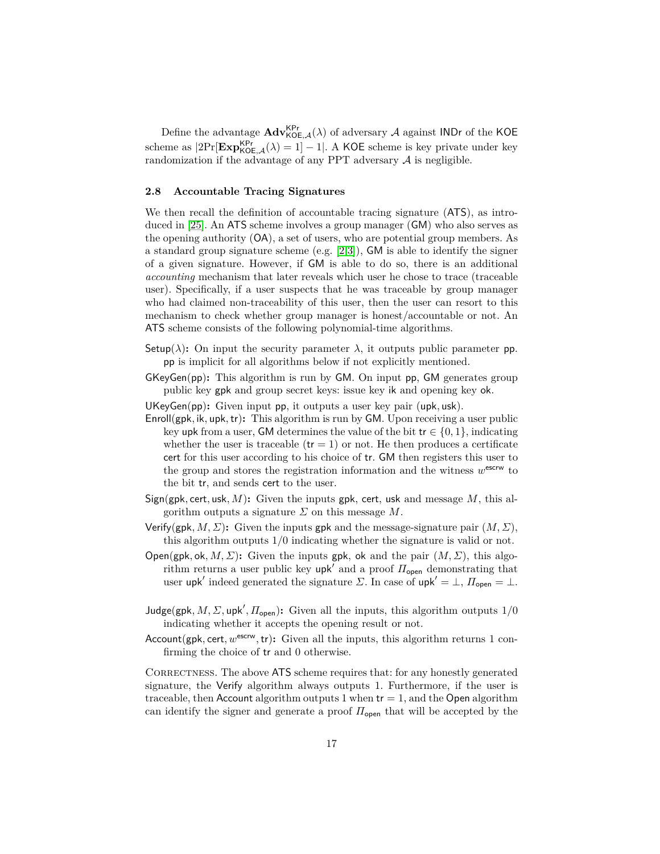Define the advantage  $\mathbf{Adv}^{\mathsf{KPr}}_{\mathsf{KOE},\mathcal{A}}(\lambda)$  of adversary  $\mathcal{A}$  against INDr of the KOE scheme as  $|2Pr[\mathbf{Exp}_{KOE,\mathcal{A}}^{KPr}(\lambda) = 1] - 1|$ . A KOE scheme is key private under key randomization if the advantage of any PPT adversary  $A$  is negligible.

#### <span id="page-16-0"></span>**2.8 Accountable Tracing Signatures**

We then recall the definition of accountable tracing signature (ATS), as introduced in [\[25\]](#page-42-2). An ATS scheme involves a group manager (GM) who also serves as the opening authority (OA), a set of users, who are potential group members. As a standard group signature scheme (e.g. [\[2,](#page-41-1)[3\]](#page-41-3)), GM is able to identify the signer of a given signature. However, if GM is able to do so, there is an additional *accounting* mechanism that later reveals which user he chose to trace (traceable user). Specifically, if a user suspects that he was traceable by group manager who had claimed non-traceability of this user, then the user can resort to this mechanism to check whether group manager is honest/accountable or not. An ATS scheme consists of the following polynomial-time algorithms.

- Setup( $\lambda$ ): On input the security parameter  $\lambda$ , it outputs public parameter pp. pp is implicit for all algorithms below if not explicitly mentioned.
- GKeyGen(pp)**:** This algorithm is run by GM. On input pp, GM generates group public key gpk and group secret keys: issue key ik and opening key ok.
- UKeyGen(pp)**:** Given input pp, it outputs a user key pair (upk*,* usk).
- Enroll(gpk*,* ik*,* upk*,*tr)**:** This algorithm is run by GM. Upon receiving a user public key upk from a user, GM determines the value of the bit  $\mathsf{tr} \in \{0, 1\}$ , indicating whether the user is traceable  $(tr = 1)$  or not. He then produces a certificate cert for this user according to his choice of tr. GM then registers this user to the group and stores the registration information and the witness  $w^{\text{escrw}}$  to the bit tr, and sends cert to the user.
- Sign(gpk*,* cert*,* usk*, M*)**:** Given the inputs gpk, cert, usk and message *M*, this algorithm outputs a signature  $\Sigma$  on this message  $M$ .
- Verify(gpk,  $M, \Sigma$ ): Given the inputs gpk and the message-signature pair  $(M, \Sigma)$ , this algorithm outputs 1*/*0 indicating whether the signature is valid or not.
- Open(gpk, ok,  $M, \Sigma$ ): Given the inputs gpk, ok and the pair  $(M, \Sigma)$ , this algorithm returns a user public key  $upk'$  and a proof  $\Pi_{open}$  demonstrating that user upk<sup>'</sup> indeed generated the signature *Σ*. In case of upk<sup>'</sup> =  $\perp$ ,  $\Pi_{open} = \perp$ .
- Judge(gpk,  $M$ ,  $\Sigma$ , upk',  $\Pi_{\text{open}}$ ): Given all the inputs, this algorithm outputs  $1/0$ indicating whether it accepts the opening result or not.
- Account(gpk, cert,  $w^{\text{escrw}}$ , tr): Given all the inputs, this algorithm returns 1 confirming the choice of tr and 0 otherwise.

CORRECTNESS. The above ATS scheme requires that: for any honestly generated signature, the Verify algorithm always outputs 1. Furthermore, if the user is traceable, then Account algorithm outputs 1 when  $tr = 1$ , and the Open algorithm can identify the signer and generate a proof  $\Pi_{open}$  that will be accepted by the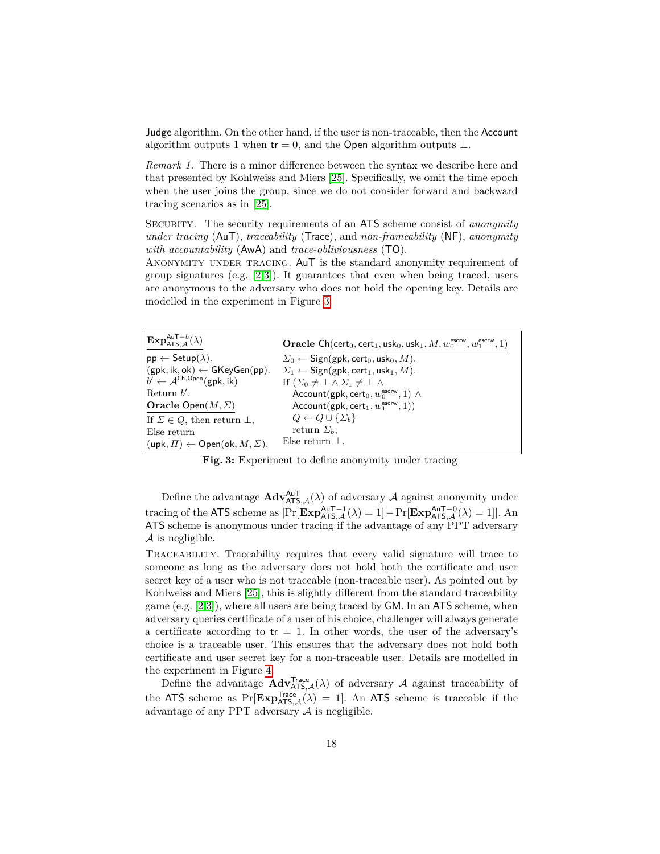Judge algorithm. On the other hand, if the user is non-traceable, then the Account algorithm outputs 1 when  $tr = 0$ , and the Open algorithm outputs  $\perp$ .

*Remark 1.* There is a minor difference between the syntax we describe here and that presented by Kohlweiss and Miers [\[25\]](#page-42-2). Specifically, we omit the time epoch when the user joins the group, since we do not consider forward and backward tracing scenarios as in [\[25\]](#page-42-2).

Security. The security requirements of an ATS scheme consist of *anonymity under tracing* (AuT), *traceability* (Trace), and *non-frameability* (NF), *anonymity with accountability* (AwA) and *trace-obliviousness* (TO).

ANONYMITY UNDER TRACING. AuT is the standard anonymity requirement of group signatures (e.g. [\[2,](#page-41-1)[3\]](#page-41-3)). It guarantees that even when being traced, users are anonymous to the adversary who does not hold the opening key. Details are modelled in the experiment in Figure [3.](#page-17-0)

| $\mathbf{Exp}_{\mathsf{ATS}\,A}^{\mathsf{Aut}\,{-}b}(\lambda)$          | Oracle Ch(cert <sub>0</sub> , cert <sub>1</sub> , usk <sub>0</sub> , usk <sub>1</sub> , $M$ , $w_0^{\text{escrw}}, w_1^{\text{escrw}}, 1)$ |
|-------------------------------------------------------------------------|--------------------------------------------------------------------------------------------------------------------------------------------|
| $pp \leftarrow$ Setup( $\lambda$ ).                                     | $\Sigma_0 \leftarrow$ Sign(gpk, cert <sub>0</sub> , usk <sub>0</sub> , M).                                                                 |
| $(gpk, ik, ok) \leftarrow GKeyGen(pp).$                                 | $\Sigma_1 \leftarrow$ Sign(gpk, cert <sub>1</sub> , usk <sub>1</sub> , M).                                                                 |
| $b' \leftarrow \mathcal{A}^{\text{Ch,Open}}(\text{gpk}, \text{ik})$     | If $(\Sigma_0 \neq \bot \wedge \Sigma_1 \neq \bot \wedge$                                                                                  |
| Return $b'$ .                                                           | Account(gpk, cert <sub>0</sub> , $w_0^{\text{escrw}}, 1) \wedge$                                                                           |
| Oracle Open $(M, \Sigma)$                                               | Account(gpk, cert <sub>1</sub> , $w_1^{\text{escrw}}, 1$ ))                                                                                |
| If $\Sigma \in Q$ , then return $\bot$ ,                                | $Q \leftarrow Q \cup {\{\Sigma_b\}}$                                                                                                       |
| Else return                                                             | return $\Sigma_h$ ,                                                                                                                        |
| $(\textsf{upk}, \Pi) \leftarrow \textsf{Open}(\textsf{ok}, M, \Sigma).$ | Else return $\perp$ .                                                                                                                      |

**Fig. 3:** Experiment to define anonymity under tracing

<span id="page-17-0"></span>Define the advantage  $\text{Adv}_{\text{ATS},\mathcal{A}}^{\text{AuT}}(\lambda)$  of adversary  $\mathcal A$  against anonymity under tracing of the ATS scheme as  $|\Pr[\mathbf{Exp}_{\mathsf{ATS},\mathcal{A}}^{\mathsf{AuT}-1}(\lambda) = 1] - \Pr[\mathbf{Exp}_{\mathsf{ATS},\mathcal{A}}^{\mathsf{AuT}-0}(\lambda) = 1]|$ . An ATS scheme is anonymous under tracing if the advantage of any PPT adversary  $\mathcal A$  is negligible.

Traceability. Traceability requires that every valid signature will trace to someone as long as the adversary does not hold both the certificate and user secret key of a user who is not traceable (non-traceable user). As pointed out by Kohlweiss and Miers [\[25\]](#page-42-2), this is slightly different from the standard traceability game (e.g. [\[2](#page-41-1)[,3\]](#page-41-3)), where all users are being traced by GM. In an ATS scheme, when adversary queries certificate of a user of his choice, challenger will always generate a certificate according to  $tr = 1$ . In other words, the user of the adversary's choice is a traceable user. This ensures that the adversary does not hold both certificate and user secret key for a non-traceable user. Details are modelled in the experiment in Figure [4.](#page-18-0)

Define the advantage  $\text{Adv}_{\text{ATS},\mathcal{A}}^{\text{Trace}}(\lambda)$  of adversary  $\mathcal A$  against traceability of the ATS scheme as  $Pr[\text{Exp}^{\text{Trace}}_{\text{ATS},\mathcal{A}}(\lambda) = 1]$ . An ATS scheme is traceable if the advantage of any PPT adversary  $A$  is negligible.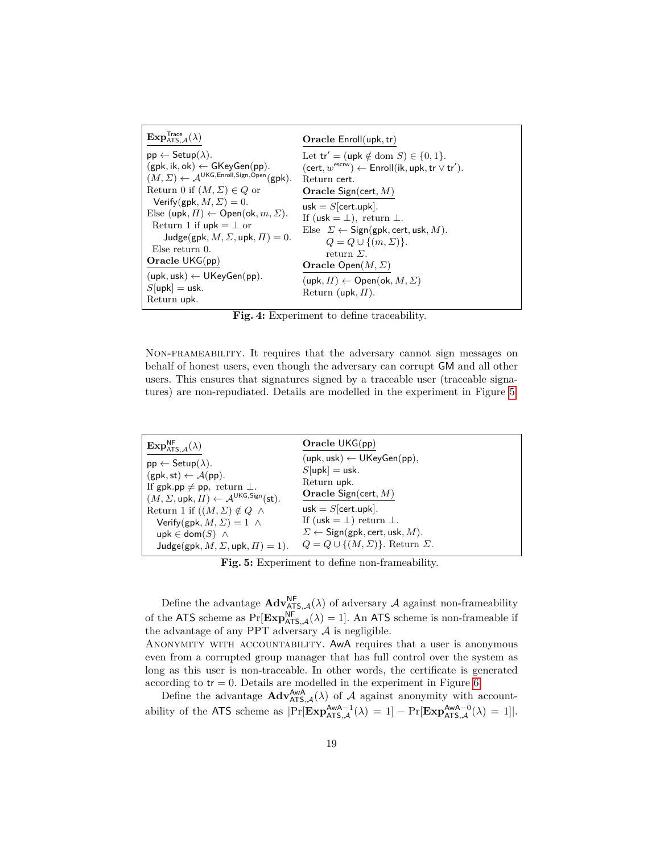| $\mathbf{Exp}^{\mathsf{Trace}}_{\mathsf{ATS}.\mathcal{A}}(\lambda)$                                                                                                                                                                                                                                                                                                                                                                                                                                                                                                                        | Oracle Enroll(upk, tr)                                                                                                                                                                                                                                                                                                                                                                                                                                                                                   |
|--------------------------------------------------------------------------------------------------------------------------------------------------------------------------------------------------------------------------------------------------------------------------------------------------------------------------------------------------------------------------------------------------------------------------------------------------------------------------------------------------------------------------------------------------------------------------------------------|----------------------------------------------------------------------------------------------------------------------------------------------------------------------------------------------------------------------------------------------------------------------------------------------------------------------------------------------------------------------------------------------------------------------------------------------------------------------------------------------------------|
| $pp \leftarrow$ Setup( $\lambda$ ).<br>$(gpk, ik, ok) \leftarrow GKeyGen(pp).$<br>$(M, \Sigma) \leftarrow \mathcal{A}^{\mathsf{UKG}, \mathsf{Enroll}, \mathsf{Sign}, \mathsf{Open}}(\mathsf{gpk}).$<br>Return 0 if $(M, \Sigma) \in Q$ or<br>Verify(gpk, $M, \Sigma$ ) = 0.<br>Else $(\textsf{upk}, \Pi) \leftarrow \textsf{Open}(\textsf{ok}, m, \Sigma).$<br>Return 1 if $upk = \perp$ or<br>Judge(gpk, $M, \Sigma$ , upk, $\Pi$ ) = 0.<br>Else return 0.<br>Oracle UKG(pp)<br>$(\mathsf{upk}, \mathsf{usk}) \leftarrow \mathsf{UKeyGen}(\mathsf{pp}).$<br>$S[\text{upk}] = \text{usk.}$ | Let $tr' = (upk \notin dom S) \in \{0, 1\}.$<br>$(\text{cert}, w^{\text{escrw}}) \leftarrow \text{Enroll}(ik, \text{upk}, \text{tr} \vee \text{tr}').$<br>Return cert.<br><b>Oracle Sign(cert, <math>M</math>)</b><br>$usk = S[cert.update].$<br>If (usk = $\perp$ ), return $\perp$ .<br>Else $\Sigma \leftarrow$ Sign(gpk, cert, usk, M).<br>$Q = Q \cup \{(m, \Sigma)\}.$<br>return $\Sigma$ .<br>Oracle Open $(M, \Sigma)$<br>$(\textsf{upk}, \Pi) \leftarrow \textsf{Open}(\textsf{ok}, M, \Sigma)$ |
| Return upk.                                                                                                                                                                                                                                                                                                                                                                                                                                                                                                                                                                                | Return (upk, $\Pi$ ).                                                                                                                                                                                                                                                                                                                                                                                                                                                                                    |

**Fig. 4:** Experiment to define traceability.

<span id="page-18-0"></span>Non-frameability. It requires that the adversary cannot sign messages on behalf of honest users, even though the adversary can corrupt GM and all other users. This ensures that signatures signed by a traceable user (traceable signatures) are non-repudiated. Details are modelled in the experiment in Figure [5.](#page-18-1)

| $\mathbf{Exp}_{\mathsf{ATS}.\mathcal{A}}^{\mathsf{NF}}(\lambda)$                           | Oracle $UKG(pp)$                                                         |
|--------------------------------------------------------------------------------------------|--------------------------------------------------------------------------|
| $pp \leftarrow$ Setup( $\lambda$ ).                                                        | $(\mathsf{upk}, \mathsf{usk}) \leftarrow \mathsf{UKeyGen}(\mathsf{pp}),$ |
| $(gpk, st) \leftarrow \mathcal{A}(pp)$ .                                                   | $S[\text{upk}] = \text{usk.}$                                            |
| If gpk.pp $\neq$ pp, return $\perp$ .                                                      | Return upk.                                                              |
| $(M, \Sigma, \text{upk}, \Pi) \leftarrow \mathcal{A}^{\text{UKG},\text{Sign}}(\text{st}).$ | Oracle Sign(cert, $M$ )                                                  |
| Return 1 if $((M, \Sigma) \notin Q \wedge$                                                 | $usk = S[cert.update].$                                                  |
| Verify(gpk, $M, \Sigma$ ) = 1 $\wedge$                                                     | If (usk = $\perp$ ) return $\perp$ .                                     |
| $upk \in dom(S)$ $\wedge$                                                                  | $\Sigma \leftarrow$ Sign(gpk, cert, usk, M).                             |
| Judge(gpk, $M, \Sigma$ , upk, $\Pi$ ) = 1).                                                | $Q = Q \cup \{(M, \Sigma)\}\)$ . Return $\Sigma$ .                       |

**Fig. 5:** Experiment to define non-frameability.

<span id="page-18-1"></span>Define the advantage  $\text{Adv}_{\text{ATS},\mathcal{A}}^{\text{NF}}(\lambda)$  of adversary  $\mathcal A$  against non-frameability of the ATS scheme as  $Pr[\mathbf{Exp}_{ATS,A}^{NF}(\lambda) = 1]$ . An ATS scheme is non-frameable if the advantage of any PPT adversary  $A$  is negligible.

Anonymity with accountability. AwA requires that a user is anonymous even from a corrupted group manager that has full control over the system as long as this user is non-traceable. In other words, the certificate is generated according to  $tr = 0$ . Details are modelled in the experiment in Figure [6.](#page-19-1)

Define the advantage  $\text{Adv}_{\text{ATS},\mathcal{A}}^{\text{AwA}}(\lambda)$  of  $\mathcal{A}$  against anonymity with accountability of the ATS scheme as  $|\Pr[\mathbf{Exp}_{\mathsf{ATS},\mathcal{A}}^{\mathsf{AwA}-1}(\lambda) = 1] - \Pr[\mathbf{Exp}_{\mathsf{ATS},\mathcal{A}}^{\mathsf{AwA}-0}(\lambda) = 1]|$ .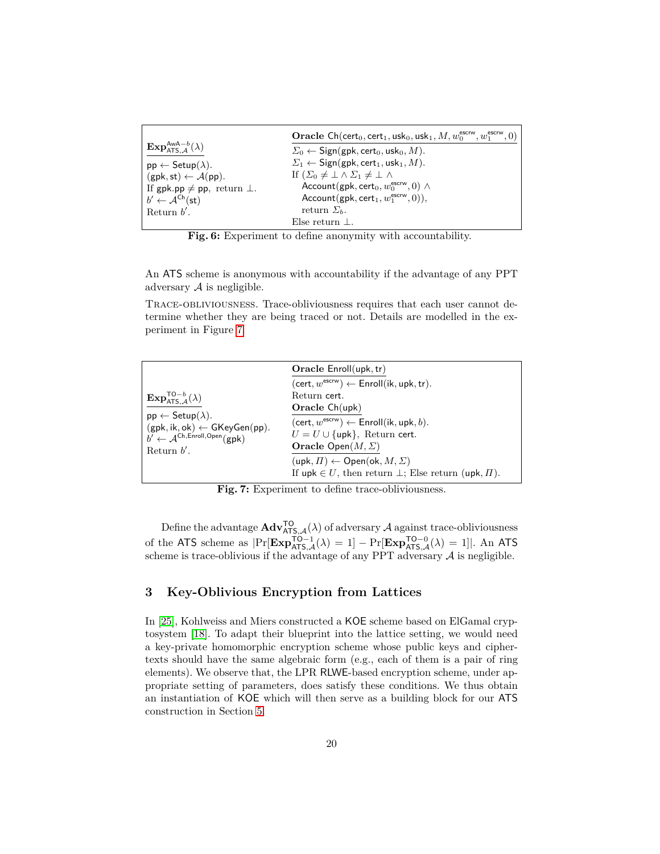|                                                           | Oracle Ch(cert <sub>0</sub> , cert <sub>1</sub> , usk <sub>0</sub> , usk <sub>1</sub> , $M, w_0^{\text{escrw}}, w_1^{\text{escrw}}, 0)$ |
|-----------------------------------------------------------|-----------------------------------------------------------------------------------------------------------------------------------------|
| $\mathbf{Exp}_{\mathrm{ATS}.A}^{\mathsf{AwA}-b}(\lambda)$ | $\Sigma_0 \leftarrow$ Sign(gpk, cert <sub>0</sub> , usk <sub>0</sub> , M).                                                              |
| $pp \leftarrow$ Setup( $\lambda$ ).                       | $\Sigma_1 \leftarrow$ Sign(gpk, cert <sub>1</sub> , usk <sub>1</sub> , <i>M</i> ).                                                      |
| $(gpk, st) \leftarrow \mathcal{A}(pp)$ .                  | If $(\Sigma_0 \neq \bot \wedge \Sigma_1 \neq \bot \wedge$                                                                               |
| If gpk.pp $\neq$ pp, return $\perp$ .                     | Account(gpk, cert <sub>0</sub> , $w_0^{\text{escrw}}, 0$ ) $\wedge$                                                                     |
| $b' \leftarrow \mathcal{A}^{\mathsf{Ch}}(\mathsf{st})$    | Account(gpk, cert <sub>1</sub> , $w_1^{\text{escrw}}, 0$ )),                                                                            |
| Return $b'$ .                                             | return $\Sigma_b$ .                                                                                                                     |
|                                                           | Else return $\perp$ .                                                                                                                   |

<span id="page-19-1"></span>**Fig. 6:** Experiment to define anonymity with accountability.

An ATS scheme is anonymous with accountability if the advantage of any PPT adversary  $A$  is negligible.

Trace-obliviousness. Trace-obliviousness requires that each user cannot determine whether they are being traced or not. Details are modelled in the experiment in Figure [7.](#page-19-2)

| $\mathbf{Exp}_{\mathsf{ATS}.\mathcal{A}}^{\mathsf{TO}-b}(\lambda)$<br>$pp \leftarrow$ Setup( $\lambda$ ).<br>$(gpk, ik, ok) \leftarrow GKeyGen(pp).$<br>$b' \leftarrow \mathcal{A}^{\text{Ch}, \text{Enroll}, \text{Open}}(\text{gpk})$<br>Return $b'$ . | Oracle $Enroll(upk, tr)$                                                               |
|----------------------------------------------------------------------------------------------------------------------------------------------------------------------------------------------------------------------------------------------------------|----------------------------------------------------------------------------------------|
|                                                                                                                                                                                                                                                          | $(\text{cert}, w^{\text{escrw}}) \leftarrow \text{Enroll}(ik, \text{upk}, \text{tr}).$ |
|                                                                                                                                                                                                                                                          | Return cert.                                                                           |
|                                                                                                                                                                                                                                                          | Oracle $Ch(upk)$                                                                       |
|                                                                                                                                                                                                                                                          | $(\text{cert}, w^{\text{escrw}}) \leftarrow \text{Enroll}(ik, \text{upk}, b).$         |
|                                                                                                                                                                                                                                                          | $U = U \cup \{upk\}$ , Return cert.                                                    |
|                                                                                                                                                                                                                                                          | Oracle Open $(M, \Sigma)$                                                              |
|                                                                                                                                                                                                                                                          | $(\mathsf{upk}, \Pi) \leftarrow \mathsf{Open}(\mathsf{ok}, M, \Sigma)$                 |
|                                                                                                                                                                                                                                                          | If upk $\in U$ , then return $\perp$ ; Else return (upk, $\Pi$ ).                      |

**Fig. 7:** Experiment to define trace-obliviousness.

<span id="page-19-2"></span>Define the advantage  $Adv^{\text{TO}}_{\text{ATS},\mathcal{A}}(\lambda)$  of adversary  $\mathcal A$  against trace-obliviousness of the ATS scheme as  $|\Pr[\mathbf{Exp}_{ATS,A}^{TO-1}(\lambda) = 1] - \Pr[\mathbf{Exp}_{ATS,A}^{TO-0}(\lambda) = 1]|$ . An ATS scheme is trace-oblivious if the advantage of any PPT adversary  $A$  is negligible.

# <span id="page-19-0"></span>**3 Key-Oblivious Encryption from Lattices**

In [\[25\]](#page-42-2), Kohlweiss and Miers constructed a KOE scheme based on ElGamal cryptosystem [\[18\]](#page-41-9). To adapt their blueprint into the lattice setting, we would need a key-private homomorphic encryption scheme whose public keys and ciphertexts should have the same algebraic form (e.g., each of them is a pair of ring elements). We observe that, the LPR RLWE-based encryption scheme, under appropriate setting of parameters, does satisfy these conditions. We thus obtain an instantiation of KOE which will then serve as a building block for our ATS construction in Section [5.](#page-27-0)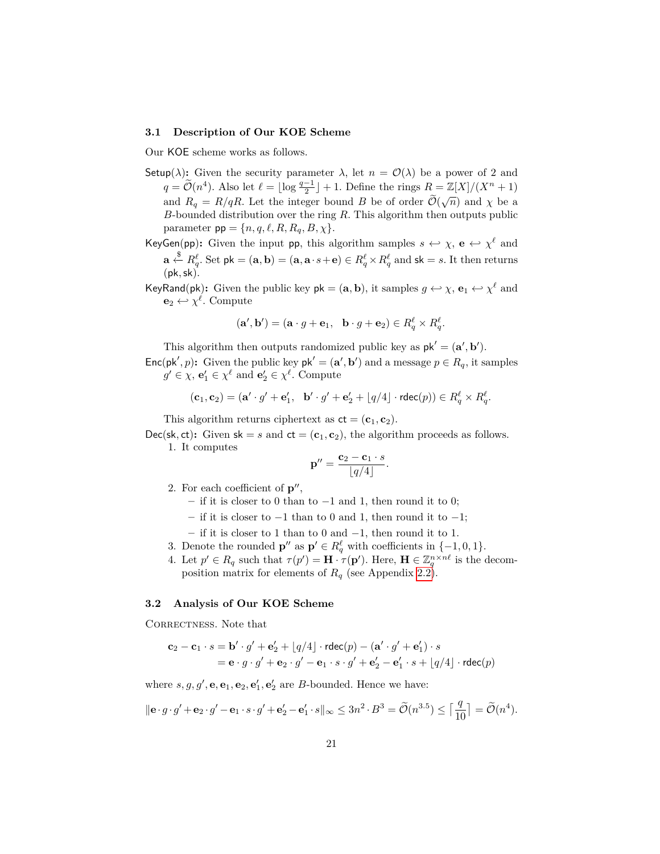#### <span id="page-20-0"></span>**3.1 Description of Our KOE Scheme**

Our KOE scheme works as follows.

- Setup( $\lambda$ ): Given the security parameter  $\lambda$ , let  $n = \mathcal{O}(\lambda)$  be a power of 2 and  $q = \widetilde{\mathcal{O}}(n^4)$ . Also let  $\ell = \lfloor \log \frac{q-1}{2} \rfloor + 1$ . Define the rings  $R = \mathbb{Z}[X]/(X^n + 1)$ and  $R_q = R/qR$ . Let the integer bound *B* be of order  $\widetilde{\mathcal{O}}(\sqrt{n})$  and  $\chi$  be a *B*-bounded distribution over the ring *R*. This algorithm then outputs public parameter  $pp = \{n, q, \ell, R, R_q, B, \chi\}.$
- KeyGen(pp): Given the input pp, this algorithm samples  $s \leftrightarrow \chi$ ,  $e \leftrightarrow \chi^{\ell}$  and  $\mathbf{a} \overset{\$}{\leftarrow} R^{\ell}_q$ . Set  $\mathsf{pk} = (\mathbf{a}, \mathbf{b}) = (\mathbf{a}, \mathbf{a} \cdot s + \mathbf{e}) \in R^{\ell}_q \times R^{\ell}_q$  and  $\mathsf{sk} = s$ . It then returns (pk*,*sk).

KeyRand(pk): Given the public key  $pk = (a, b)$ , it samples  $g \leftrightarrow \chi$ ,  $e_1 \leftrightarrow \chi^{\ell}$  and  $\mathbf{e}_2 \leftarrow \chi^{\ell}$ . Compute

$$
(\mathbf{a}', \mathbf{b}') = (\mathbf{a} \cdot g + \mathbf{e}_1, \quad \mathbf{b} \cdot g + \mathbf{e}_2) \in R_q^{\ell} \times R_q^{\ell}.
$$

This algorithm then outputs randomized public key as  $pk' = (a', b').$ 

 $Enc(\mathsf{pk}', p)$ : Given the public key  $\mathsf{pk}' = (\mathbf{a}', \mathbf{b}')$  and a message  $p \in R_q$ , it samples  $g' \in \chi$ , **e**'<sub>1</sub>  $\in \chi^{\ell}$  and **e**'<sub>2</sub>  $\in \chi^{\ell}$ . Compute

$$
(\mathbf{c}_1, \mathbf{c}_2) = (\mathbf{a}' \cdot g' + \mathbf{e}'_1, \quad \mathbf{b}' \cdot g' + \mathbf{e}'_2 + \lfloor q/4 \rfloor \cdot \mathsf{rdec}(p)) \in R_q^{\ell} \times R_q^{\ell}.
$$

This algorithm returns ciphertext as  $ct = (c_1, c_2)$ .

 $Dec(\mathsf{sk}, \mathsf{ct})$ : Given  $\mathsf{sk} = s$  and  $\mathsf{ct} = (\mathsf{c}_1, \mathsf{c}_2)$ , the algorithm proceeds as follows. 1. It computes

$$
\mathbf{p}'' = \frac{\mathbf{c}_2 - \mathbf{c}_1 \cdot s}{|q/4|}.
$$

- 2. For each coefficient of  $p''$ ,
	- **–** if it is closer to 0 than to −1 and 1, then round it to 0;
	- **–** if it is closer to −1 than to 0 and 1, then round it to −1;
	- **–** if it is closer to 1 than to 0 and −1, then round it to 1.
- 3. Denote the rounded  $\mathbf{p}''$  as  $\mathbf{p}' \in R_q^{\ell}$  with coefficients in  $\{-1,0,1\}$ .
- 4. Let  $p' \in R_q$  such that  $\tau(p') = \mathbf{H} \cdot \tau(\mathbf{p}')$ . Here,  $\mathbf{H} \in \mathbb{Z}_q^{n \times n\ell}$  is the decomposition matrix for elements of  $R_q$  (see Appendix [2.2\)](#page-6-0).

# **3.2 Analysis of Our KOE Scheme**

CORRECTNESS. Note that

$$
\begin{aligned} \mathbf{c}_2 - \mathbf{c}_1 \cdot s &= \mathbf{b}' \cdot g' + \mathbf{e}'_2 + \lfloor q/4 \rfloor \cdot \mathsf{rdec}(p) - (\mathbf{a}' \cdot g' + \mathbf{e}'_1) \cdot s \\ &= \mathbf{e} \cdot g \cdot g' + \mathbf{e}_2 \cdot g' - \mathbf{e}_1 \cdot s \cdot g' + \mathbf{e}'_2 - \mathbf{e}'_1 \cdot s + \lfloor q/4 \rfloor \cdot \mathsf{rdec}(p) \end{aligned}
$$

where  $s, g, g', \mathbf{e}, \mathbf{e}_1, \mathbf{e}_2, \mathbf{e}'_1, \mathbf{e}'_2$  are *B*-bounded. Hence we have:

$$
\|\mathbf{e} \cdot g \cdot g' + \mathbf{e}_2 \cdot g' - \mathbf{e}_1 \cdot s \cdot g' + \mathbf{e}'_2 - \mathbf{e}'_1 \cdot s\|_{\infty} \le 3n^2 \cdot B^3 = \widetilde{\mathcal{O}}(n^{3.5}) \le \lceil \frac{q}{10} \rceil = \widetilde{\mathcal{O}}(n^4).
$$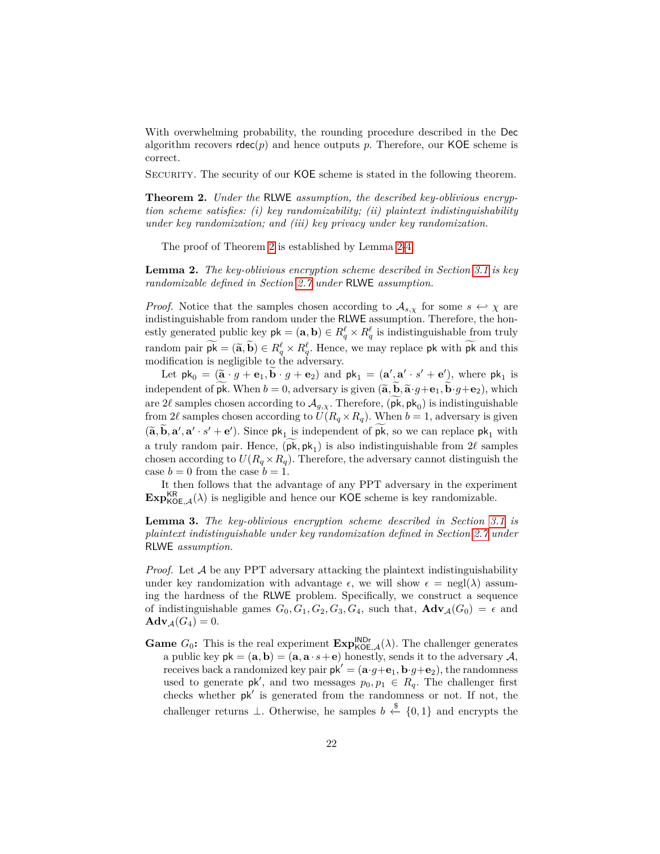With overwhelming probability, the rounding procedure described in the Dec algorithm recovers  $\text{rdec}(p)$  and hence outputs p. Therefore, our KOE scheme is correct.

<span id="page-21-0"></span>Security. The security of our KOE scheme is stated in the following theorem.

**Theorem 2.** *Under the* RLWE *assumption, the described key-oblivious encryption scheme satisfies: (i) key randomizability; (ii) plaintext indistinguishability under key randomization; and (iii) key privacy under key randomization.*

The proof of Theorem [2](#page-21-0) is established by Lemma [2-](#page-21-1)[4.](#page-22-0)

<span id="page-21-1"></span>**Lemma 2.** *The key-oblivious encryption scheme described in Section [3.1](#page-20-0) is key randomizable defined in Section [2.7](#page-14-0) under* RLWE *assumption.*

*Proof.* Notice that the samples chosen according to  $A_{s,\chi}$  for some  $s \leftrightarrow \chi$  are indistinguishable from random under the RLWE assumption. Therefore, the honestly generated public key  $\mathsf{pk} = (\mathbf{a}, \mathbf{b}) \in R_q^{\ell} \times R_q^{\ell}$  is indistinguishable from truly random pair  $\overrightarrow{pk} = (\tilde{a}, \tilde{b}) \in R^{\ell}_q \times R^{\ell}_q$ . Hence, we may replace pk with  $\overrightarrow{pk}$  and this modification is positively to the advancent modification is negligible to the adversary.

Let  $\mathsf{pk}_0 = (\tilde{\mathbf{a}} \cdot g + \mathbf{e}_1, \tilde{\mathbf{b}} \cdot g + \mathbf{e}_2)$  and  $\mathsf{pk}_1 = (\mathbf{a}', \mathbf{a}' \cdot s' + \mathbf{e}'),$  where  $\mathsf{pk}_1$  is independent of pk. When  $b = 0$ , adversary is given  $(\tilde{a}, \tilde{b}, \tilde{a} \cdot g + e_1, \tilde{b} \cdot g + e_2)$ , which are  $2\ell$  samples chosen according to  $\mathcal{A}_{g,\chi}$ . Therefore,  $(\mathsf{pk}, \mathsf{pk}_0)$  is indistinguishable from 2 $\ell$  samples chosen according to  $U(R_q \times R_q)$ . When  $b = 1$ , adversary is given  $(\widetilde{\mathbf{a}}, \widetilde{\mathbf{b}}, \mathbf{a}', \mathbf{a}', s' + \mathbf{e}')$ . Since  $\mathsf{pk}_1$  is independent of  $\mathsf{pk}$ , so we can replace  $\mathsf{pk}_1$  with a truly random pair. Hence,  $(\mathsf{pk}, \mathsf{pk}_1)$  is also indistinguishable from  $2\ell$  samples chosen according to  $U(R_q \times R_q)$ . Therefore, the adversary cannot distinguish the case  $b = 0$  from the case  $b = 1$ .

It then follows that the advantage of any PPT adversary in the experiment  $\mathbf{Exp}_{\mathsf{KOE},\mathcal{A}}^{\mathsf{KR}}(\lambda)$  is negligible and hence our KOE scheme is key randomizable.

<span id="page-21-2"></span>**Lemma 3.** *The key-oblivious encryption scheme described in Section [3.1](#page-20-0) is plaintext indistinguishable under key randomization defined in Section [2.7](#page-14-0) under* RLWE *assumption.*

*Proof.* Let A be any PPT adversary attacking the plaintext indistinguishability under key randomization with advantage  $\epsilon$ , we will show  $\epsilon = \text{negl}(\lambda)$  assuming the hardness of the RLWE problem. Specifically, we construct a sequence of indistinguishable games  $G_0, G_1, G_2, G_3, G_4$ , such that,  $\mathbf{Adv}_{\mathcal{A}}(G_0) = \epsilon$  and  $\mathbf{Adv}_{\mathcal{A}}(G_4) = 0.$ 

**Game**  $G_0$ : This is the real experiment  $\mathbf{Exp}_{KOE,\mathcal{A}}^{INDr}(\lambda)$ . The challenger generates a public key  $pk = (a, b) = (a, a \cdot s + e)$  honestly, sends it to the adversary A, receives back a randomized key pair  $pk' = (a \cdot g + e_1, b \cdot g + e_2)$ , the randomness used to generate  $pk'$ , and two messages  $p_0, p_1 \in R_q$ . The challenger first checks whether  $pk'$  is generated from the randomness or not. If not, the challenger returns  $\perp$ . Otherwise, he samples  $b \stackrel{\$}{\leftarrow} \{0,1\}$  and encrypts the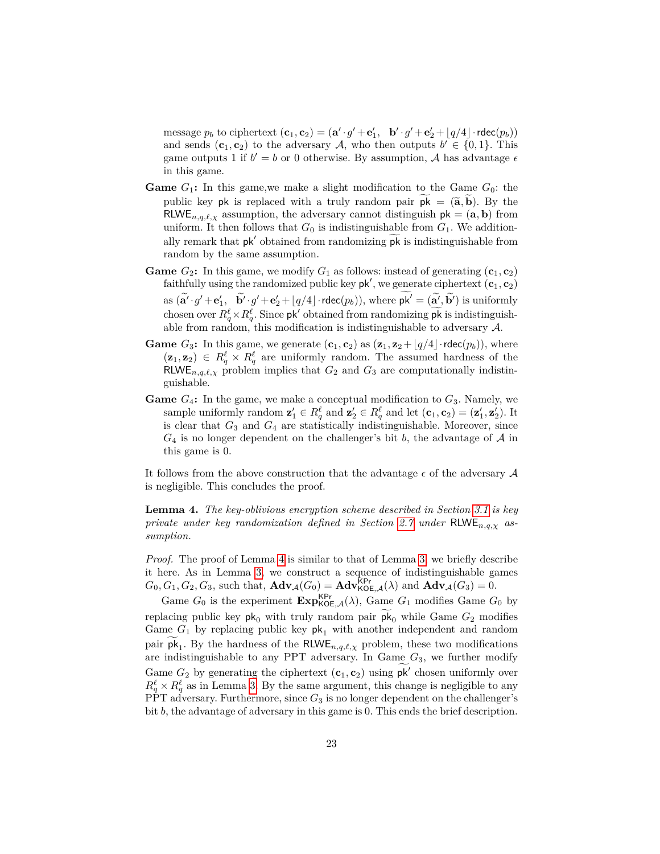message  $p_b$  to ciphertext  $(\mathbf{c}_1, \mathbf{c}_2) = (\mathbf{a}' \cdot g' + \mathbf{e}'_1, \ \mathbf{b}' \cdot g' + \mathbf{e}'_2 + \lfloor q/4 \rfloor \cdot \mathsf{rdec}(p_b))$ and sends  $(c_1, c_2)$  to the adversary A, who then outputs  $b' \in \{0, 1\}$ . This game outputs 1 if  $b' = b$  or 0 otherwise. By assumption, A has advantage  $\epsilon$ in this game.

- **Game**  $G_1$ : In this game, we make a slight modification to the Game  $G_0$ : the public key pk is replaced with a truly random pair  $pk = (\tilde{a}, b)$ . By the RLWE<sub>n,q, $\ell$ , $\chi$  assumption, the adversary cannot distinguish  $pk = (a, b)$  from</sub> uniform. It then follows that  $G_0$  is indistinguishable from  $G_1$ . We additionally remark that  $pk'$  obtained from randomizing  $\widetilde{pk}$  is indistinguishable from random by the same assumption.
- **Game**  $G_2$ : In this game, we modify  $G_1$  as follows: instead of generating  $(c_1, c_2)$ faithfully using the randomized public key  $pk'$ , we generate ciphertext  $(c_1, c_2)$ as  $(\tilde{\mathbf{a}}' \cdot g' + \mathbf{e}'_1, \quad \tilde{\mathbf{b}}' \cdot g' + \mathbf{e}'_2 + \lfloor q/4 \rfloor \cdot \text{rdec}(p_b)),$  where  $\mathbf{p}\mathbf{k}' = (\tilde{\mathbf{a}'}, \tilde{\mathbf{b}'})$  is uniformly chosen over  $R^{\ell}_q \times R^{\ell}_q$ . Since  $\mathsf{pk}'$  obtained from randomizing  $\widetilde{\mathsf{pk}}$  is indistinguishable from random, this modification is indistinguishable to adversary  $A$ .
- **Game**  $G_3$ : In this game, we generate  $(c_1, c_2)$  as  $(z_1, z_2 + |q/4| \cdot \text{rdec}(p_b))$ , where  $(z_1, z_2) \in R^{\ell}_q \times R^{\ell}_q$  are uniformly random. The assumed hardness of the RLWE<sub>n,q, $\ell, \chi$  problem implies that  $G_2$  and  $G_3$  are computationally indistin-</sub> guishable.
- **Game**  $G_4$ : In the game, we make a conceptual modification to  $G_3$ . Namely, we sample uniformly random  $\mathbf{z}'_1 \in R_q^{\ell}$  and  $\mathbf{z}'_2 \in R_q^{\ell}$  and let  $(\mathbf{c}_1, \mathbf{c}_2) = (\mathbf{z}'_1, \mathbf{z}'_2)$ . It is clear that  $G_3$  and  $G_4$  are statistically indistinguishable. Moreover, since *G*<sup>4</sup> is no longer dependent on the challenger's bit *b*, the advantage of A in this game is 0.

It follows from the above construction that the advantage  $\epsilon$  of the adversary  $\mathcal A$ is negligible. This concludes the proof.

<span id="page-22-0"></span>**Lemma 4.** *The key-oblivious encryption scheme described in Section [3.1](#page-20-0) is key private under key randomization defined in Section [2.7](#page-14-0) under* RLWE*n,q,χ assumption.*

*Proof.* The proof of Lemma [4](#page-22-0) is similar to that of Lemma [3,](#page-21-2) we briefly describe it here. As in Lemma [3,](#page-21-2) we construct a sequence of indistinguishable games  $G_0, G_1, G_2, G_3$ , such that,  $\mathbf{Adv}_{\mathcal{A}}(G_0) = \mathbf{Adv}_{\mathsf{KOE},\mathcal{A}}(\lambda)$  and  $\mathbf{Adv}_{\mathcal{A}}(G_3) = 0$ .

Game  $G_0$  is the experiment  $\mathbf{Exp}_{\mathsf{KOE},\mathcal{A}}^{\mathsf{KPr}}(\lambda)$ , Game  $G_1$  modifies Game  $G_0$  by replacing public key  $\mathsf{pk}_0$  with truly random pair  $\mathsf{pk}_0$  while Game  $G_2$  modifies Game  $G_1$  by replacing public key  $pk_1$  with another independent and random pair  $\mathsf{pk}_1$ . By the hardness of the  $RLWE_{n,q,\ell,\chi}$  problem, these two modifications are indistinguishable to any PPT adversary. In Game  $G_3$ , we further modify Game  $G_2$  by generating the ciphertext  $(c_1, c_2)$  using  $pk'$  chosen uniformly over  $R^{\ell}_q \times R^{\ell}_q$  as in Lemma [3.](#page-21-2) By the same argument, this change is negligible to any  $PPT$  adversary. Furthermore, since  $G_3$  is no longer dependent on the challenger's bit *b*, the advantage of adversary in this game is 0. This ends the brief description.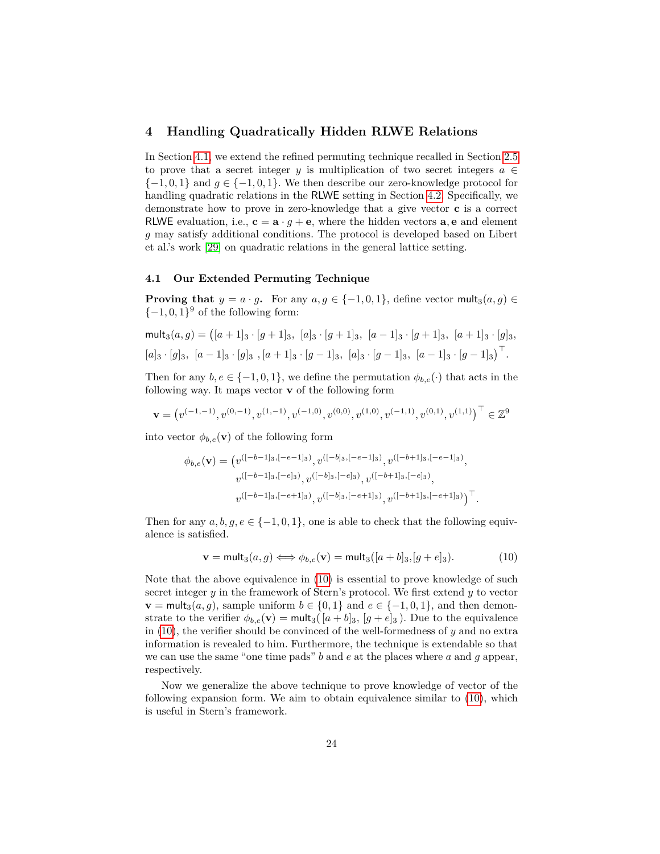## **4 Handling Quadratically Hidden RLWE Relations**

In Section [4.1,](#page-23-0) we extend the refined permuting technique recalled in Section [2.5](#page-10-2) to prove that a secret integer *y* is multiplication of two secret integers  $a \in$  $\{-1,0,1\}$  and  $g \in \{-1,0,1\}$ . We then describe our zero-knowledge protocol for handling quadratic relations in the RLWE setting in Section [4.2.](#page-24-0) Specifically, we demonstrate how to prove in zero-knowledge that a give vector **c** is a correct RLWE evaluation, i.e.,  $\mathbf{c} = \mathbf{a} \cdot q + \mathbf{e}$ , where the hidden vectors  $\mathbf{a}, \mathbf{e}$  and element *g* may satisfy additional conditions. The protocol is developed based on Libert et al.'s work [\[29\]](#page-42-15) on quadratic relations in the general lattice setting.

### <span id="page-23-0"></span>**4.1 Our Extended Permuting Technique**

**Proving that**  $y = a \cdot g$ . For any  $a, g \in \{-1, 0, 1\}$ , define vector mult<sub>3</sub> $(a, g) \in$  $\{-1, 0, 1\}$ <sup>9</sup> of the following form:

mult3(*a, g*) = [*a* + 1]<sup>3</sup> · [*g* + 1]3*,* [*a*]<sup>3</sup> · [*g* + 1]3*,* [*a* − 1]<sup>3</sup> · [*g* + 1]3*,* [*a* + 1]<sup>3</sup> · [*g*]3*,* [*a*]<sup>3</sup> · [*g*]3*,* [*a* − 1]<sup>3</sup> · [*g*]<sup>3</sup> *,* [*a* + 1]<sup>3</sup> · [*g* − 1]3*,* [*a*]<sup>3</sup> · [*g* − 1]3*,* [*a* − 1]<sup>3</sup> · [*g* − 1]<sup>3</sup> > *.*

Then for any  $b, e \in \{-1, 0, 1\}$ , we define the permutation  $\phi_{b,e}(\cdot)$  that acts in the following way. It maps vector **v** of the following form

$$
\mathbf{v} = \left(v^{(-1,-1)}, v^{(0,-1)}, v^{(1,-1)}, v^{(-1,0)}, v^{(0,0)}, v^{(1,0)}, v^{(-1,1)}, v^{(0,1)}, v^{(1,1)}\right)^\top \in \mathbb{Z}^9
$$

into vector  $\phi_{b,e}(\mathbf{v})$  of the following form

$$
\phi_{b,e}(\mathbf{v}) = \left(v^{([-b-1]_3, [-e-1]_3)}, v^{([-b]_3, [-e-1]_3)}, v^{([-b+1]_3, [-e-1]_3)}, v^{([-b-1]_3, [-e]_3)}, v^{([-b]_3, [-e]_3)}, v^{([-b+1]_3, [-e]_3)}, v^{([-b+1]_3, [-e+1]_3)}\right)
$$

$$
v^{([-b-1]_3, [-e+1]_3)}, v^{([-b]_3, [-e+1]_3)}, v^{([-b+1]_3, [-e+1]_3)}\right)^T.
$$

Then for any  $a, b, g, e \in \{-1, 0, 1\}$ , one is able to check that the following equivalence is satisfied.

<span id="page-23-1"></span>
$$
\mathbf{v} = \mathsf{mult}_3(a, g) \Longleftrightarrow \phi_{b,e}(\mathbf{v}) = \mathsf{mult}_3([a+b]_3, [g+e]_3). \tag{10}
$$

Note that the above equivalence in [\(10\)](#page-23-1) is essential to prove knowledge of such secret integer *y* in the framework of Stern's protocol. We first extend *y* to vector **v** = mult<sub>3</sub> $(a, g)$ , sample uniform  $b \in \{0, 1\}$  and  $e \in \{-1, 0, 1\}$ , and then demonstrate to the verifier  $\phi_{b,e}(\mathbf{v}) = \text{mult}_3([a+b]_3, [g+e]_3)$ . Due to the equivalence in [\(10\)](#page-23-1), the verifier should be convinced of the well-formedness of *y* and no extra information is revealed to him. Furthermore, the technique is extendable so that we can use the same "one time pads" *b* and *e* at the places where *a* and *g* appear, respectively.

Now we generalize the above technique to prove knowledge of vector of the following expansion form. We aim to obtain equivalence similar to [\(10\)](#page-23-1), which is useful in Stern's framework.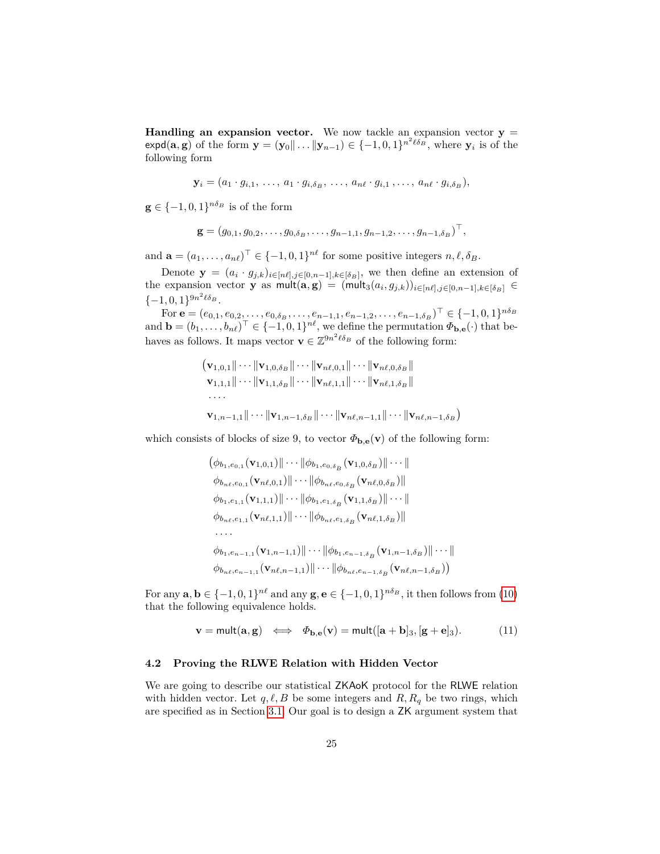**Handling an expansion vector.** We now tackle an expansion vector  $y =$  $\exp(\mathbf{a}, \mathbf{g})$  of the form  $\mathbf{y} = (\mathbf{y}_0 \| \dots \| \mathbf{y}_{n-1}) \in \{-1, 0, 1\}^{n^2 \ell \delta_B}$ , where  $\mathbf{y}_i$  is of the following form

$$
\mathbf{y}_i = (a_1 \cdot g_{i,1}, \ldots, a_1 \cdot g_{i,\delta_B}, \ldots, a_{n\ell} \cdot g_{i,1}, \ldots, a_{n\ell} \cdot g_{i,\delta_B}),
$$

 $\mathbf{g}$  ∈ {-1, 0, 1}<sup>*nδB*</sup> is of the form

$$
\mathbf{g} = (g_{0,1}, g_{0,2}, \dots, g_{0,\delta_B}, \dots, g_{n-1,1}, g_{n-1,2}, \dots, g_{n-1,\delta_B})^{\top},
$$

and  $\mathbf{a} = (a_1, \ldots, a_{n\ell})^\top \in \{-1, 0, 1\}^{n\ell}$  for some positive integers  $n, \ell, \delta_B$ .

Denote  $\mathbf{y} = (a_i \cdot g_{j,k})_{i \in [n\ell], j \in [0,n-1], k \in [\delta_B]}$ , we then define an extension of the expansion vector **y** as  $\textsf{mult}(\mathbf{a}, \mathbf{g}) = (\textsf{mult}_3(a_i, g_{j,k}))_{i \in [n\ell], j \in [0,n-1], k \in [\delta_B]} \in$  $\{-1, 0, 1\}^{9n^2\ell\delta_B}.$ 

For  $\mathbf{e} = (e_{0,1}, e_{0,2}, \dots, e_{0,\delta_B}, \dots, e_{n-1,1}, e_{n-1,2}, \dots, e_{n-1,\delta_B})^{\top} \in \{-1,0,1\}^{n\delta_B}$ and  $\mathbf{b} = (b_1, \ldots, b_{n\ell})^\top \in \{-1, 0, 1\}^{n\ell}$ , we define the permutation  $\Phi_{\mathbf{b},\mathbf{e}}(\cdot)$  that behaves as follows. It maps vector  $\mathbf{v} \in \mathbb{Z}^{9n^2 \ell \delta_B}$  of the following form:

$$
(\mathbf{v}_{1,0,1} \| \cdots \| \mathbf{v}_{1,0,\delta_B} \| \cdots \| \mathbf{v}_{n\ell,0,1} \| \cdots \| \mathbf{v}_{n\ell,0,\delta_B} \| \n\mathbf{v}_{1,1,1} \| \cdots \| \mathbf{v}_{1,1,\delta_B} \| \cdots \| \mathbf{v}_{n\ell,1,1} \| \cdots \| \mathbf{v}_{n\ell,1,\delta_B} \| \n\cdots \n\mathbf{v}_{1,n-1,1} \| \cdots \| \mathbf{v}_{1,n-1,\delta_B} \| \cdots \| \mathbf{v}_{n\ell,n-1,1} \| \cdots \| \mathbf{v}_{n\ell,n-1,\delta_B})
$$

which consists of blocks of size 9, to vector  $\Phi_{\mathbf{b},\mathbf{e}}(\mathbf{v})$  of the following form:

$$
(\phi_{b_1,e_{0,1}}(\mathbf{v}_{1,0,1}) \|\cdots \|\phi_{b_1,e_{0,\delta_B}}(\mathbf{v}_{1,0,\delta_B})\|\cdots
$$
\n
$$
\phi_{b_n,\ell,e_{0,1}}(\mathbf{v}_{n\ell,0,1}) \|\cdots \|\phi_{b_n,\ell,e_{0,\delta_B}}(\mathbf{v}_{n\ell,0,\delta_B})\|
$$
\n
$$
\phi_{b_1,e_{1,1}}(\mathbf{v}_{1,1,1}) \|\cdots \|\phi_{b_1,e_{1,\delta_B}}(\mathbf{v}_{1,1,\delta_B})\|\cdots
$$
\n
$$
\phi_{b_n,\ell,e_{1,1}}(\mathbf{v}_{n\ell,1,1}) \|\cdots \|\phi_{b_n,\ell,e_{1,\delta_B}}(\mathbf{v}_{n\ell,1,\delta_B})\|
$$
\n
$$
\cdots
$$
\n
$$
\phi_{b_1,e_{n-1,1}}(\mathbf{v}_{1,n-1,1}) \|\cdots \|\phi_{b_1,e_{n-1,\delta_B}}(\mathbf{v}_{1,n-1,\delta_B}) \|\cdots
$$
\n
$$
\phi_{b_n,\ell,e_{n-1,1}}(\mathbf{v}_{n\ell,n-1,1}) \|\cdots \|\phi_{b_n,\ell,e_{n-1,\delta_B}}(\mathbf{v}_{n\ell,n-1,\delta_B})\| \cdots
$$

For any  $\mathbf{a}, \mathbf{b} \in \{-1, 0, 1\}^{n\ell}$  and any  $\mathbf{g}, \mathbf{e} \in \{-1, 0, 1\}^{n\delta_B}$ , it then follows from [\(10\)](#page-23-1) that the following equivalence holds.

<span id="page-24-1"></span>
$$
\mathbf{v} = \mathsf{mult}(\mathbf{a}, \mathbf{g}) \iff \Phi_{\mathbf{b}, \mathbf{e}}(\mathbf{v}) = \mathsf{mult}([\mathbf{a} + \mathbf{b}]_3, [\mathbf{g} + \mathbf{e}]_3). \tag{11}
$$

#### <span id="page-24-0"></span>**4.2 Proving the RLWE Relation with Hidden Vector**

We are going to describe our statistical **ZKAoK** protocol for the RLWE relation with hidden vector. Let  $q, \ell, B$  be some integers and  $R, R_q$  be two rings, which are specified as in Section [3.1.](#page-20-0) Our goal is to design a ZK argument system that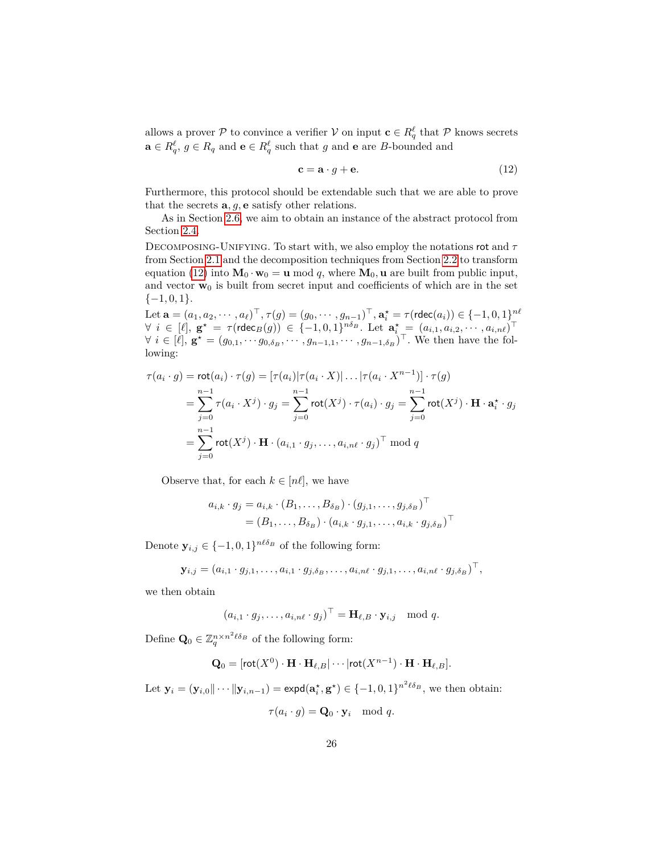allows a prover  $P$  to convince a verifier  $V$  on input  $\mathbf{c} \in R_q^{\ell}$  that  $P$  knows secrets  $\mathbf{a} \in R_q^{\ell}, g \in R_q$  and  $\mathbf{e} \in R_q^{\ell}$  such that *g* and **e** are *B*-bounded and

<span id="page-25-0"></span>
$$
\mathbf{c} = \mathbf{a} \cdot g + \mathbf{e}.\tag{12}
$$

Furthermore, this protocol should be extendable such that we are able to prove that the secrets **a***, g,* **e** satisfy other relations.

As in Section [2.6,](#page-12-3) we aim to obtain an instance of the abstract protocol from Section [2.4.](#page-8-0)

Decomposing-Unifying. To start with, we also employ the notations rot and *τ* from Section [2.1](#page-5-1) and the decomposition techniques from Section [2.2](#page-6-0) to transform equation [\(12\)](#page-25-0) into  $\mathbf{M}_0 \cdot \mathbf{w}_0 = \mathbf{u} \mod q$ , where  $\mathbf{M}_0$ ,  $\mathbf{u}$  are built from public input, and vector  $\mathbf{w}_0$  is built from secret input and coefficients of which are in the set {−1*,* 0*,* 1}.

 $\text{Let } \mathbf{a}=(a_1,a_2,\cdots,a_\ell)^\top,\tau(g)=(g_0,\cdots,g_{n-1})^\top,\mathbf{a}^\star_i=\tau(\textsf{rdec}(a_i))\in\{-1,0,1\}^{n\ell}_ \forall i \in [\ell], \mathbf{g}^{\star} = \tau(\mathsf{rdec}_B(g)) \in \{-1,0,1\}^{n\delta_B}.$  Let  $\mathbf{a}^{\star}_{i} = (a_{i,1}, a_{i,2}, \cdots, a_{i,n\ell})^{\top}$  $\forall i \in [\ell], \mathbf{g}^* = (g_{0,1}, \dots g_{0,\delta_B}, \dots, g_{n-1,1}, \dots, g_{n-1,\delta_B})^\top$ . We then have the following:

$$
\tau(a_i \cdot g) = \text{rot}(a_i) \cdot \tau(g) = [\tau(a_i)|\tau(a_i \cdot X)| \dots |\tau(a_i \cdot X^{n-1})] \cdot \tau(g)
$$
  
\n
$$
= \sum_{j=0}^{n-1} \tau(a_i \cdot X^j) \cdot g_j = \sum_{j=0}^{n-1} \text{rot}(X^j) \cdot \tau(a_i) \cdot g_j = \sum_{j=0}^{n-1} \text{rot}(X^j) \cdot \mathbf{H} \cdot \mathbf{a}_i^{\star} \cdot g_j
$$
  
\n
$$
= \sum_{j=0}^{n-1} \text{rot}(X^j) \cdot \mathbf{H} \cdot (a_{i,1} \cdot g_j, \dots, a_{i,n\ell} \cdot g_j)^{\top} \mod q
$$

Observe that, for each  $k \in [n\ell]$ , we have

$$
a_{i,k} \cdot g_j = a_{i,k} \cdot (B_1, \dots, B_{\delta_B}) \cdot (g_{j,1}, \dots, g_{j,\delta_B})^\top
$$
  
=  $(B_1, \dots, B_{\delta_B}) \cdot (a_{i,k} \cdot g_{j,1}, \dots, a_{i,k} \cdot g_{j,\delta_B})^\top$ 

Denote  $y_{i,j} \in \{-1,0,1\}^{n\ell\delta_B}$  of the following form:

$$
\mathbf{y}_{i,j} = (a_{i,1} \cdot g_{j,1}, \ldots, a_{i,1} \cdot g_{j,\delta_B}, \ldots, a_{i,n\ell} \cdot g_{j,1}, \ldots, a_{i,n\ell} \cdot g_{j,\delta_B})^{\top},
$$

we then obtain

$$
(a_{i,1}\cdot g_j,\ldots,a_{i,n\ell}\cdot g_j)^\top = \mathbf{H}_{\ell,B}\cdot \mathbf{y}_{i,j} \mod q.
$$

Define  $\mathbf{Q}_0 \in \mathbb{Z}_q^{n \times n^2 \ell \delta_B}$  of the following form:

$$
\mathbf{Q}_0 = [\text{rot}(X^0) \cdot \mathbf{H} \cdot \mathbf{H}_{\ell,B} | \cdots | \text{rot}(X^{n-1}) \cdot \mathbf{H} \cdot \mathbf{H}_{\ell,B}].
$$

Let  $\mathbf{y}_i = (\mathbf{y}_{i,0} \|\cdots \|\mathbf{y}_{i,n-1}) = \exp(\mathbf{a}_i^*, \mathbf{g}^*) \in \{-1,0,1\}^{n^2 \ell \delta_B},$  we then obtain:

$$
\tau(a_i \cdot g) = \mathbf{Q}_0 \cdot \mathbf{y}_i \mod q.
$$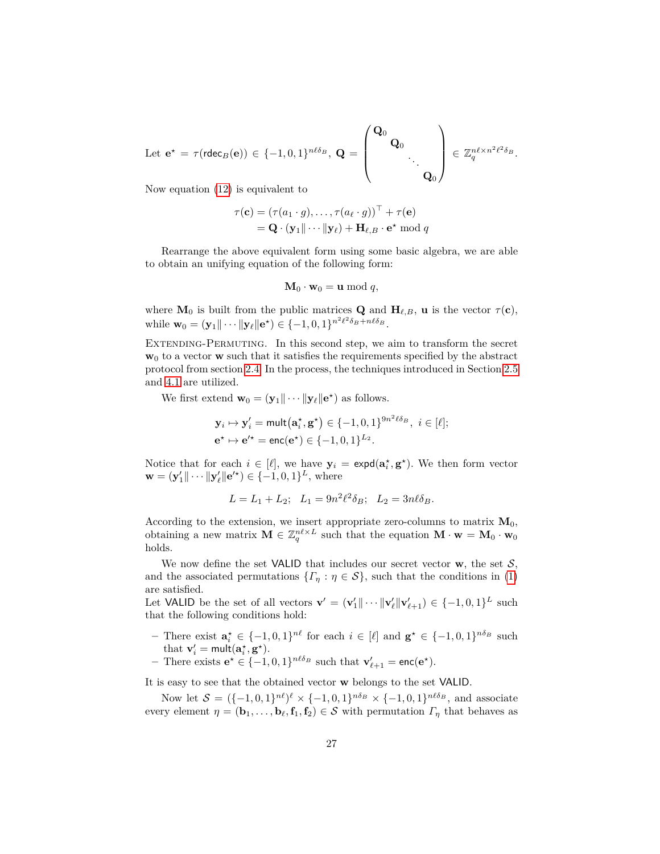$$
\text{Let } \mathbf{e}^{\star} = \tau(\text{rdec}_B(\mathbf{e})) \in \{-1, 0, 1\}^{n\ell\delta_B}, \ \mathbf{Q} = \begin{pmatrix} \mathbf{Q}_0 & & \\ & \mathbf{Q}_0 & \\ & & \ddots \\ & & & \mathbf{Q}_0 \end{pmatrix} \in \mathbb{Z}_q^{n\ell \times n^2 \ell^2 \delta_B}.
$$

Now equation [\(12\)](#page-25-0) is equivalent to

$$
\tau(\mathbf{c}) = (\tau(a_1 \cdot g), \dots, \tau(a_\ell \cdot g))^{\top} + \tau(\mathbf{e})
$$
  
=  $\mathbf{Q} \cdot (\mathbf{y}_1 || \cdots || \mathbf{y}_\ell) + \mathbf{H}_{\ell, B} \cdot \mathbf{e}^{\star} \mod q$ 

Rearrange the above equivalent form using some basic algebra, we are able to obtain an unifying equation of the following form:

$$
\mathbf{M}_0 \cdot \mathbf{w}_0 = \mathbf{u} \bmod q,
$$

where  $\mathbf{M}_0$  is built from the public matrices **Q** and  $\mathbf{H}_{\ell,B}$ , **u** is the vector  $\tau(\mathbf{c})$ ,  $\text{while } \mathbf{w}_0 = (\mathbf{y}_1 \|\cdots \|\mathbf{y}_{\ell}\| \mathbf{e}^{\star}) \in \{-1, 0, 1\}^{n^2 \ell^2 \delta_B + n \ell \delta_B}.$ 

Extending-Permuting. In this second step, we aim to transform the secret **w**<sup>0</sup> to a vector **w** such that it satisfies the requirements specified by the abstract protocol from section [2.4.](#page-8-0) In the process, the techniques introduced in Section [2.5](#page-10-2) and [4.1](#page-23-0) are utilized.

We first extend  $\mathbf{w}_0 = (\mathbf{y}_1 \|\cdots \|\mathbf{y}_\ell \| \mathbf{e}^*)$  as follows.

$$
\mathbf{y}_i \mapsto \mathbf{y}'_i = \text{mult}(\mathbf{a}_i^{\star}, \mathbf{g}^{\star}) \in \{-1, 0, 1\}^{9n^2\ell\delta_B}, \ i \in [\ell];
$$
  

$$
\mathbf{e}^{\star} \mapsto \mathbf{e}'^{\star} = \text{enc}(\mathbf{e}^{\star}) \in \{-1, 0, 1\}^{L_2}.
$$

Notice that for each  $i \in [\ell]$ , we have  $y_i = \exp(d_i, g^*)$ . We then form vector  $\mathbf{w} = (\mathbf{y}'_1 \| \cdots \| \mathbf{y}'_\ell \| \mathbf{e}'^{\star}) \in \{-1, 0, 1\}^L$ , where

$$
L = L_1 + L_2; \quad L_1 = 9n^2\ell^2\delta_B; \quad L_2 = 3n\ell\delta_B.
$$

According to the extension, we insert appropriate zero-columns to matrix  $M_0$ , obtaining a new matrix  $\mathbf{M} \in \mathbb{Z}_q^{n\ell \times L}$  such that the equation  $\mathbf{M} \cdot \mathbf{w} = \mathbf{M}_0 \cdot \mathbf{w}_0$ holds.

We now define the set **VALID** that includes our secret vector **w**, the set  $S$ , and the associated permutations  $\{ \Gamma_n : \eta \in \mathcal{S} \}$ , such that the conditions in [\(1\)](#page-9-0) are satisfied.

Let VALID be the set of all vectors  $\mathbf{v}' = (\mathbf{v}'_1 \|\cdots \|\mathbf{v}'_\ell\|\mathbf{v}'_{\ell+1}) \in \{-1,0,1\}^L$  such that the following conditions hold:

- **−** There exist  $\mathbf{a}_i^* \in \{-1, 0, 1\}^{n\ell}$  for each  $i \in [\ell]$  and  $\mathbf{g}^* \in \{-1, 0, 1\}^{n\delta_B}$  such that  $\mathbf{v}'_i = \text{mult}(\mathbf{a}_i^{\star}, \mathbf{g}^{\star}).$
- **−** There exists  $\mathbf{e}^* \in \{-1, 0, 1\}^{n\ell\delta_B}$  such that  $\mathbf{v}'_{\ell+1} = \text{enc}(\mathbf{e}^*)$ .

It is easy to see that the obtained vector **w** belongs to the set VALID.

Now let  $S = (\{-1, 0, 1\}^{n\ell})^{\ell} \times \{-1, 0, 1\}^{n\delta_B} \times \{-1, 0, 1\}^{n\ell\delta_B}$ , and associate every element  $\eta = (\mathbf{b}_1, \dots, \mathbf{b}_\ell, \mathbf{f}_1, \mathbf{f}_2) \in \mathcal{S}$  with permutation  $\Gamma_\eta$  that behaves as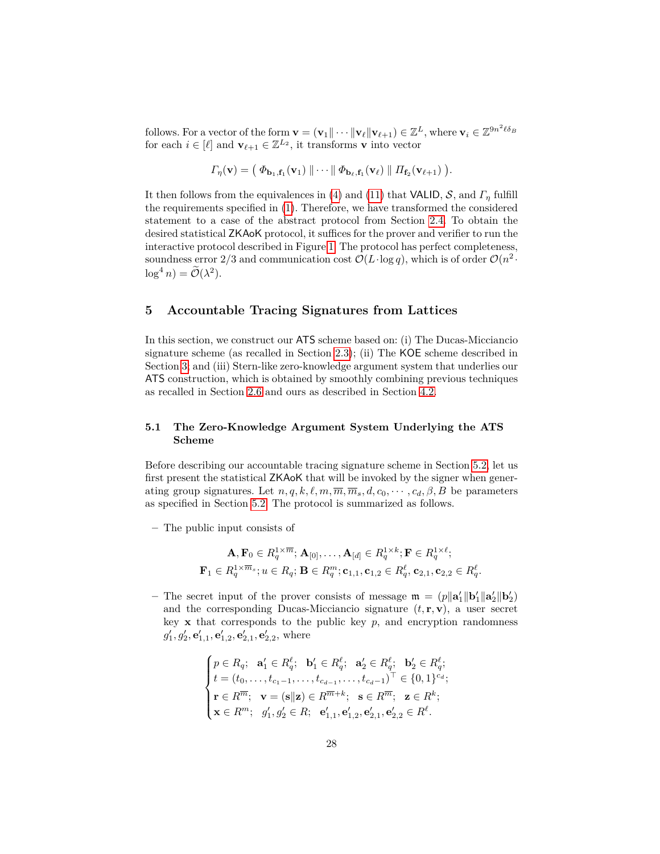follows. For a vector of the form  $\mathbf{v} = (\mathbf{v}_1 \|\cdots \|\mathbf{v}_{\ell}\|\mathbf{v}_{\ell+1}) \in \mathbb{Z}^L$ , where  $\mathbf{v}_i \in \mathbb{Z}^{9n^2 \ell \delta_B}$ for each  $i \in [\ell]$  and  $\mathbf{v}_{\ell+1} \in \mathbb{Z}^{L_2}$ , it transforms **v** into vector

$$
\Gamma_{\eta}(\mathbf{v}) = \left( \Phi_{\mathbf{b}_1,\mathbf{f}_1}(\mathbf{v}_1) \, \Vert \, \cdots \, \Vert \, \Phi_{\mathbf{b}_\ell,\mathbf{f}_1}(\mathbf{v}_\ell) \, \Vert \, \Pi_{\mathbf{f}_2}(\mathbf{v}_{\ell+1}) \, \right).
$$

It then follows from the equivalences in [\(4\)](#page-11-1) and [\(11\)](#page-24-1) that VALID,  $S$ , and  $\Gamma$ <sup>*<sub>η</sub>* fulfill</sup> the requirements specified in [\(1\)](#page-9-0). Therefore, we have transformed the considered statement to a case of the abstract protocol from Section [2.4.](#page-8-0) To obtain the desired statistical ZKAoK protocol, it suffices for the prover and verifier to run the interactive protocol described in Figure [1.](#page-10-0) The protocol has perfect completeness, soundness error  $2/3$  and communication cost  $\mathcal{O}(L \cdot \log q)$ , which is of order  $\mathcal{O}(n^2 \cdot$  $log^4 n) = \widetilde{\mathcal{O}}(\lambda^2).$ 

# <span id="page-27-0"></span>**5 Accountable Tracing Signatures from Lattices**

In this section, we construct our ATS scheme based on: (i) The Ducas-Micciancio signature scheme (as recalled in Section [2.3\)](#page-7-0); (ii) The KOE scheme described in Section [3;](#page-19-0) and (iii) Stern-like zero-knowledge argument system that underlies our ATS construction, which is obtained by smoothly combining previous techniques as recalled in Section [2.6](#page-12-3) and ours as described in Section [4.2.](#page-24-0)

# <span id="page-27-1"></span>**5.1 The Zero-Knowledge Argument System Underlying the ATS Scheme**

Before describing our accountable tracing signature scheme in Section [5.2,](#page-30-0) let us first present the statistical ZKAoK that will be invoked by the signer when generating group signatures. Let  $n, q, k, \ell, m, \overline{m}, \overline{m}_s, d, c_0, \cdots, c_d, \beta, B$  be parameters as specified in Section [5.2.](#page-30-0) The protocol is summarized as follows.

**–** The public input consists of

$$
\begin{aligned} \mathbf{A}, \mathbf{F}_0 &\in R_q^{1 \times \overline{m}}; \mathbf{A}_{[0]}, \ldots, \mathbf{A}_{[d]} \in R_q^{1 \times k}; \mathbf{F} \in R_q^{1 \times \ell};\\ \mathbf{F}_1 &\in R_q^{1 \times \overline{m}_s}; u \in R_q; \mathbf{B} \in R_q^m; \mathbf{c}_{1,1}, \mathbf{c}_{1,2} \in R_q^\ell, \mathbf{c}_{2,1}, \mathbf{c}_{2,2} \in R_q^\ell. \end{aligned}
$$

**–** The secret input of the prover consists of message  $\mathfrak{m} = (p||\mathbf{a}'_1||\mathbf{b}'_1||\mathbf{a}'_2||\mathbf{b}'_2)$ and the corresponding Ducas-Micciancio signature  $(t, \mathbf{r}, \mathbf{v})$ , a user secret key  $x$  that corresponds to the public key  $p$ , and encryption randomness  $g'_{1}, g'_{2}, \mathbf{e}'_{1,1}, \mathbf{e}'_{1,2}, \mathbf{e}'_{2,1}, \mathbf{e}'_{2,2}, \text{where}$ 

$$
\begin{cases} p \in R_q; & \mathbf{a}'_1 \in R_q^{\ell}; \quad \mathbf{b}'_1 \in R_q^{\ell}; \quad \mathbf{a}'_2 \in R_q^{\ell}; \quad \mathbf{b}'_2 \in R_q^{\ell}; \\ t = (t_0, \dots, t_{c_1 - 1}, \dots, t_{c_{d - 1}}, \dots, t_{c_d - 1})^\top \in \{0, 1\}^{c_d}; \\ \mathbf{r} \in R^{\overline{m}}; & \mathbf{v} = (\mathbf{s} || \mathbf{z}) \in R^{\overline{m} + k}; \quad \mathbf{s} \in R^{\overline{m}}; \quad \mathbf{z} \in R^k; \\ \mathbf{x} \in R^m; & g'_1, g'_2 \in R; \quad \mathbf{e}'_{1,1}, \mathbf{e}'_{1,2}, \mathbf{e}'_{2,1}, \mathbf{e}'_{2,2} \in R^{\ell}. \end{cases}
$$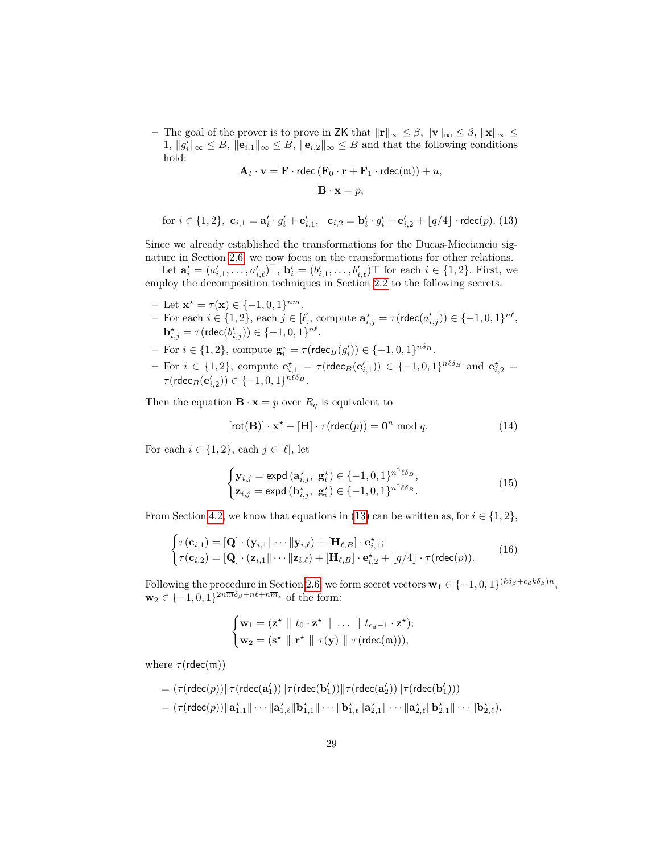**–** The goal of the prover is to prove in **ZK** that  $\|\mathbf{r}\|_{\infty} \leq \beta$ ,  $\|\mathbf{v}\|_{\infty} \leq \beta$ ,  $\|\mathbf{x}\|_{\infty} \leq$ 1,  $||g'_i||_{\infty} \leq B$ ,  $||\mathbf{e}_{i,1}||_{\infty} \leq B$ ,  $||\mathbf{e}_{i,2}||_{\infty} \leq B$  and that the following conditions hold:

$$
\mathbf{A}_{t} \cdot \mathbf{v} = \mathbf{F} \cdot \text{rdec} (\mathbf{F}_0 \cdot \mathbf{r} + \mathbf{F}_1 \cdot \text{rdec}(\mathfrak{m})) + u,
$$

$$
\mathbf{B} \cdot \mathbf{x} = p,
$$

<span id="page-28-0"></span>for 
$$
i \in \{1, 2\}
$$
,  $\mathbf{c}_{i,1} = \mathbf{a}'_i \cdot g'_i + \mathbf{e}'_{i,1}$ ,  $\mathbf{c}_{i,2} = \mathbf{b}'_i \cdot g'_i + \mathbf{e}'_{i,2} + \lfloor q/4 \rfloor \cdot \text{rdec}(p)$ . (13)

Since we already established the transformations for the Ducas-Micciancio signature in Section [2.6,](#page-12-3) we now focus on the transformations for other relations.

Let  $\mathbf{a}'_i = (a'_{i,1}, \ldots, a'_{i,\ell})^\top$ ,  $\mathbf{b}'_i = (b'_{i,1}, \ldots, b'_{i,\ell})^\top$  for each  $i \in \{1,2\}$ . First, we employ the decomposition techniques in Section [2.2](#page-6-0) to the following secrets.

- $-$  Let  $\mathbf{x}^* = \tau(\mathbf{x}) \in \{-1, 0, 1\}^{nm}$ .
- *−* For each  $i \in \{1, 2\}$ , each  $j \in [\ell]$ , compute  $\mathbf{a}_{i,j}^{\star} = \tau(\text{rdec}(a'_{i,j})) \in \{-1, 0, 1\}^{n\ell}$ ,  $\mathbf{b}^{\star}_{i,j} = \tau(\textsf{rdec}(b'_{i,j})) \in \{-1,0,1\}^{n\ell}.$
- *−* For *i* ∈ {1, 2}, compute  $\mathbf{g}_i^* = \tau(\text{rdec}_B(g_i')) \in \{-1, 0, 1\}^{n\delta_B}.$
- $-$  For *i* ∈ {1,2}, compute  $e_{i,1}^* = \tau$ (**rdec**<sub>*B*</sub>( $e'_{i,1}$ )) ∈ {-1,0,1}<sup>*nl*δ*B* and  $e_{i,2}^* =$ </sup>  $\tau(\mathsf{rdec}_B(\mathbf{e}'_{i,2})) \in \{-1,0,1\}^{n\ell\delta_B}.$

Then the equation  $\mathbf{B} \cdot \mathbf{x} = p$  over  $R_q$  is equivalent to

<span id="page-28-1"></span>
$$
[\text{rot}(\mathbf{B})] \cdot \mathbf{x}^* - [\mathbf{H}] \cdot \tau(\text{rdec}(p)) = \mathbf{0}^n \bmod q. \tag{14}
$$

For each  $i \in \{1, 2\}$ , each  $j \in [\ell]$ , let

<span id="page-28-3"></span>
$$
\begin{cases}\n\mathbf{y}_{i,j} = \exp \mathbf{d} \left( \mathbf{a}_{i,j}^{\star}, \ \mathbf{g}_i^{\star} \right) \in \{-1, 0, 1\}^{n^2 \ell \delta_B}, \\
\mathbf{z}_{i,j} = \exp \mathbf{d} \left( \mathbf{b}_{i,j}^{\star}, \ \mathbf{g}_i^{\star} \right) \in \{-1, 0, 1\}^{n^2 \ell \delta_B}.\n\end{cases}
$$
\n(15)

From Section [4.2,](#page-24-0) we know that equations in [\(13\)](#page-28-0) can be written as, for  $i \in \{1, 2\}$ ,

<span id="page-28-2"></span>
$$
\begin{cases}\n\tau(\mathbf{c}_{i,1}) = [\mathbf{Q}] \cdot (\mathbf{y}_{i,1} \|\cdots \|\mathbf{y}_{i,\ell}) + [\mathbf{H}_{\ell,B}] \cdot \mathbf{e}_{i,1}^{\star}; \\
\tau(\mathbf{c}_{i,2}) = [\mathbf{Q}] \cdot (\mathbf{z}_{i,1} \|\cdots \|\mathbf{z}_{i,\ell}) + [\mathbf{H}_{\ell,B}] \cdot \mathbf{e}_{i,2}^{\star} + \lfloor q/4 \rfloor \cdot \tau(\text{rdec}(p)).\n\end{cases}
$$
\n(16)

Following the procedure in Section [2.6,](#page-12-3) we form secret vectors  $\mathbf{w}_1 \in \{-1, 0, 1\}^{(k\delta_\beta + c_d k\delta_\beta)n}$ ,  $\mathbf{w}_2 \in \{-1, 0, 1\}^{2n\overline{m}\delta_\beta + n\ell + n\overline{m}_s}$  of the form:

$$
\begin{cases}\n\mathbf{w}_1 = (\mathbf{z}^* \parallel t_0 \cdot \mathbf{z}^* \parallel \ldots \parallel t_{c_d-1} \cdot \mathbf{z}^*); \\
\mathbf{w}_2 = (\mathbf{s}^* \parallel \mathbf{r}^* \parallel \tau(\mathbf{y}) \parallel \tau(\text{rdec}(\mathfrak{m}))),\n\end{cases}
$$

where  $\tau$  (rdec(m))

$$
= (\tau(\mathsf{rdec}(p)) \|\tau(\mathsf{rdec}(\mathbf{a}'_1))\|\tau(\mathsf{rdec}(\mathbf{b}'_1))\|\tau(\mathsf{rdec}(\mathbf{a}'_2))\|\tau(\mathsf{rdec}(\mathbf{b}'_1))) \\ = (\tau(\mathsf{rdec}(p)) \|\mathbf{a}^*_{1,1}\|\cdots\|\mathbf{a}^*_{1,\ell}\|\mathbf{b}^*_{1,1}\|\cdots\|\mathbf{b}^*_{1,\ell}\|\mathbf{a}^*_{2,1}\|\cdots\|\mathbf{a}^*_{2,\ell}\|\mathbf{b}^*_{2,1}\|\cdots\|\mathbf{b}^*_{2,\ell}).
$$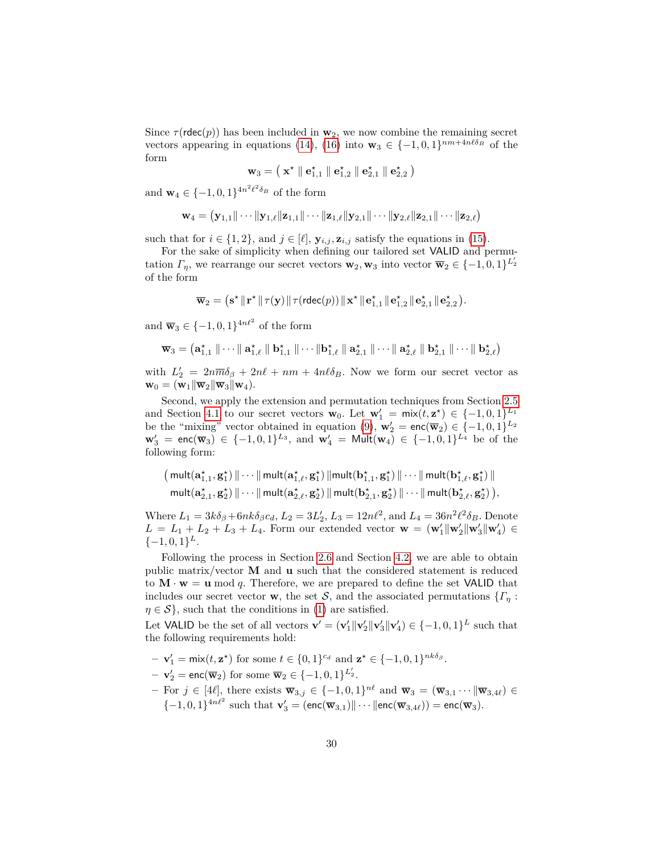Since  $\tau$ (rdec(*p*)) has been included in  $\mathbf{w}_2$ , we now combine the remaining secret vectors appearing in equations [\(14\)](#page-28-1), [\(16\)](#page-28-2) into  $\mathbf{w}_3 \in \{-1,0,1\}^{nm+4n\ell\delta_B}$  of the form

$$
\mathbf{w}_3 = \big(\ \mathbf{x}^\star \parallel \mathbf{e}_{1,1}^\star \parallel \mathbf{e}_{1,2}^\star \parallel \mathbf{e}_{2,1}^\star \parallel \mathbf{e}_{2,2}^\star \ \big)
$$

and  $\mathbf{w}_4 \in \{-1, 0, 1\}^{4n^2 \ell^2 \delta_B}$  of the form

$$
\mathbf{w}_4 = \left(\mathbf{y}_{1,1}\| \cdots \| \mathbf{y}_{1,\ell} \| \mathbf{z}_{1,1}\| \cdots \| \mathbf{z}_{1,\ell} \| \mathbf{y}_{2,1}\| \cdots \| \mathbf{y}_{2,\ell} \| \mathbf{z}_{2,1}\| \cdots \| \mathbf{z}_{2,\ell}\right)
$$

such that for  $i \in \{1, 2\}$ , and  $j \in [\ell], \mathbf{y}_{i,j}, \mathbf{z}_{i,j}$  satisfy the equations in [\(15\)](#page-28-3).

For the sake of simplicity when defining our tailored set VALID and permutation  $\Gamma_{\eta}$ , we rearrange our secret vectors  $\mathbf{w}_2, \mathbf{w}_3$  into vector  $\overline{\mathbf{w}}_2 \in \{-1, 0, 1\}^{L'_2}$ of the form

$$
\overline{\mathbf{w}}_2 = \left( \mathbf{s}^\star \|\mathbf{r}^\star\| \tau(\mathbf{y})\|\tau(\text{rdec}(p))\|\mathbf{x}^\star\|\mathbf{e}_{1,1}^\star\|\mathbf{e}_{1,2}^\star\|\mathbf{e}_{2,1}^\star\|\mathbf{e}_{2,2}^\star\right).
$$

and  $\overline{\mathbf{w}}_3 \in \{-1,0,1\}^{4n\ell^2}$  of the form

$$
\overline{\mathbf{w}}_3 = \left(\mathbf{a}^\star_{1,1} \mathbin\Vert \cdots \mathbin\Vert \mathbf{a}^\star_{1,\ell} \mathbin\Vert \mathbf{b}^\star_{1,1} \mathbin\Vert \cdots \mathbin\Vert \mathbf{b}^\star_{1,\ell} \mathbin\Vert \mathbf{a}^\star_{2,1} \mathbin\Vert \cdots \mathbin\Vert \mathbf{a}^\star_{2,\ell} \mathbin\Vert \mathbf{b}^\star_{2,1} \mathbin\Vert \cdots \mathbin\Vert \mathbf{b}^\star_{2,\ell}\right)
$$

with  $L_2' = 2n\overline{m}\delta_\beta + 2n\ell + nm + 4n\ell\delta_B$ . Now we form our secret vector as  $\mathbf{w}_0 = (\mathbf{w}_1 \|\overline{\mathbf{w}}_2\|\overline{\mathbf{w}}_3\|\mathbf{w}_4).$ 

Second, we apply the extension and permutation techniques from Section [2.5](#page-10-2) and Section [4.1](#page-23-0) to our secret vectors **w**<sub>0</sub>. Let  $\mathbf{w}'_1 = \text{mix}(t, \mathbf{z}^{\star}) \in \{-1, 0, 1\}^{L_1}$ be the "mixing" vector obtained in equation [\(9\)](#page-13-1),  $\mathbf{w}'_2 = \text{enc}(\overline{\mathbf{w}}_2) \in \{-1, 0, 1\}^{L_2}$ **w**<sup>1</sup><sub>3</sub> = enc( $\overline{w}_3$ ) ∈ {−1,0,1}<sup>L<sub>3</sub></sup>, and  $w'_4$  = Mult( $w_4$ ) ∈ {−1,0,1}<sup>L<sub>4</sub></sup> be of the following form:

$$
\left(\text{mult}(a_{1,1}^{\star},g_1^{\star}) \left\| \cdots \right\| \text{mult}(a_{1,\ell}^{\star},g_1^{\star}) \left\| \text{mult}(b_{1,1}^{\star},g_1^{\star}) \left\| \cdots \right\| \text{mult}(b_{1,\ell}^{\star},g_1^{\star}) \right\| \right. \\ \left. \left. \left. \text{mult}(a_{2,1}^{\star},g_2^{\star}) \left\| \cdots \right\| \text{mult}(a_{2,\ell}^{\star},g_2^{\star}) \right\| \text{mult}(b_{2,1}^{\star},g_2^{\star}) \left\| \cdots \right\| \text{mult}(b_{2,\ell}^{\star},g_2^{\star}) \right), \right.
$$

Where  $L_1 = 3k\delta_\beta + 6nk\delta_\beta c_d$ ,  $L_2 = 3L'_2$ ,  $L_3 = 12n\ell^2$ , and  $L_4 = 36n^2\ell^2\delta_B$ . Denote  $L = L_1 + L_2 + L_3 + L_4$ . Form our extended vector  $\mathbf{w} = (\mathbf{w}'_1 || \mathbf{w}'_2 || \mathbf{w}'_3 || \mathbf{w}'_4) \in$  $\{-1,0,1\}^L$ .

Following the process in Section [2.6](#page-12-3) and Section [4.2,](#page-24-0) we are able to obtain public matrix/vector **M** and **u** such that the considered statement is reduced to  $M \cdot w = u \mod q$ . Therefore, we are prepared to define the set VALID that includes our secret vector **w**, the set S, and the associated permutations  $\{ \Gamma_n :$  $\eta \in \mathcal{S}$ , such that the conditions in [\(1\)](#page-9-0) are satisfied.

Let VALID be the set of all vectors  $\mathbf{v}' = (\mathbf{v}'_1 || \mathbf{v}'_2 || \mathbf{v}'_3 || \mathbf{v}'_4) \in \{-1, 0, 1\}^L$  such that the following requirements hold:

- $-\mathbf{v}'_1 = \text{mix}(t, \mathbf{z}^*)$  for some  $t \in \{0, 1\}^{c_d}$  and  $\mathbf{z}^* \in \{-1, 0, 1\}^{nk\delta_\beta}$ .
- $-$  **v**<sub>2</sub> = enc(**w**<sub>2</sub>) for some **w**<sub>2</sub>  $\in \{-1, 0, 1\}^{L_2'}$ .
- $\mathbf{F}$  For  $j \in [4\ell]$ , there exists  $\overline{\mathbf{w}}_{3,j} \in \{-1,0,1\}^{n\ell}$  and  $\overline{\mathbf{w}}_3 = (\overline{\mathbf{w}}_{3,1} \cdots | \overline{\mathbf{w}}_{3,4\ell}) \in$  $\{-1,0,1\}^{4n\ell^2}$  such that  $\mathbf{v}'_3 = (\mathsf{enc}(\overline{\mathbf{w}}_{3,1})\|\cdots\|\mathsf{enc}(\overline{\mathbf{w}}_{3,4\ell})) = \mathsf{enc}(\overline{\mathbf{w}}_3).$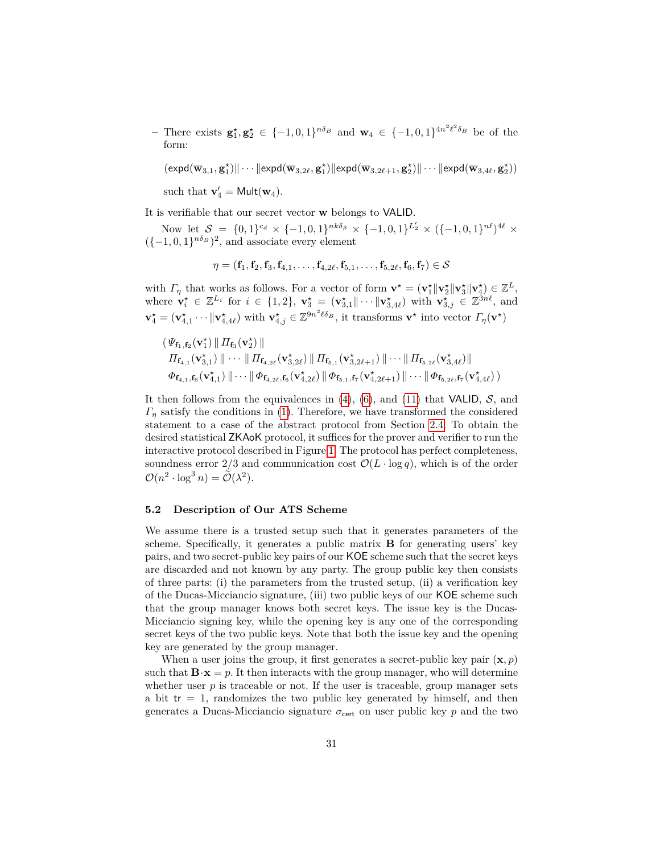**−** There exists  $\mathbf{g}_1^{\star}, \mathbf{g}_2^{\star} \in \{-1, 0, 1\}^{n\delta_B}$  and  $\mathbf{w}_4 \in \{-1, 0, 1\}^{4n^2\ell^2\delta_B}$  be of the form:

 $(\text{expd}(\overline{\mathbf{w}}_{3,1}, \mathbf{g}^\star_1) \| \cdots \| \text{expd}(\overline{\mathbf{w}}_{3,2\ell}, \mathbf{g}^\star_1) \| \text{expd}(\overline{\mathbf{w}}_{3,2\ell+1}, \mathbf{g}^\star_2) \| \cdots \| \text{expd}(\overline{\mathbf{w}}_{3,4\ell}, \mathbf{g}^\star_2))$ 

such that  $\mathbf{v}'_4 = \mathsf{Mult}(\mathbf{w}_4)$ .

It is verifiable that our secret vector **w** belongs to VALID.

Now let  $S = \{0,1\}^{c_d} \times \{-1,0,1\}^{nk\delta_\beta} \times \{-1,0,1\}^{L'_2} \times (\{-1,0,1\}^{n\ell})^{4\ell} \times$  $({-1, 0, 1}^n)^{\hat{\theta}_B})^2$ , and associate every element

$$
\eta = (\mathbf{f}_1, \mathbf{f}_2, \mathbf{f}_3, \mathbf{f}_{4,1}, \ldots, \mathbf{f}_{4,2\ell}, \mathbf{f}_{5,1}, \ldots, \mathbf{f}_{5,2\ell}, \mathbf{f}_6, \mathbf{f}_7) \in \mathcal{S}
$$

with  $\Gamma_{\eta}$  that works as follows. For a vector of form  $\mathbf{v}^* = (\mathbf{v}_1^* || \mathbf{v}_2^* || \mathbf{v}_3^* || \mathbf{v}_4^*) \in \mathbb{Z}^L$ , where  $\mathbf{v}_i^* \in \mathbb{Z}^{L_i}$  for  $i \in \{1,2\}, \mathbf{v}_3^* = (\mathbf{v}_{3,1}^* \| \cdots \| \mathbf{v}_{3,4\ell}^*)$  with  $\mathbf{v}_{3,j}^* \in \mathbb{Z}^{3n\ell}$ , and  $\mathbf{v}_4^{\star} = (\mathbf{v}_{4,1}^{\star} \cdots || \mathbf{v}_{4,4\ell}^{\star})$  with  $\mathbf{v}_{4,j}^{\star} \in \mathbb{Z}^{9n^2 \ell \delta_B}$ , it transforms  $\mathbf{v}^{\star}$  into vector  $\Gamma_{\eta}(\mathbf{v}^{\star})$ 

$$
\begin{aligned} &\left(\left.\Psi_{\mathbf{f}_1,\mathbf{f}_2}(\mathbf{v}_1^\star)\,\right\|\,\Pi_{\mathbf{f}_3}(\mathbf{v}_2^\star)\,\right\|\\ &\left.\Pi_{\mathbf{f}_{4,1}}(\mathbf{v}_{3,1}^\star)\,\right\|\,\cdots\,\left\|\,\Pi_{\mathbf{f}_{4,2\ell}}(\mathbf{v}_{3,2\ell}^\star)\,\right\|\,\Pi_{\mathbf{f}_{5,1}}(\mathbf{v}_{3,2\ell+1}^\star)\,\right\|\,\cdots\,\left\|\,\Pi_{\mathbf{f}_{5,2\ell}}(\mathbf{v}_{3,4\ell}^\star)\,\right\|\\ &\left.\Phi_{\mathbf{f}_{4,1},\mathbf{f}_6}(\mathbf{v}_{4,1}^\star)\,\right\|\,\cdots\,\left\|\,\Phi_{\mathbf{f}_{4,2\ell},\mathbf{f}_6}(\mathbf{v}_{4,2\ell}^\star)\,\right\|\,\widehat{\Phi}_{\mathbf{f}_{5,1},\mathbf{f}_7}(\mathbf{v}_{4,2\ell+1}^\star)\,\right\|\,\cdots\,\left\|\,\widehat{\Phi}_{\mathbf{f}_{5,2\ell},\mathbf{f}_7}(\mathbf{v}_{4,4\ell}^\star)\,\right) \end{aligned}
$$

It then follows from the equivalences in  $(4)$ ,  $(6)$ , and  $(11)$  that VALID,  $S$ , and  $\Gamma_{\eta}$  satisfy the conditions in [\(1\)](#page-9-0). Therefore, we have transformed the considered statement to a case of the abstract protocol from Section [2.4.](#page-8-0) To obtain the desired statistical ZKAoK protocol, it suffices for the prover and verifier to run the interactive protocol described in Figure [1.](#page-10-0) The protocol has perfect completeness, soundness error  $2/3$  and communication cost  $\mathcal{O}(L \cdot \log q)$ , which is of the order  $\mathcal{O}(n^2 \cdot \log^3 n) = \widetilde{\mathcal{O}}(\lambda^2).$ 

#### <span id="page-30-0"></span>**5.2 Description of Our ATS Scheme**

We assume there is a trusted setup such that it generates parameters of the scheme. Specifically, it generates a public matrix **B** for generating users' key pairs, and two secret-public key pairs of our KOE scheme such that the secret keys are discarded and not known by any party. The group public key then consists of three parts: (i) the parameters from the trusted setup, (ii) a verification key of the Ducas-Micciancio signature, (iii) two public keys of our KOE scheme such that the group manager knows both secret keys. The issue key is the Ducas-Micciancio signing key, while the opening key is any one of the corresponding secret keys of the two public keys. Note that both the issue key and the opening key are generated by the group manager.

When a user joins the group, it first generates a secret-public key pair  $(\mathbf{x}, p)$ such that  $\mathbf{B} \cdot \mathbf{x} = p$ . It then interacts with the group manager, who will determine whether user  $p$  is traceable or not. If the user is traceable, group manager sets a bit  $tr = 1$ , randomizes the two public key generated by himself, and then generates a Ducas-Micciancio signature  $\sigma_{\text{cert}}$  on user public key *p* and the two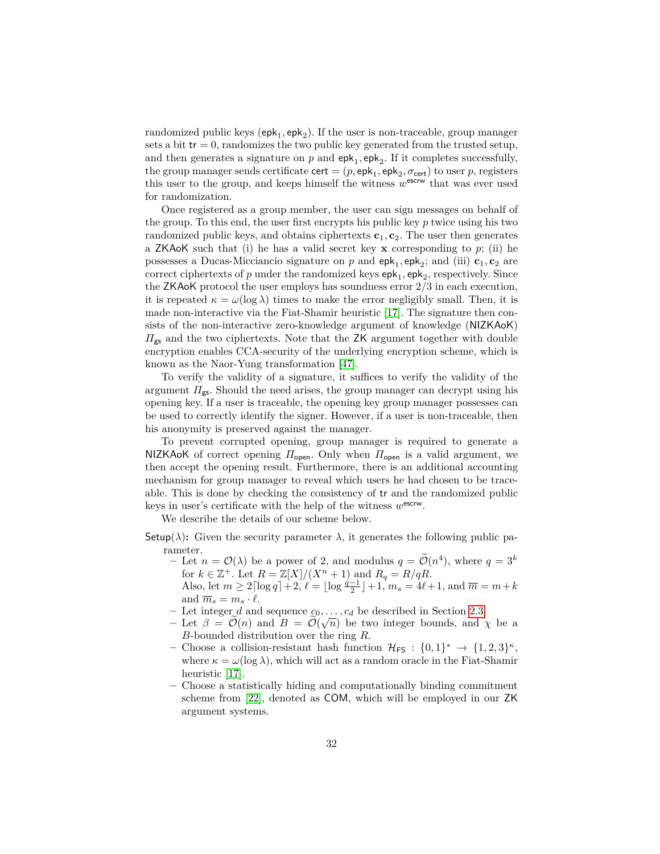$r$ andomized public keys ( $\mathsf{epk}_1, \mathsf{epk}_2$ ). If the user is non-traceable, group manager sets a bit  $tr = 0$ , randomizes the two public key generated from the trusted setup, and then generates a signature on  $p$  and  $epk_1, epk_2$ . If it completes successfully, the group manager sends certificate  $\mathsf{cert} = (p, \mathsf{epk}_1, \mathsf{epk}_2, \sigma_{\mathsf{cert}})$  to user  $p$ , registers this user to the group, and keeps himself the witness  $w^{\text{escrw}}$  that was ever used for randomization.

Once registered as a group member, the user can sign messages on behalf of the group. To this end, the user first encrypts his public key *p* twice using his two randomized public keys, and obtains ciphertexts  $c_1$ ,  $c_2$ . The user then generates a ZKAoK such that (i) he has a valid secret key **x** corresponding to *p*; (ii) he possesses a Ducas-Micciancio signature on  $p$  and  $epk_1, epk_2$ ; and (iii)  $c_1, c_2$  are correct ciphertexts of  $p$  under the randomized keys  $\mathsf{epk}_1, \mathsf{epk}_2,$  respectively. Since the ZKAoK protocol the user employs has soundness error 2*/*3 in each execution, it is repeated  $\kappa = \omega(\log \lambda)$  times to make the error negligibly small. Then, it is made non-interactive via the Fiat-Shamir heuristic [\[17\]](#page-41-17). The signature then consists of the non-interactive zero-knowledge argument of knowledge (NIZKAoK) *Π*gs and the two ciphertexts. Note that the ZK argument together with double encryption enables CCA-security of the underlying encryption scheme, which is known as the Naor-Yung transformation [\[47\]](#page-43-19).

To verify the validity of a signature, it suffices to verify the validity of the argument  $\Pi_{\text{gs}}$ . Should the need arises, the group manager can decrypt using his opening key. If a user is traceable, the opening key group manager possesses can be used to correctly identify the signer. However, if a user is non-traceable, then his anonymity is preserved against the manager.

To prevent corrupted opening, group manager is required to generate a NIZKAoK of correct opening *Π*open. Only when *Π*open is a valid argument, we then accept the opening result. Furthermore, there is an additional accounting mechanism for group manager to reveal which users he had chosen to be traceable. This is done by checking the consistency of tr and the randomized public keys in user's certificate with the help of the witness  $w^{\text{escrw}}$ .

We describe the details of our scheme below.

Setup( $\lambda$ ): Given the security parameter  $\lambda$ , it generates the following public parameter.

- $-$  Let  $n = \mathcal{O}(\lambda)$  be a power of 2, and modulus  $q = \mathcal{O}(n^4)$ , where  $q = 3^k$ for  $k \in \mathbb{Z}^+$ . Let  $R = \mathbb{Z}[X]/(X^n + 1)$  and  $R_q = R/qR$ . Also, let  $m \ge 2\lceil \log q \rceil + 2$ ,  $\ell = \lfloor \log \frac{q-1}{2} \rfloor + 1$ ,  $m_s = 4\ell + 1$ , and  $\overline{m} = m + k$
- and  $\overline{m}_s = m_s \cdot \ell$ .
- $-$  Let integer *d* and sequence  $c_0, \ldots, c_d$  be described in Section [2.3.](#page-7-0)
- Let  $β = O(n)$  and  $B = O(\sqrt{n})$  be two integer bounds, and *χ* be a *B*-bounded distribution over the ring *R*.
- $-$  Choose a collision-resistant hash function  $H$ <sub>FS</sub> : {0*,* 1}<sup>\*</sup> → {1*,* 2*,* 3}<sup>*κ*</sup>, where  $\kappa = \omega(\log \lambda)$ , which will act as a random oracle in the Fiat-Shamir heuristic [\[17\]](#page-41-17).
- **–** Choose a statistically hiding and computationally binding commitment scheme from [\[22\]](#page-42-18), denoted as COM, which will be employed in our ZK argument systems.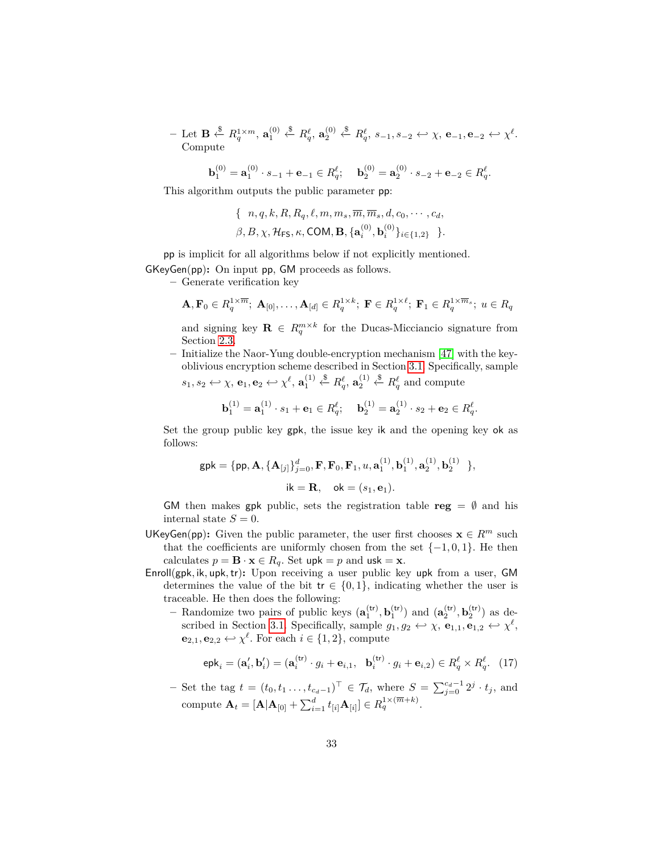$−$  Let  $\mathbf{B} \stackrel{\$}{\leftarrow} R_q^{1 \times m}$ ,  $\mathbf{a}_1^{(0)}$  $\stackrel{\$}{\leftarrow} R^{\ell}_q$ , **a**<sup>(0)</sup><sub>2</sub>  $\overset{\$}{\leftarrow} R_q^{\ell}, s_{-1}, s_{-2} \leftrightarrow \chi, \mathbf{e}_{-1}, \mathbf{e}_{-2} \leftrightarrow \chi^{\ell}.$ Compute

$$
\mathbf{b}_1^{(0)} = \mathbf{a}_1^{(0)} \cdot s_{-1} + \mathbf{e}_{-1} \in R_q^{\ell}; \quad \mathbf{b}_2^{(0)} = \mathbf{a}_2^{(0)} \cdot s_{-2} + \mathbf{e}_{-2} \in R_q^{\ell}.
$$

This algorithm outputs the public parameter pp:

- $\{ n, q, k, R, R_q, \ell, m, m_s, \overline{m}, \overline{m}_s, d, c_0, \cdots, c_d, \}$
- $\beta, B, \chi, \mathcal{H}_{\mathsf{FS}}, \kappa, \mathsf{COM}, \mathbf{B}, \{\mathbf{a}^{(0)}_i, \mathbf{b}^{(0)}_i\}_{i \in \{1,2\}} \;\; \}.$

pp is implicit for all algorithms below if not explicitly mentioned.

GKeyGen(pp)**:** On input pp, GM proceeds as follows.

**–** Generate verification key

$$
\mathbf{A},\mathbf{F}_0\in R_q^{1\times \overline{m}};\ \mathbf{A}_{[0]},\ldots,\mathbf{A}_{[d]}\in R_q^{1\times k};\ \mathbf{F}\in R_q^{1\times \ell};\ \mathbf{F}_1\in R_q^{1\times \overline{m}_s};\ u\in R_q
$$

and signing key  $\mathbf{R} \in R_q^{m \times k}$  for the Ducas-Micciancio signature from Section [2.3.](#page-7-0)

**–** Initialize the Naor-Yung double-encryption mechanism [\[47\]](#page-43-19) with the keyoblivious encryption scheme described in Section [3.1.](#page-20-0) Specifically, sample  $s_1, s_2 \leftrightarrow \chi$ , **e**<sub>1</sub>, **e**<sub>2</sub>  $\leftrightarrow \chi^{\ell}$ , **a**<sup>(1)</sup>)  $\overset{\$}{\leftarrow} R_{q}^{\ell}, \, \mathbf{a}_{2}^{(1)}$  $\stackrel{\$}{\leftarrow}$   $R_q^{\ell}$  and compute

$$
\mathbf{b}_1^{(1)} = \mathbf{a}_1^{(1)} \cdot s_1 + \mathbf{e}_1 \in R_q^{\ell}; \quad \mathbf{b}_2^{(1)} = \mathbf{a}_2^{(1)} \cdot s_2 + \mathbf{e}_2 \in R_q^{\ell}.
$$

Set the group public key gpk, the issue key ik and the opening key ok as follows:

$$
\mathsf{gpk} = \{ \mathsf{pp}, \mathbf{A}, \{ \mathbf{A}_{[j]} \}_{j=0}^d, \mathbf{F}, \mathbf{F}_0, \mathbf{F}_1, u, \mathbf{a}_1^{(1)}, \mathbf{b}_1^{(1)}, \mathbf{a}_2^{(1)}, \mathbf{b}_2^{(1)} \},
$$

$$
\mathsf{ik} = \mathbf{R}, \quad \mathsf{ok} = (s_1, \mathbf{e}_1).
$$

GM then makes gpk public, sets the registration table  $\mathbf{reg} = \emptyset$  and his internal state  $S = 0$ .

- UKeyGen(pp): Given the public parameter, the user first chooses  $\mathbf{x} \in \mathbb{R}^m$  such that the coefficients are uniformly chosen from the set  $\{-1,0,1\}$ . He then calculates  $p = \mathbf{B} \cdot \mathbf{x} \in R_q$ . Set upk = *p* and usk = **x**.
- Enroll(gpk*,* ik*,* upk*,*tr)**:** Upon receiving a user public key upk from a user, GM determines the value of the bit  $tr \in \{0, 1\}$ , indicating whether the user is traceable. He then does the following:
	- $-$  Randomize two pairs of public keys  $(\mathbf{a}_1^{(tr)}, \mathbf{b}_1^{(tr)})$  and  $(\mathbf{a}_2^{(tr)}, \mathbf{b}_2^{(tr)})$  as de-scribed in Section [3.1.](#page-20-0) Specifically, sample  $g_1, g_2 \leftrightarrow \chi$ ,  $\mathbf{e}_{1,1}, \mathbf{e}_{1,2} \leftrightarrow \chi^{\ell}$ ,  $e_{2,1}, e_{2,2} \leftrightarrow \chi^{\ell}$ . For each  $i \in \{1,2\}$ , compute

<span id="page-32-0"></span>
$$
\mathsf{epk}_i = (\mathbf{a}'_i, \mathbf{b}'_i) = (\mathbf{a}_i^{(\mathsf{tr})} \cdot g_i + \mathbf{e}_{i,1}, \ \mathbf{b}_i^{(\mathsf{tr})} \cdot g_i + \mathbf{e}_{i,2}) \in R_q^{\ell} \times R_q^{\ell}. \tag{17}
$$

**−** Set the tag  $t = (t_0, t_1, \ldots, t_{c_d-1})^\top \in \mathcal{T}_d$ , where  $S = \sum_{j=0}^{c_d-1} 2^j \cdot t_j$ , and compute  $\mathbf{A}_t = [\mathbf{A} | \mathbf{A}_{[0]} + \sum_{i=1}^d t_{[i]} \mathbf{A}_{[i]}] \in R_q^{1 \times (\overline{m} + k)}$ .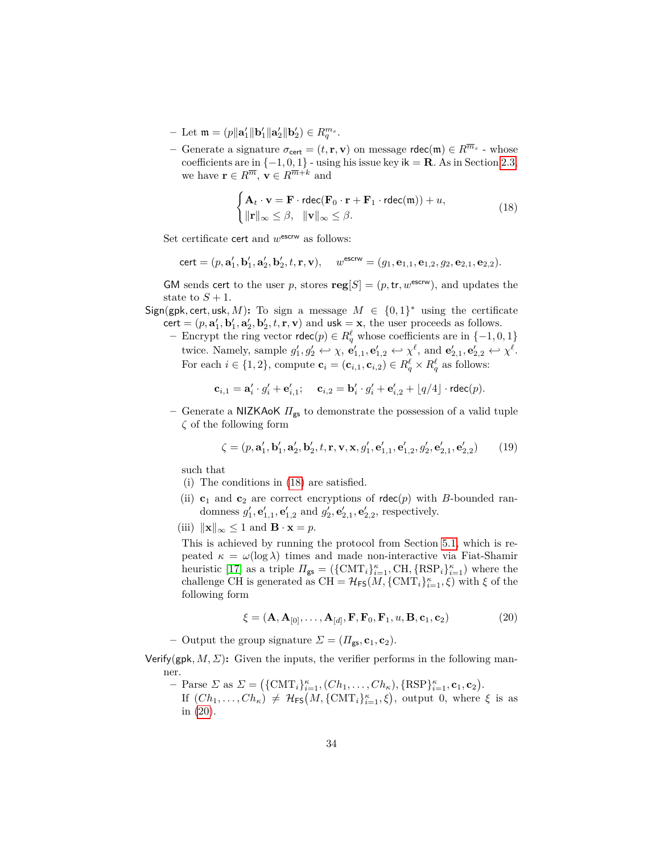- $-$  Let  $\mathfrak{m} = (p \| \mathbf{a}'_1 \| \mathbf{b}'_1 \| \mathbf{a}'_2 \| \mathbf{b}'_2) \in R_q^{m_s}.$
- **–** Generate a signature  $\sigma_{\text{cert}} = (t, \mathbf{r}, \mathbf{v})$  on message  $\text{rdec}(\mathfrak{m}) \in R^{\overline{m}_s}$  whose coefficients are in  $\{-1, 0, 1\}$  - using his issue key ik = **R**. As in Section [2.3,](#page-7-0) we have  $\mathbf{r} \in R^{\overline{m}}, \mathbf{v} \in R^{\overline{m}+k}$  and

<span id="page-33-0"></span>
$$
\begin{cases} \mathbf{A}_{t} \cdot \mathbf{v} = \mathbf{F} \cdot \text{rdec}(\mathbf{F}_{0} \cdot \mathbf{r} + \mathbf{F}_{1} \cdot \text{rdec}(\mathfrak{m})) + u, \\ \|\mathbf{r}\|_{\infty} \leq \beta, \quad \|\mathbf{v}\|_{\infty} \leq \beta. \end{cases}
$$
(18)

Set certificate cert and  $w^{\text{escrw}}$  as follows:

$$
\text{cert} = (p, \mathbf{a}_1', \mathbf{b}_1', \mathbf{a}_2', \mathbf{b}_2', t, \mathbf{r}, \mathbf{v}), \quad w^{\text{escrw}} = (g_1, \mathbf{e}_{1,1}, \mathbf{e}_{1,2}, g_2, \mathbf{e}_{2,1}, \mathbf{e}_{2,2}).
$$

GM sends cert to the user *p*, stores **reg**[*S*] =  $(p, tr, w^{\text{escrw}})$ , and updates the state to  $S + 1$ .

Sign(gpk, cert, usk, M): To sign a message  $M \in \{0,1\}^*$  using the certificate  $\text{cert} = (p, \mathbf{a}'_1, \mathbf{b}'_1, \mathbf{a}'_2, \mathbf{b}'_2, t, \mathbf{r}, \mathbf{v})$  and  $\text{usk} = \mathbf{x}$ , the user proceeds as follows.

 $−$  Encrypt the ring vector  $\mathsf{rdec}(p) \in R_q^{\ell}$  whose coefficients are in {−1,0,1} twice. Namely, sample  $g'_1, g'_2 \leftrightarrow \chi$ ,  $\mathbf{e}'_{1,1}, \mathbf{e}'_{1,2} \leftrightarrow \chi^{\ell}$ , and  $\mathbf{e}'_{2,1}, \mathbf{e}'_{2,2} \leftrightarrow \chi^{\ell}$ . For each  $i \in \{1, 2\}$ , compute  $\mathbf{c}_i = (\mathbf{c}_{i,1}, \mathbf{c}_{i,2}) \in R_q^{\ell} \times R_q^{\ell}$  as follows:

$$
\mathbf{c}_{i,1} = \mathbf{a}'_i \cdot g'_i + \mathbf{e}'_{i,1}; \quad \mathbf{c}_{i,2} = \mathbf{b}'_i \cdot g'_i + \mathbf{e}'_{i,2} + \lfloor q/4 \rfloor \cdot \mathsf{rdec}(p).
$$

**–** Generate a NIZKAoK *Π*gs to demonstrate the possession of a valid tuple *ζ* of the following form

<span id="page-33-2"></span>
$$
\zeta = (p, \mathbf{a}'_1, \mathbf{b}'_1, \mathbf{a}'_2, \mathbf{b}'_2, t, \mathbf{r}, \mathbf{v}, \mathbf{x}, g'_1, \mathbf{e}'_{1,1}, \mathbf{e}'_{1,2}, g'_2, \mathbf{e}'_{2,1}, \mathbf{e}'_{2,2})
$$
(19)

such that

- (i) The conditions in [\(18\)](#page-33-0) are satisfied.
- (ii)  $c_1$  and  $c_2$  are correct encryptions of rdec(*p*) with *B*-bounded randomness  $g'_{1}$ ,  $e'_{1,1}$ ,  $e'_{1,2}$  and  $g'_{2}$ ,  $e'_{2,1}$ ,  $e'_{2,2}$ , respectively.
- (iii)  $\|\mathbf{x}\|_{\infty} \leq 1$  and  $\mathbf{B} \cdot \mathbf{x} = p$ .

This is achieved by running the protocol from Section [5.1,](#page-27-1) which is repeated  $\kappa = \omega(\log \lambda)$  times and made non-interactive via Fiat-Shamir heuristic [\[17\]](#page-41-17) as a triple  $\Pi_{\mathsf{gs}} = (\{\text{CMT}_i\}_{i=1}^{\kappa}, \text{CH}, \{\text{RSP}_i\}_{i=1}^{\kappa})$  where the challenge CH is generated as CH =  $\mathcal{H}_{FS}(M, {\text{CMT}}_i)_{i=1}^{\kappa}, \xi)$  with  $\xi$  of the following form

<span id="page-33-1"></span>
$$
\xi = (\mathbf{A}, \mathbf{A}_{[0]}, \dots, \mathbf{A}_{[d]}, \mathbf{F}, \mathbf{F}_0, \mathbf{F}_1, u, \mathbf{B}, \mathbf{c}_1, \mathbf{c}_2) \tag{20}
$$

 $-$  Output the group signature  $\Sigma = (I_{gs}, \mathbf{c}_1, \mathbf{c}_2)$ .

Verify(gpk,  $M, \Sigma$ ): Given the inputs, the verifier performs in the following manner.

 $-$  Parse  $\Sigma$  as  $\Sigma = (\{\text{CMT}_i\}_{i=1}^{\kappa}, (Ch_1, \ldots, Ch_{\kappa}), \{\text{RSP}\}_{i=1}^{\kappa}, \mathbf{c}_1, \mathbf{c}_2).$ If  $(Ch_1, \ldots, Ch_\kappa) \neq \mathcal{H}_{\text{FS}}(M, \{\text{CMT}_i\}_{i=1}^{\kappa}, \xi),$  output 0, where  $\xi$  is as in [\(20\)](#page-33-1).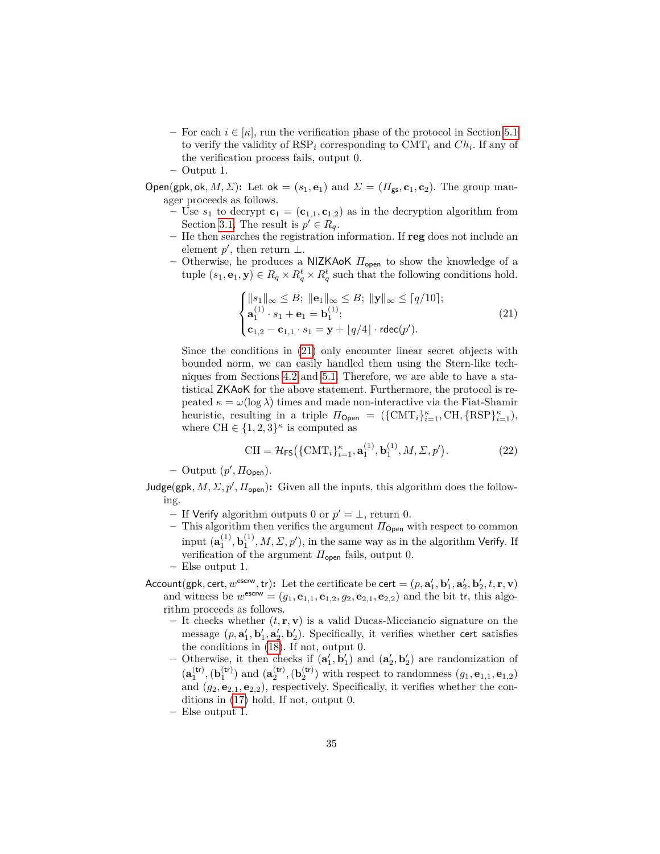- **–** For each *i* ∈ [*κ*], run the verification phase of the protocol in Section [5.1](#page-27-1) to verify the validity of  $RSP_i$  corresponding to  $CMT_i$  and  $Ch_i$ . If any of the verification process fails, output 0.
- **–** Output 1.
- Open(gpk, ok,  $M, \Sigma$ ): Let ok = ( $s_1, e_1$ ) and  $\Sigma = (H_{gs}, c_1, c_2)$ . The group manager proceeds as follows.
	- Use  $s_1$  to decrypt  $\mathbf{c}_1 = (\mathbf{c}_{1,1}, \mathbf{c}_{1,2})$  as in the decryption algorithm from Section [3.1.](#page-20-0) The result is  $p' \in R_q$ .
	- **–** He then searches the registration information. If **reg** does not include an element  $p'$ , then return  $\perp$ .
	- **–** Otherwise, he produces a NIZKAoK *Π*open to show the knowledge of a tuple  $(s_1, \mathbf{e}_1, \mathbf{y}) \in R_q \times R^{\ell}_q \times R^{\ell}_q$  such that the following conditions hold.

<span id="page-34-0"></span>
$$
\begin{cases}\n\|s_1\|_{\infty} \leq B; \ \|e_1\|_{\infty} \leq B; \ \|y\|_{\infty} \leq \lceil q/10\rceil; \\
a_1^{(1)} \cdot s_1 + e_1 = b_1^{(1)}; \\
c_{1,2} - c_{1,1} \cdot s_1 = y + \lfloor q/4 \rfloor \cdot \text{rdec}(p').\n\end{cases} (21)
$$

Since the conditions in [\(21\)](#page-34-0) only encounter linear secret objects with bounded norm, we can easily handled them using the Stern-like techniques from Sections [4.2](#page-24-0) and [5.1.](#page-27-1) Therefore, we are able to have a statistical ZKAoK for the above statement. Furthermore, the protocol is repeated  $\kappa = \omega(\log \lambda)$  times and made non-interactive via the Fiat-Shamir heuristic, resulting in a triple  $\Pi_{\text{Open}} = (\{\text{CMT}_i\}_{i=1}^{\kappa}, \text{CH}, \{\text{RSP}\}_{i=1}^{\kappa}),$ where  $\text{CH} \in \{1, 2, 3\}^{\kappa}$  is computed as

$$
CH = \mathcal{H}_{FS}(\{\text{CMT}_i\}_{i=1}^{\kappa}, \mathbf{a}_1^{(1)}, \mathbf{b}_1^{(1)}, M, \Sigma, p').
$$
 (22)

**–** Output (*p* 0 *, Π*Open).

Judge(gpk,  $M, \Sigma, p', \Pi_{open}$ ): Given all the inputs, this algorithm does the following.

- **−** If Verify algorithm outputs 0 or  $p' = \bot$ , return 0.
- **–** This algorithm then verifies the argument *Π*Open with respect to common input  $(\mathbf{a}_1^{(1)}, \mathbf{b}_1^{(1)}, M, \Sigma, p')$ , in the same way as in the algorithm Verify. If verification of the argument  $\Pi_{\text{open}}$  fails, output 0.
- **–** Else output 1.

Account(gpk, cert,  $w^{\text{escrw}}, \text{tr}$ ): Let the certificate be cert =  $(p, \mathbf{a}'_1, \mathbf{b}'_1, \mathbf{a}'_2, \mathbf{b}'_2, t, \mathbf{r}, \mathbf{v})$ and witness be  $w^{\text{escrw}} = (g_1, \mathbf{e}_{1,1}, \mathbf{e}_{1,2}, g_2, \mathbf{e}_{2,1}, \mathbf{e}_{2,2})$  and the bit tr, this algorithm proceeds as follows.

- $-$  It checks whether  $(t, \mathbf{r}, \mathbf{v})$  is a valid Ducas-Micciancio signature on the message  $(p, \mathbf{a}'_1, \mathbf{b}'_1, \mathbf{a}'_2, \mathbf{b}'_2)$ . Specifically, it verifies whether cert satisfies the conditions in [\(18\)](#page-33-0). If not, output 0.
- **–** Otherwise, it then checks if  $(\mathbf{a}'_1, \mathbf{b}'_1)$  and  $(\mathbf{a}'_2, \mathbf{b}'_2)$  are randomization of  $(a_1^{(tr)}, (b_1^{(tr)})$  and  $(a_2^{(tr)}, (b_2^{(tr)})$  with respect to randomness  $(g_1, e_{1,1}, e_{1,2})$ and  $(g_2, \mathbf{e}_{2,1}, \mathbf{e}_{2,2})$ , respectively. Specifically, it verifies whether the conditions in [\(17\)](#page-32-0) hold. If not, output 0.
- **–** Else output 1.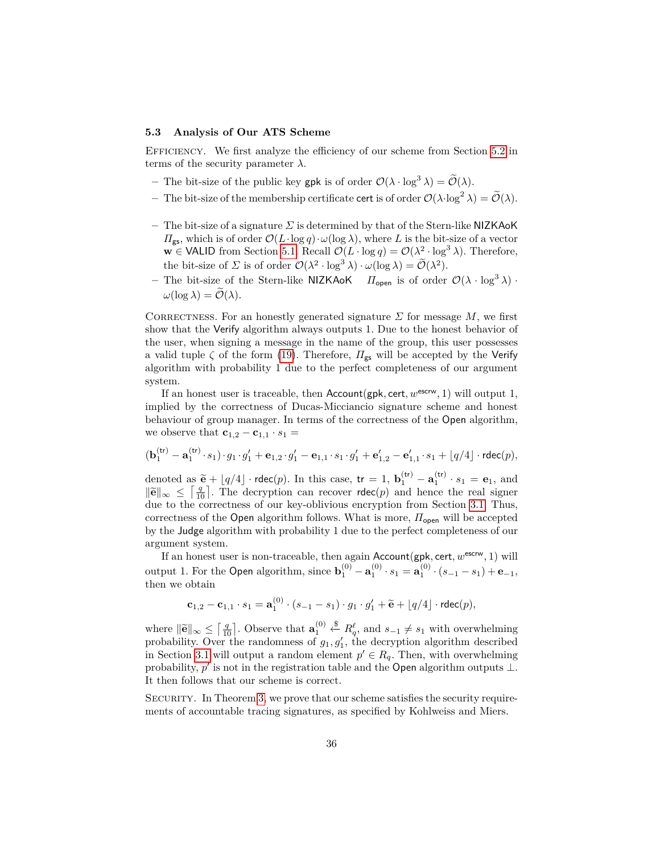#### **5.3 Analysis of Our ATS Scheme**

Efficiency. We first analyze the efficiency of our scheme from Section [5.2](#page-30-0) in terms of the security parameter  $\lambda$ .

- **–** The bit-size of the public key **gpk** is of order  $\mathcal{O}(\lambda \cdot \log^3 \lambda) = \widetilde{\mathcal{O}}(\lambda)$ .
- **–** The bit-size of the membership certificate cert is of order  $\mathcal{O}(\lambda \cdot \log^2 \lambda) = \widetilde{\mathcal{O}}(\lambda)$ .
- **–** The bit-size of a signature *Σ* is determined by that of the Stern-like NIZKAoK *Π*<sub>gs</sub>, which is of order  $\mathcal{O}(L \cdot \log q) \cdot \omega(\log \lambda)$ , where *L* is the bit-size of a vector **w**  $\in$  **VALID** from Section [5.1.](#page-27-1) Recall  $\mathcal{O}(L \cdot \log q) = \mathcal{O}(\lambda^2 \cdot \log^3 \lambda)$ . Therefore, the bit-size of *Σ* is of order  $\mathcal{O}(\lambda^2 \cdot \log^3 \lambda) \cdot \omega(\log \lambda) = \widetilde{\mathcal{O}}(\lambda^2)$ .
- **–** The bit-size of the Stern-like NIZKAoK *Π*open is of order O(*λ* · log<sup>3</sup> *λ*) ·  $\omega(\log \lambda) = \widetilde{\mathcal{O}}(\lambda).$

CORRECTNESS. For an honestly generated signature  $\Sigma$  for message  $M$ , we first show that the Verify algorithm always outputs 1. Due to the honest behavior of the user, when signing a message in the name of the group, this user possesses a valid tuple  $\zeta$  of the form [\(19\)](#page-33-2). Therefore,  $\Pi_{\text{gs}}$  will be accepted by the Verify algorithm with probability 1 due to the perfect completeness of our argument system.

If an honest user is traceable, then  $Account(gpk, cert, w^{escrw}, 1)$  will output 1, implied by the correctness of Ducas-Micciancio signature scheme and honest behaviour of group manager. In terms of the correctness of the Open algorithm, we observe that  ${\bf c}_{1,2} - {\bf c}_{1,1} \cdot s_1 =$ 

$$
(\mathbf{b}_1^{(\text{tr})} - \mathbf{a}_1^{(\text{tr})} \cdot s_1) \cdot g_1 \cdot g_1' + \mathbf{e}_{1,2} \cdot g_1' - \mathbf{e}_{1,1} \cdot s_1 \cdot g_1' + \mathbf{e}_{1,2}' - \mathbf{e}_{1,1}' \cdot s_1 + \lfloor q/4 \rfloor \cdot \text{rdec}(p),
$$

denoted as  $\tilde{\mathbf{e}} + \lfloor q/4 \rfloor \cdot \text{rdec}(p)$ . In this case,  $\mathbf{t} = 1$ ,  $\mathbf{b}_1^{(\mathbf{t}r)} - \mathbf{a}_1^{(\mathbf{t}r)} \cdot s_1 = \mathbf{e}_1$ , and  $\lvert \tilde{\mathbf{a}} \rvert \rvert < \lvert q \rvert$ . The decreation can recover  $\mathbf{rdec}(n)$  and hence the real signer  $\|\tilde{\mathbf{e}}\|_{\infty} \leq \int \frac{q}{10}$ . The decryption can recover  $\mathsf{rdec}(p)$  and hence the real signer due to the correctness of our low oblivious operation from Section 3.1. Thus due to the correctness of our key-oblivious encryption from Section [3.1.](#page-20-0) Thus, correctness of the Open algorithm follows. What is more, *Π*open will be accepted by the Judge algorithm with probability 1 due to the perfect completeness of our argument system.

If an honest user is non-traceable, then again Account(gpk*,* cert*, w*escrw*,* 1) will output 1. For the Open algorithm, since  $\mathbf{b}_1^{(0)} - \mathbf{a}_1^{(0)} \cdot s_1 = \mathbf{a}_1^{(0)} \cdot (s_{-1} - s_1) + \mathbf{e}_{-1}$ , then we obtain

$$
\mathbf{c}_{1,2}-\mathbf{c}_{1,1}\cdot s_1=\mathbf{a}_1^{(0)}\cdot (s_{-1}-s_1)\cdot g_1\cdot g_1'+\widetilde{\mathbf{e}}+\lfloor q/4\rfloor \cdot \mathsf{rdec}(p),
$$

where  $\|\tilde{\mathbf{e}}\|_{\infty} \leq \left[\frac{q}{10}\right]$ . Observe that  $\mathbf{a}_1^{(0)}$  $\overset{\$}{\leftarrow}$   $R^{\ell}_{q}$ , and  $s_{-1} \neq s_1$  with overwhelming probability. Over the randomness of  $g_1, g'_1$ , the decryption algorithm described in Section [3.1](#page-20-0) will output a random element  $p' \in R_q$ . Then, with overwhelming probability,  $p'$  is not in the registration table and the Open algorithm outputs  $\bot$ . It then follows that our scheme is correct.

<span id="page-35-0"></span>SECURITY. In Theorem [3,](#page-35-0) we prove that our scheme satisfies the security requirements of accountable tracing signatures, as specified by Kohlweiss and Miers.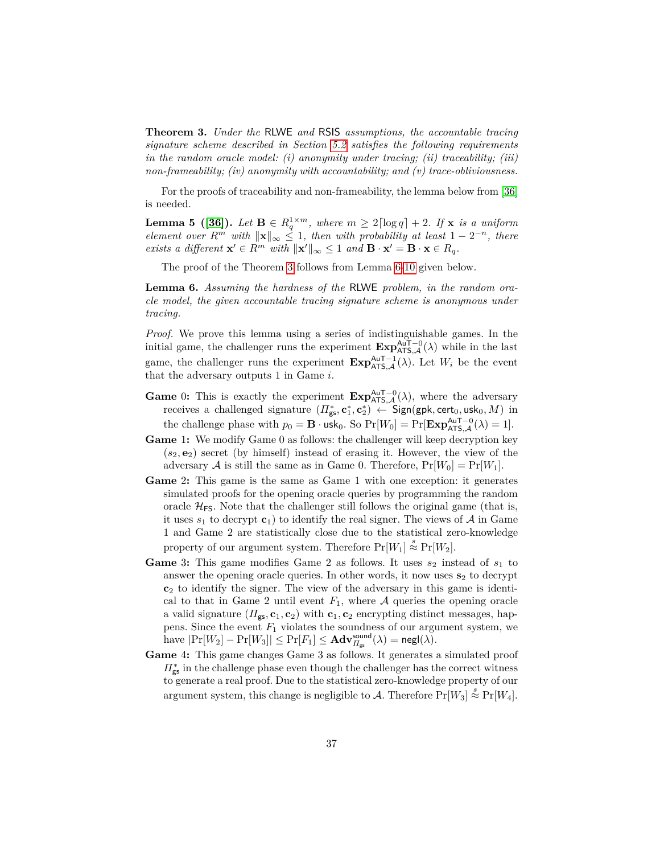**Theorem 3.** *Under the* RLWE *and* RSIS *assumptions, the accountable tracing signature scheme described in Section [5.2](#page-30-0) satisfies the following requirements in the random oracle model: (i) anonymity under tracing; (ii) traceability; (iii) non-frameability; (iv) anonymity with accountability; and (v) trace-obliviousness.*

<span id="page-36-1"></span>For the proofs of traceability and non-frameability, the lemma below from [\[36\]](#page-42-11) is needed.

**Lemma 5** ([\[36\]](#page-42-11)). Let  $\mathbf{B} \in R_q^{1 \times m}$ , where  $m \geq 2 \lceil \log q \rceil + 2$ . If **x** is a uniform *element over*  $R^m$  *with*  $\|\mathbf{x}\|_{\infty} \leq 1$ *, then with probability at least*  $1 - 2^{-n}$ *, there exists a different*  $\mathbf{x}' \in R^m$  *with*  $\|\mathbf{x}'\|_{\infty} \leq 1$  *and*  $\mathbf{B} \cdot \mathbf{x}' = \mathbf{B} \cdot \mathbf{x} \in R_q$ .

The proof of the Theorem [3](#page-35-0) follows from Lemma [6-](#page-36-0)[10](#page-40-0) given below.

<span id="page-36-0"></span>**Lemma 6.** *Assuming the hardness of the* RLWE *problem, in the random oracle model, the given accountable tracing signature scheme is anonymous under tracing.*

*Proof.* We prove this lemma using a series of indistinguishable games. In the initial game, the challenger runs the experiment  $\mathbf{Exp}_{\mathsf{ATS},\mathcal{A}}^{\mathsf{Aut}^T-0}(\lambda)$  while in the last game, the challenger runs the experiment  $\mathbf{Exp}_{\mathsf{ATS},\mathcal{A}}^{\mathsf{Aut}^{-1}}(\lambda)$ . Let  $W_i$  be the event that the adversary outputs 1 in Game *i*.

- **Game** 0: This is exactly the experiment  $\mathbf{Exp}_{ATS,A}^{\mathsf{Aut}T-0}(\lambda)$ , where the adversary receives a challenged signature  $(I_{gs}^*, c_1^*, c_2^*) \leftarrow \text{Sign}(\text{gpk}, \text{cert}_0, \text{usk}_0, M)$  in the challenge phase with  $p_0 = \mathbf{B} \cdot \text{usk}_0$ . So  $\Pr[W_0] = \Pr[\mathbf{Exp}_{\mathsf{ATS},\mathcal{A}}^{\mathsf{Aut}-0}(\lambda) = 1].$
- Game 1: We modify Game 0 as follows: the challenger will keep decryption key  $(s_2, e_2)$  secret (by himself) instead of erasing it. However, the view of the adversary A is still the same as in Game 0. Therefore,  $Pr[W_0] = Pr[W_1]$ .
- **Game** 2**:** This game is the same as Game 1 with one exception: it generates simulated proofs for the opening oracle queries by programming the random oracle  $\mathcal{H}_{FS}$ . Note that the challenger still follows the original game (that is, it uses  $s_1$  to decrypt  $c_1$ ) to identify the real signer. The views of A in Game 1 and Game 2 are statistically close due to the statistical zero-knowledge property of our argument system. Therefore  $Pr[W_1] \stackrel{s}{\approx} Pr[W_2]$ .
- **Game** 3: This game modifies Game 2 as follows. It uses  $s_2$  instead of  $s_1$  to answer the opening oracle queries. In other words, it now uses  $s_2$  to decrypt **c**<sup>2</sup> to identify the signer. The view of the adversary in this game is identical to that in Game 2 until event  $F_1$ , where A queries the opening oracle a valid signature  $(\Pi_{\mathsf{gs}}, \mathbf{c}_1, \mathbf{c}_2)$  with  $\mathbf{c}_1, \mathbf{c}_2$  encrypting distinct messages, happens. Since the event  $F_1$  violates the soundness of our argument system, we  $\text{have } |\text{Pr}[W_2]-\text{Pr}[W_3]|\leq \text{Pr}[F_1]\leq \mathbf{Adv}_{\varPi_{\text{gs}}}^{\text{sound}}(\lambda)=\mathsf{negl}(\lambda).$
- **Game** 4**:** This game changes Game 3 as follows. It generates a simulated proof  $\Pi^*_{\texttt{gs}}$  in the challenge phase even though the challenger has the correct witness to generate a real proof. Due to the statistical zero-knowledge property of our argument system, this change is negligible to A. Therefore  $Pr[W_3] \stackrel{s}{\approx} Pr[W_4]$ .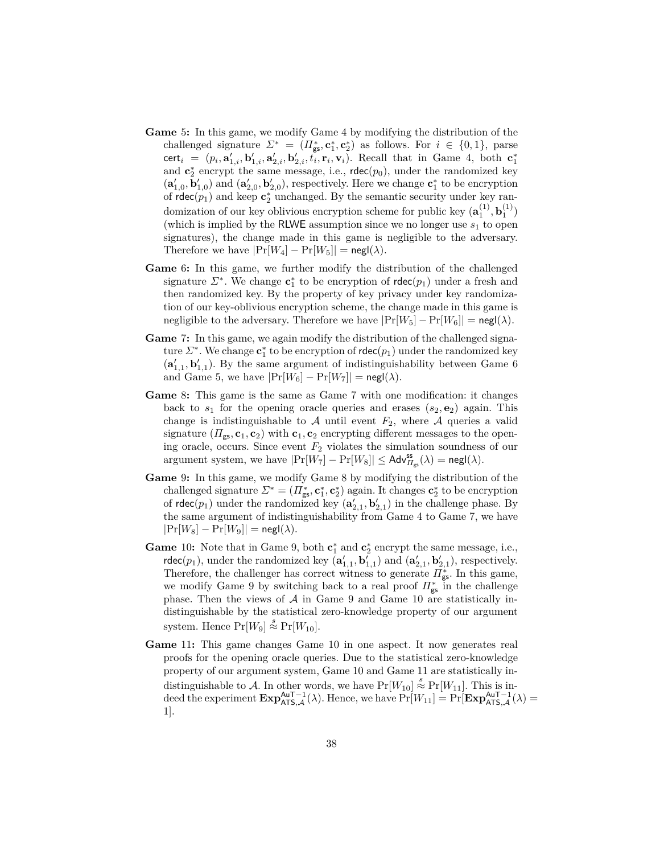- **Game** 5**:** In this game, we modify Game 4 by modifying the distribution of the challenged signature  $\Sigma^* = (H^*_{\text{gs}}, \mathbf{c}^*_1, \mathbf{c}^*_2)$  as follows. For  $i \in \{0, 1\}$ , parse cert<sub>*i*</sub> =  $(p_i, a'_{1,i}, b'_{1,i}, a'_{2,i}, b'_{2,i}, t_i, r_i, v_i)$ . Recall that in Game 4, both  $c_1^*$ and  $\mathbf{c}_2^*$  encrypt the same message, i.e.,  $\mathsf{rdec}(p_0)$ , under the randomized key  $(a'_{1,0}, b'_{1,0})$  and  $(a'_{2,0}, b'_{2,0})$ , respectively. Here we change  $c_1^*$  to be encryption of  $\text{rdec}(p_1)$  and keep  $\mathbf{c}_2^*$  unchanged. By the semantic security under key randomization of our key oblivious encryption scheme for public key  $(\mathbf{a}_1^{(1)}, \mathbf{b}_1^{(1)})$ (which is implied by the RLWE assumption since we no longer use  $s_1$  to open signatures), the change made in this game is negligible to the adversary. Therefore we have  $|\Pr[W_4] - \Pr[W_5]| = \mathsf{negl}(\lambda)$ .
- **Game** 6**:** In this game, we further modify the distribution of the challenged signature  $\mathcal{L}^*$ . We change  $\mathbf{c}_1^*$  to be encryption of  $\mathsf{rdec}(p_1)$  under a fresh and then randomized key. By the property of key privacy under key randomization of our key-oblivious encryption scheme, the change made in this game is negligible to the adversary. Therefore we have  $|\Pr[W_5] - \Pr[W_6]| = \mathsf{negl}(\lambda)$ .
- **Game** 7**:** In this game, we again modify the distribution of the challenged signature *Σ*<sup>∗</sup> . We change **c** ∗ 1 to be encryption of rdec(*p*1) under the randomized key  $(\mathbf{a}'_{1,1}, \mathbf{b}'_{1,1})$ . By the same argument of indistinguishability between Game 6 and Game 5, we have  $|\Pr[W_6] - \Pr[W_7]| = \mathsf{negl}(\lambda)$ .
- **Game** 8**:** This game is the same as Game 7 with one modification: it changes back to  $s_1$  for the opening oracle queries and erases  $(s_2, \mathbf{e}_2)$  again. This change is indistinguishable to  $A$  until event  $F_2$ , where  $A$  queries a valid signature  $(\Pi_{\text{gs}}, \mathbf{c}_1, \mathbf{c}_2)$  with  $\mathbf{c}_1, \mathbf{c}_2$  encrypting different messages to the opening oracle, occurs. Since event *F*<sup>2</sup> violates the simulation soundness of our  $\text{argument system, we have } |\Pr[W_7] - \Pr[W_8]| \leq \mathsf{Adv}_{H_{\text{gs}}}^{\text{ss}}(\lambda) = \mathsf{negl}(\lambda).$
- **Game** 9**:** In this game, we modify Game 8 by modifying the distribution of the challenged signature  $\mathcal{L}^* = (\mathcal{I}_{gs}^*, \mathbf{c}_1^*, \mathbf{c}_2^*)$  again. It changes  $\mathbf{c}_2^*$  to be encryption of  $\mathsf{rdec}(p_1)$  under the randomized key  $(\mathbf{a}'_{2,1}, \mathbf{b}'_{2,1})$  in the challenge phase. By the same argument of indistinguishability from Game 4 to Game 7, we have  $|\Pr[W_8] - \Pr[W_9]| = \mathsf{negl}(\lambda).$
- **Game** 10: Note that in Game 9, both  $\mathbf{c}_1^*$  and  $\mathbf{c}_2^*$  encrypt the same message, i.e.,  $\mathsf{rdec}(p_1)$ , under the randomized key  $(\mathbf{a}'_{1,1}, \mathbf{b}'_{1,1})$  and  $(\mathbf{a}'_{2,1}, \mathbf{b}'_{2,1})$ , respectively. Therefore, the challenger has correct witness to generate  $\Pi_{\text{gs}}^*$ . In this game, we modify Game 9 by switching back to a real proof  $\Pi_{\text{gs}}^*$  in the challenge phase. Then the views of  $A$  in Game 9 and Game 10 are statistically indistinguishable by the statistical zero-knowledge property of our argument system. Hence  $Pr[W_9] \stackrel{s}{\approx} Pr[W_{10}]$ .
- Game 11: This game changes Game 10 in one aspect. It now generates real proofs for the opening oracle queries. Due to the statistical zero-knowledge property of our argument system, Game 10 and Game 11 are statistically indistinguishable to A. In other words, we have  $Pr[W_{10}] \stackrel{s}{\approx} Pr[W_{11}]$ . This is indeed the experiment  $\mathbf{Exp}_{\mathsf{ATS},\mathcal{A}}^{\mathsf{Aut} - 1}(\lambda)$ . Hence, we have  $\Pr[W_{11}] = \Pr[\mathbf{Exp}_{\mathsf{ATS},\mathcal{A}}^{\mathsf{Aut} - 1}(\lambda) =$ 1].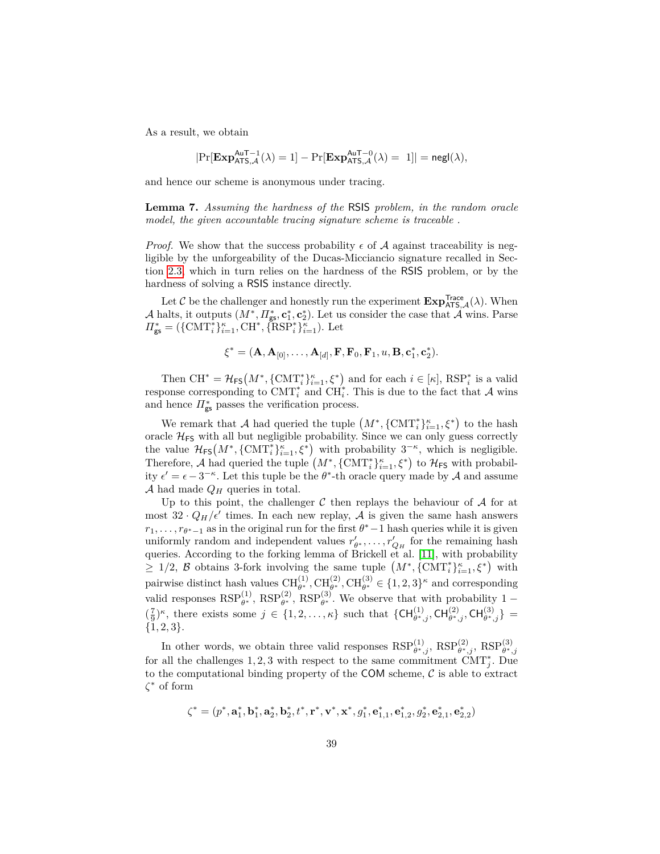As a result, we obtain

$$
|\Pr[\mathbf{Exp}_{\mathsf{ATS},\mathcal{A}}^{\mathsf{Aut}-1}(\lambda) = 1] - \Pr[\mathbf{Exp}_{\mathsf{ATS},\mathcal{A}}^{\mathsf{Aut}-0}(\lambda) = 1]| = \mathsf{negl}(\lambda),
$$

and hence our scheme is anonymous under tracing.

<span id="page-38-0"></span>**Lemma 7.** *Assuming the hardness of the* RSIS *problem, in the random oracle model, the given accountable tracing signature scheme is traceable .*

*Proof.* We show that the success probability  $\epsilon$  of A against traceability is negligible by the unforgeability of the Ducas-Micciancio signature recalled in Section [2.3,](#page-7-0) which in turn relies on the hardness of the RSIS problem, or by the hardness of solving a RSIS instance directly.

Let C be the challenger and honestly run the experiment  $\mathbf{Exp}^{\mathsf{Trace}}_{\mathsf{ATS},\mathcal{A}}(\lambda)$ . When A halts, it outputs  $(M^*, H^*_{gs}, c^*_1, c^*_2)$ . Let us consider the case that A wins. Parse  $\Pi_{\text{gs}}^{*} = (\{\text{CMT}_{i}^{*}\}_{i=1}^{k}, \text{CH}^{*}, \{\text{RSP}_{i}^{*}\}_{i=1}^{k}).$  Let

$$
\boldsymbol{\xi}^* = (\mathbf{A}, \mathbf{A}_{[0]}, \ldots, \mathbf{A}_{[d]}, \mathbf{F}, \mathbf{F}_0, \mathbf{F}_1, u, \mathbf{B}, \mathbf{c}_1^*, \mathbf{c}_2^*).
$$

Then  $\text{CH}^* = \mathcal{H}_{\text{FS}}\left(M^*, \{\text{CMT}^*_i\}_{i=1}^{\kappa}, \xi^*\right)$  and for each  $i \in [\kappa]$ ,  $\text{RSP}^*_i$  is a valid response corresponding to  $\text{CMT}_{i}^{*}$  and  $\text{CH}_{i}^{*}$ . This is due to the fact that A wins and hence  $\Pi^*_{\text{gs}}$  passes the verification process.

We remark that A had queried the tuple  $(M^*, {\{\rm CMT}^*_i\}}_{i=1}^{\kappa}, \xi^*)$  to the hash oracle  $H$ <sub>FS</sub> with all but negligible probability. Since we can only guess correctly the value  $\mathcal{H}_{\text{FS}}(M^*, \{\text{CMT}_i^*\}_{i=1}^{\kappa}, \xi^*)$  with probability  $3^{-\kappa}$ , which is negligible. Therefore, A had queried the tuple  $(M^*, {\{\rm CMT}}_i^* \}_{i=1}^{\kappa}, \xi^*)$  to  $\mathcal{H}_{\text{FS}}$  with probability  $\epsilon' = \epsilon - 3^{-\kappa}$ . Let this tuple be the  $\theta^*$ -th oracle query made by A and assume A had made  $Q_H$  queries in total.

Up to this point, the challenger  $\mathcal C$  then replays the behaviour of  $\mathcal A$  for at most  $32 \cdot Q_H/\epsilon'$  times. In each new replay, A is given the same hash answers  $r_1, \ldots, r_{\theta^*-1}$  as in the original run for the first  $\theta^*-1$  hash queries while it is given uniformly random and independent values  $r'_{\theta^*}, \ldots, r'_{Q_H}$  for the remaining hash queries. According to the forking lemma of Brickell et al. [\[11\]](#page-41-18), with probability  $\geq 1/2$ ,  $\beta$  obtains 3-fork involving the same tuple  $(M^*, {\{\rm CMT}}^*_i)_{i=1}^{\kappa}, \xi^*)$  with pairwise distinct hash values  $\text{CH}_{\theta^*}^{(1)}$ ,  $\text{CH}_{\theta^*}^{(2)}$ ,  $\text{CH}_{\theta^*}^{(3)} \in \{1, 2, 3\}^{\kappa}$  and corresponding valid responses  $\text{RSP}_{\theta^*}^{(1)}$ ,  $\text{RSP}_{\theta^*}^{(2)}$ ,  $\text{RSP}_{\theta^*}^{(3)}$ . We observe that with probability 1 –  $(\frac{7}{9})^{\kappa}$ , there exists some  $j \in \{1, 2, ..., \kappa\}$  such that  $\{\mathsf{CH}_{\theta^*,j}^{(1)}, \mathsf{CH}_{\theta^*,j}^{(2)}, \mathsf{CH}_{\theta^*,j}^{(3)}\}$  = {1*,* 2*,* 3}.

In other words, we obtain three valid responses  $\text{RSP}^{(1)}_{\theta^*,j}$ ,  $\text{RSP}^{(2)}_{\theta^*,j}$ ,  $\text{RSP}^{(3)}_{\theta^*,j}$ for all the challenges 1, 2, 3 with respect to the same commitment  $\text{CMT}^*_{j}$ . Due to the computational binding property of the COM scheme,  $\mathcal C$  is able to extract *ζ* <sup>∗</sup> of form

$$
\zeta^*=(p^*,\mathbf{a}^*_1,\mathbf{b}^*_1,\mathbf{a}^*_2,\mathbf{b}^*_2,t^*,\mathbf{r}^*,\mathbf{v}^*,\mathbf{x}^*,g_1^*,\mathbf{e}^*_{1,1},\mathbf{e}^*_{1,2},g_2^*,\mathbf{e}^*_{2,1},\mathbf{e}^*_{2,2})
$$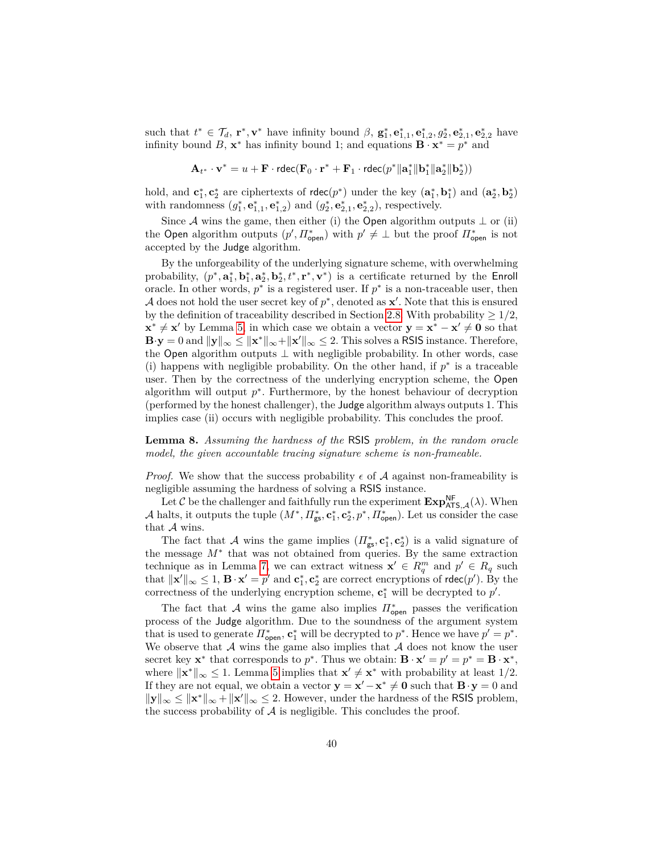such that  $t^* \in \mathcal{T}_d$ ,  $\mathbf{r}^*, \mathbf{v}^*$  have infinity bound  $\beta$ ,  $\mathbf{g}_1^*, \mathbf{e}_{1,1}^*, \mathbf{e}_{1,2}^*, g_2^*, \mathbf{e}_{2,1}^*, \mathbf{e}_{2,2}^*$  have infinity bound *B*,  $\mathbf{x}^*$  has infinity bound 1; and equations  $\mathbf{B} \cdot \mathbf{x}^* = p^*$  and

$$
\mathbf{A}_{t^*}\cdot \mathbf{v}^* = u + \mathbf{F}\cdot \mathsf{rdec}(\mathbf{F}_0\cdot \mathbf{r}^* + \mathbf{F}_1\cdot \mathsf{rdec}(p^* \|\mathbf{a}_1^*\|\mathbf{b}_1^*\|\mathbf{a}_2^*\|\mathbf{b}_2^*))
$$

hold, and  $\mathbf{c}_1^*, \mathbf{c}_2^*$  are ciphertexts of  $\mathsf{rdec}(p^*)$  under the key  $(\mathbf{a}_1^*, \mathbf{b}_1^*)$  and  $(\mathbf{a}_2^*, \mathbf{b}_2^*)$ with randomness  $(g_1^*, \mathbf{e}_{1,1}^*, \mathbf{e}_{1,2}^*)$  and  $(g_2^*, \mathbf{e}_{2,1}^*, \mathbf{e}_{2,2}^*)$ , respectively.

Since A wins the game, then either (i) the Open algorithm outputs  $\perp$  or (ii) the Open algorithm outputs  $(p', \Pi_{open}^*)$  with  $p' \neq \bot$  but the proof  $\Pi_{open}^*$  is not accepted by the Judge algorithm.

By the unforgeability of the underlying signature scheme, with overwhelming probability,  $(p^*, \mathbf{a}_1^*, \mathbf{b}_1^*, \mathbf{a}_2^*, \mathbf{b}_2^*, t^*, \mathbf{r}^*, \mathbf{v}^*)$  is a certificate returned by the Enroll oracle. In other words,  $p^*$  is a registered user. If  $p^*$  is a non-traceable user, then A does not hold the user secret key of  $p^*$ , denoted as **x'**. Note that this is ensured by the definition of traceability described in Section [2.8.](#page-16-0) With probability  $\geq 1/2$ ,  $\mathbf{x}^* \neq \mathbf{x}'$  by Lemma [5,](#page-36-1) in which case we obtain a vector  $\mathbf{y} = \mathbf{x}^* - \mathbf{x}' \neq \mathbf{0}$  so that  $\mathbf{B}\cdot\mathbf{y} = 0$  and  $\|\mathbf{y}\|_{\infty} \le \|\mathbf{x}^*\|_{\infty} + \|\mathbf{x}'\|_{\infty} \le 2$ . This solves a RSIS instance. Therefore, the Open algorithm outputs ⊥ with negligible probability. In other words, case (i) happens with negligible probability. On the other hand, if  $p^*$  is a traceable user. Then by the correctness of the underlying encryption scheme, the Open algorithm will output  $p^*$ . Furthermore, by the honest behaviour of decryption (performed by the honest challenger), the Judge algorithm always outputs 1. This implies case (ii) occurs with negligible probability. This concludes the proof.

**Lemma 8.** *Assuming the hardness of the* RSIS *problem, in the random oracle model, the given accountable tracing signature scheme is non-frameable.*

*Proof.* We show that the success probability  $\epsilon$  of A against non-frameability is negligible assuming the hardness of solving a RSIS instance.

Let  $C$  be the challenger and faithfully run the experiment  $\mathbf{Exp}_{\mathsf{ATS},\mathcal{A}}^{\mathsf{NF}}(\lambda)$ . When A halts, it outputs the tuple  $(M^*, H^*_{gs}, c^*_1, c^*_2, p^*, H^*_{open})$ . Let us consider the case that A wins.

The fact that A wins the game implies  $(I_{gs}^*, c_1^*, c_2^*)$  is a valid signature of the message *M*<sup>∗</sup> that was not obtained from queries. By the same extraction technique as in Lemma [7,](#page-38-0) we can extract witness  $\mathbf{x}' \in R_q^m$  and  $p' \in R_q$  such that  $\|\mathbf{x}'\|_{\infty} \leq 1$ ,  $\mathbf{B} \cdot \mathbf{x}' = p'$  and  $\mathbf{c}_1^*, \mathbf{c}_2^*$  are correct encryptions of  $\text{rdec}(p')$ . By the correctness of the underlying encryption scheme,  $\mathbf{c}_1^*$  will be decrypted to  $p'$ .

The fact that A wins the game also implies  $\pi_{\text{open}}^*$  passes the verification process of the Judge algorithm. Due to the soundness of the argument system that is used to generate  $\prod_{\text{open}}^*$ ,  $\mathbf{c}_1^*$  will be decrypted to  $p^*$ . Hence we have  $p' = p^*$ . We observe that  $A$  wins the game also implies that  $A$  does not know the user secret key  $\mathbf{x}^*$  that corresponds to  $p^*$ . Thus we obtain:  $\mathbf{B} \cdot \mathbf{x}' = p' = p^* = \mathbf{B} \cdot \mathbf{x}^*$ , where  $\|\mathbf{x}^*\|_{\infty} \leq 1$ . Lemma [5](#page-36-1) implies that  $\mathbf{x}' \neq \mathbf{x}^*$  with probability at least 1/2. If they are not equal, we obtain a vector  $y = x' - x^* \neq 0$  such that  $B \cdot y = 0$  and  $||y||_{\infty} \le ||x^*||_{\infty} + ||x'||_{\infty} \le 2$ . However, under the hardness of the RSIS problem, the success probability of  $A$  is negligible. This concludes the proof.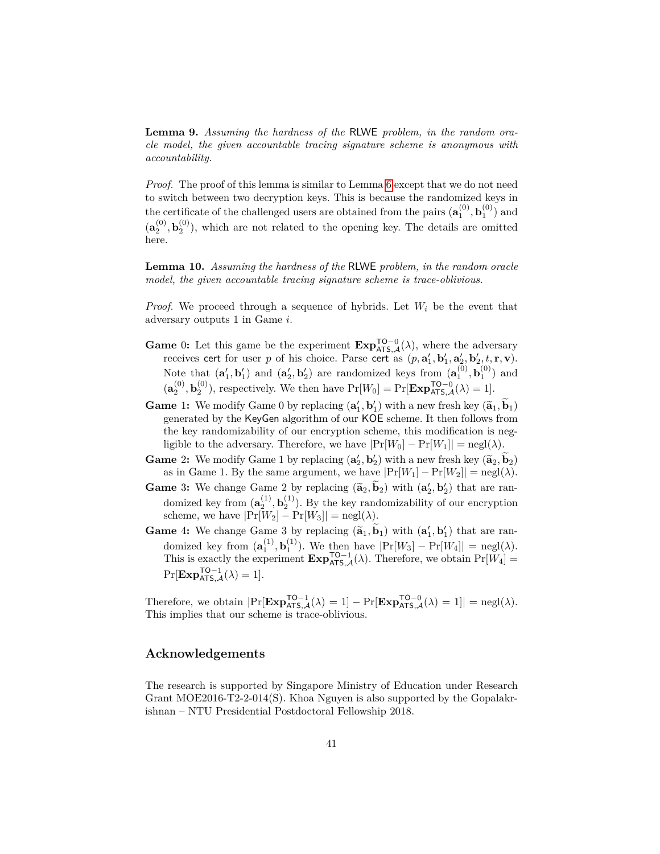**Lemma 9.** *Assuming the hardness of the* RLWE *problem, in the random oracle model, the given accountable tracing signature scheme is anonymous with accountability.*

*Proof.* The proof of this lemma is similar to Lemma [6](#page-36-0) except that we do not need to switch between two decryption keys. This is because the randomized keys in the certificate of the challenged users are obtained from the pairs  $(\mathbf{a}_1^{(0)}, \mathbf{b}_1^{(0)})$  and  $(a_2^{(0)}, b_2^{(0)})$ , which are not related to the opening key. The details are omitted here.

<span id="page-40-0"></span>**Lemma 10.** *Assuming the hardness of the* RLWE *problem, in the random oracle model, the given accountable tracing signature scheme is trace-oblivious.*

*Proof.* We proceed through a sequence of hybrids. Let  $W_i$  be the event that adversary outputs 1 in Game *i*.

- **Game** 0: Let this game be the experiment  $\mathbf{Exp}_{\mathsf{ATS},\mathcal{A}}^{\mathsf{TO}-0}(\lambda)$ , where the adversary receives cert for user *p* of his choice. Parse cert as  $(p, \mathbf{a}'_1, \mathbf{b}'_1, \mathbf{a}'_2, \mathbf{b}'_2, t, \mathbf{r}, \mathbf{v})$ . Note that  $(\mathbf{a}'_1, \mathbf{b}'_1)$  and  $(\mathbf{a}'_2, \mathbf{b}'_2)$  are randomized keys from  $(\mathbf{a}^{(0)}_1, \mathbf{b}^{(0)}_1)$  and  $(\mathbf{a}_2^{(0)}, \mathbf{b}_2^{(0)})$ , respectively. We then have  $Pr[W_0] = Pr[\mathbf{Exp}_{\mathsf{ATS},\mathcal{A}}^{\mathsf{TO}-0}(\lambda) = 1].$
- **Game** 1: We modify Game 0 by replacing  $(\mathbf{a}'_1, \mathbf{b}'_1)$  with a new fresh key  $(\mathbf{a}_1, \mathbf{b}_1)$  concreted by the Key Cap algorithm of our KOE school. It then follows from generated by the KeyGen algorithm of our KOE scheme. It then follows from the key randomizability of our encryption scheme, this modification is negligible to the adversary. Therefore, we have  $|\Pr[W_0] - \Pr[W_1]| = \text{negl}(\lambda)$ .
- **Game** 2: We modify Game 1 by replacing  $(a'_2, b'_2)$  with a new fresh key  $(\tilde{a}_2, \tilde{b}_2)$ as in Game 1. By the same argument, we have  $|\Pr[W_1] - \Pr[W_2]| = \text{negl}(\lambda)$ .
- **Game** 3: We change Game 2 by replacing  $(\tilde{\mathbf{a}}_2, \tilde{\mathbf{b}}_2)$  with  $(\mathbf{a}'_2, \mathbf{b}'_2)$  that are randomized key from  $(\mathbf{a}_2^{(1)}, \mathbf{b}_2^{(1)})$ . By the key randomizability of our encryption scheme, we have  $|\Pr[W_2] - \Pr[W_3]| = \text{negl}(\lambda)$ .
- **Game** 4: We change Game 3 by replacing  $(\tilde{\mathbf{a}}_1, \tilde{\mathbf{b}}_1)$  with  $(\mathbf{a}'_1, \mathbf{b}'_1)$  that are randomized key from  $(\mathbf{a}_1^{(1)}, \mathbf{b}_1^{(1)})$ . We then have  $|\Pr[W_3] - \Pr[W_4]| = \text{negl}(\lambda)$ . This is exactly the experiment  $\mathbf{Exp}_{\mathsf{ATS},\mathcal{A}}^{\mathsf{TO}-1}(\lambda)$ . Therefore, we obtain  $\Pr[W_4] =$  $Pr[\mathbf{Exp}_{\mathsf{ATS},\mathcal{A}}^{\mathsf{TO}-1}(\lambda)=1].$

Therefore, we obtain  $|\Pr[\mathbf{Exp}_{\mathsf{ATS},\mathcal{A}}^{\mathsf{TO}-1}(\lambda) = 1] - \Pr[\mathbf{Exp}_{\mathsf{ATS},\mathcal{A}}^{\mathsf{TO}-0}(\lambda) = 1]| = \text{negl}(\lambda).$ This implies that our scheme is trace-oblivious.

# **Acknowledgements**

The research is supported by Singapore Ministry of Education under Research Grant MOE2016-T2-2-014(S). Khoa Nguyen is also supported by the Gopalakrishnan – NTU Presidential Postdoctoral Fellowship 2018.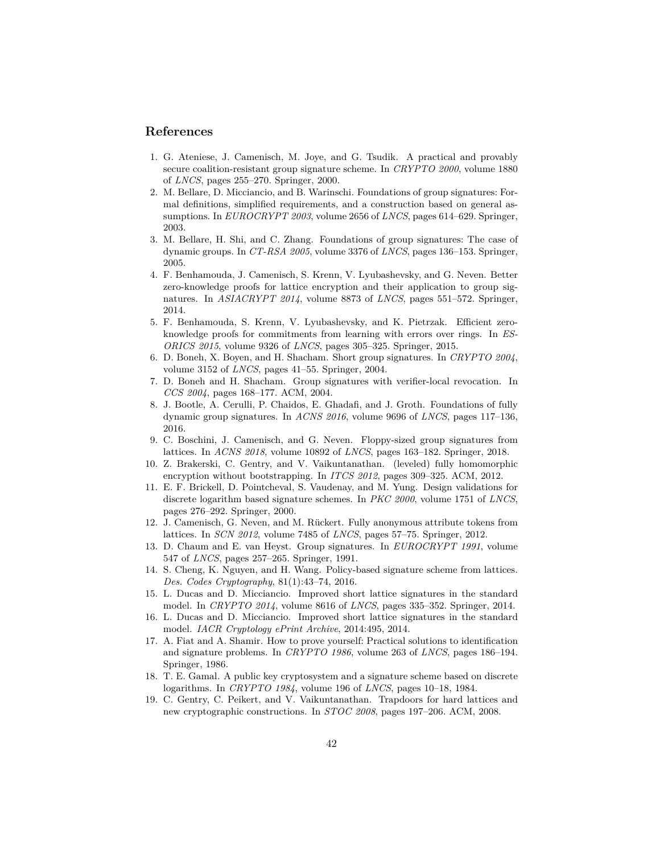### **References**

- <span id="page-41-5"></span>1. G. Ateniese, J. Camenisch, M. Joye, and G. Tsudik. A practical and provably secure coalition-resistant group signature scheme. In *CRYPTO 2000*, volume 1880 of *LNCS*, pages 255–270. Springer, 2000.
- <span id="page-41-1"></span>2. M. Bellare, D. Micciancio, and B. Warinschi. Foundations of group signatures: Formal definitions, simplified requirements, and a construction based on general assumptions. In *EUROCRYPT 2003*, volume 2656 of *LNCS*, pages 614–629. Springer, 2003.
- <span id="page-41-3"></span>3. M. Bellare, H. Shi, and C. Zhang. Foundations of group signatures: The case of dynamic groups. In *CT-RSA 2005*, volume 3376 of *LNCS*, pages 136–153. Springer, 2005.
- <span id="page-41-11"></span>4. F. Benhamouda, J. Camenisch, S. Krenn, V. Lyubashevsky, and G. Neven. Better zero-knowledge proofs for lattice encryption and their application to group signatures. In *ASIACRYPT 2014*, volume 8873 of *LNCS*, pages 551–572. Springer, 2014.
- <span id="page-41-12"></span>5. F. Benhamouda, S. Krenn, V. Lyubashevsky, and K. Pietrzak. Efficient zeroknowledge proofs for commitments from learning with errors over rings. In *ES-ORICS 2015*, volume 9326 of *LNCS*, pages 305–325. Springer, 2015.
- <span id="page-41-6"></span>6. D. Boneh, X. Boyen, and H. Shacham. Short group signatures. In *CRYPTO 2004*, volume 3152 of *LNCS*, pages 41–55. Springer, 2004.
- <span id="page-41-2"></span>7. D. Boneh and H. Shacham. Group signatures with verifier-local revocation. In *CCS 2004*, pages 168–177. ACM, 2004.
- <span id="page-41-4"></span>8. J. Bootle, A. Cerulli, P. Chaidos, E. Ghadafi, and J. Groth. Foundations of fully dynamic group signatures. In *ACNS 2016*, volume 9696 of *LNCS*, pages 117–136, 2016.
- <span id="page-41-8"></span>9. C. Boschini, J. Camenisch, and G. Neven. Floppy-sized group signatures from lattices. In *ACNS 2018*, volume 10892 of *LNCS*, pages 163–182. Springer, 2018.
- <span id="page-41-16"></span>10. Z. Brakerski, C. Gentry, and V. Vaikuntanathan. (leveled) fully homomorphic encryption without bootstrapping. In *ITCS 2012*, pages 309–325. ACM, 2012.
- <span id="page-41-18"></span>11. E. F. Brickell, D. Pointcheval, S. Vaudenay, and M. Yung. Design validations for discrete logarithm based signature schemes. In *PKC 2000*, volume 1751 of *LNCS*, pages 276–292. Springer, 2000.
- <span id="page-41-7"></span>12. J. Camenisch, G. Neven, and M. Rückert. Fully anonymous attribute tokens from lattices. In *SCN 2012*, volume 7485 of *LNCS*, pages 57–75. Springer, 2012.
- <span id="page-41-0"></span>13. D. Chaum and E. van Heyst. Group signatures. In *EUROCRYPT 1991*, volume 547 of *LNCS*, pages 257–265. Springer, 1991.
- <span id="page-41-13"></span>14. S. Cheng, K. Nguyen, and H. Wang. Policy-based signature scheme from lattices. *Des. Codes Cryptography*, 81(1):43–74, 2016.
- <span id="page-41-14"></span>15. L. Ducas and D. Micciancio. Improved short lattice signatures in the standard model. In *CRYPTO 2014*, volume 8616 of *LNCS*, pages 335–352. Springer, 2014.
- <span id="page-41-15"></span>16. L. Ducas and D. Micciancio. Improved short lattice signatures in the standard model. *IACR Cryptology ePrint Archive*, 2014:495, 2014.
- <span id="page-41-17"></span>17. A. Fiat and A. Shamir. How to prove yourself: Practical solutions to identification and signature problems. In *CRYPTO 1986*, volume 263 of *LNCS*, pages 186–194. Springer, 1986.
- <span id="page-41-9"></span>18. T. E. Gamal. A public key cryptosystem and a signature scheme based on discrete logarithms. In *CRYPTO 1984*, volume 196 of *LNCS*, pages 10–18, 1984.
- <span id="page-41-10"></span>19. C. Gentry, C. Peikert, and V. Vaikuntanathan. Trapdoors for hard lattices and new cryptographic constructions. In *STOC 2008*, pages 197–206. ACM, 2008.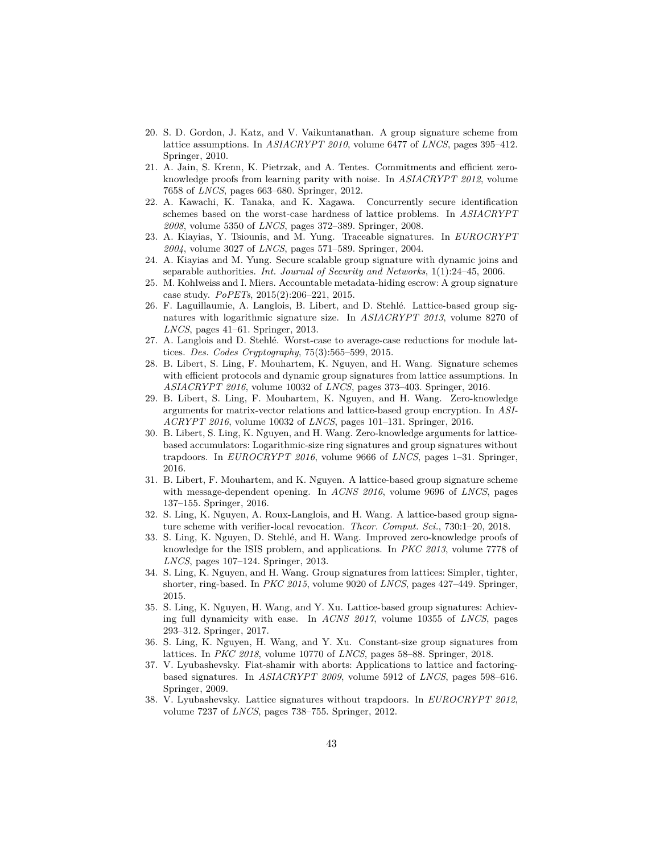- <span id="page-42-3"></span>20. S. D. Gordon, J. Katz, and V. Vaikuntanathan. A group signature scheme from lattice assumptions. In *ASIACRYPT 2010*, volume 6477 of *LNCS*, pages 395–412. Springer, 2010.
- <span id="page-42-17"></span>21. A. Jain, S. Krenn, K. Pietrzak, and A. Tentes. Commitments and efficient zeroknowledge proofs from learning parity with noise. In *ASIACRYPT 2012*, volume 7658 of *LNCS*, pages 663–680. Springer, 2012.
- <span id="page-42-18"></span>22. A. Kawachi, K. Tanaka, and K. Xagawa. Concurrently secure identification schemes based on the worst-case hardness of lattice problems. In *ASIACRYPT 2008*, volume 5350 of *LNCS*, pages 372–389. Springer, 2008.
- <span id="page-42-0"></span>23. A. Kiayias, Y. Tsiounis, and M. Yung. Traceable signatures. In *EUROCRYPT 2004*, volume 3027 of *LNCS*, pages 571–589. Springer, 2004.
- <span id="page-42-1"></span>24. A. Kiayias and M. Yung. Secure scalable group signature with dynamic joins and separable authorities. *Int. Journal of Security and Networks*, 1(1):24–45, 2006.
- <span id="page-42-2"></span>25. M. Kohlweiss and I. Miers. Accountable metadata-hiding escrow: A group signature case study. *PoPETs*, 2015(2):206–221, 2015.
- <span id="page-42-4"></span>26. F. Laguillaumie, A. Langlois, B. Libert, and D. Stehl´e. Lattice-based group signatures with logarithmic signature size. In *ASIACRYPT 2013*, volume 8270 of *LNCS*, pages 41–61. Springer, 2013.
- <span id="page-42-16"></span>27. A. Langlois and D. Stehlé. Worst-case to average-case reductions for module lattices. *Des. Codes Cryptography*, 75(3):565–599, 2015.
- <span id="page-42-7"></span>28. B. Libert, S. Ling, F. Mouhartem, K. Nguyen, and H. Wang. Signature schemes with efficient protocols and dynamic group signatures from lattice assumptions. In *ASIACRYPT 2016*, volume 10032 of *LNCS*, pages 373–403. Springer, 2016.
- <span id="page-42-15"></span>29. B. Libert, S. Ling, F. Mouhartem, K. Nguyen, and H. Wang. Zero-knowledge arguments for matrix-vector relations and lattice-based group encryption. In *ASI-ACRYPT 2016*, volume 10032 of *LNCS*, pages 101–131. Springer, 2016.
- <span id="page-42-6"></span>30. B. Libert, S. Ling, K. Nguyen, and H. Wang. Zero-knowledge arguments for latticebased accumulators: Logarithmic-size ring signatures and group signatures without trapdoors. In *EUROCRYPT 2016*, volume 9666 of *LNCS*, pages 1–31. Springer, 2016.
- <span id="page-42-9"></span>31. B. Libert, F. Mouhartem, and K. Nguyen. A lattice-based group signature scheme with message-dependent opening. In *ACNS 2016*, volume 9696 of *LNCS*, pages 137–155. Springer, 2016.
- <span id="page-42-8"></span>32. S. Ling, K. Nguyen, A. Roux-Langlois, and H. Wang. A lattice-based group signature scheme with verifier-local revocation. *Theor. Comput. Sci.*, 730:1–20, 2018.
- <span id="page-42-14"></span>33. S. Ling, K. Nguyen, D. Stehl´e, and H. Wang. Improved zero-knowledge proofs of knowledge for the ISIS problem, and applications. In *PKC 2013*, volume 7778 of *LNCS*, pages 107–124. Springer, 2013.
- <span id="page-42-5"></span>34. S. Ling, K. Nguyen, and H. Wang. Group signatures from lattices: Simpler, tighter, shorter, ring-based. In *PKC 2015*, volume 9020 of *LNCS*, pages 427–449. Springer, 2015.
- <span id="page-42-10"></span>35. S. Ling, K. Nguyen, H. Wang, and Y. Xu. Lattice-based group signatures: Achieving full dynamicity with ease. In *ACNS 2017*, volume 10355 of *LNCS*, pages 293–312. Springer, 2017.
- <span id="page-42-11"></span>36. S. Ling, K. Nguyen, H. Wang, and Y. Xu. Constant-size group signatures from lattices. In *PKC 2018*, volume 10770 of *LNCS*, pages 58–88. Springer, 2018.
- <span id="page-42-12"></span>37. V. Lyubashevsky. Fiat-shamir with aborts: Applications to lattice and factoringbased signatures. In *ASIACRYPT 2009*, volume 5912 of *LNCS*, pages 598–616. Springer, 2009.
- <span id="page-42-13"></span>38. V. Lyubashevsky. Lattice signatures without trapdoors. In *EUROCRYPT 2012*, volume 7237 of *LNCS*, pages 738–755. Springer, 2012.